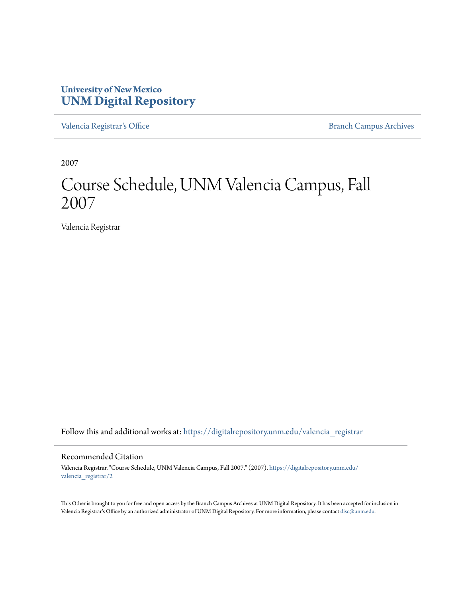#### **University of New Mexico [UNM Digital Repository](https://digitalrepository.unm.edu?utm_source=digitalrepository.unm.edu%2Fvalencia_registrar%2F2&utm_medium=PDF&utm_campaign=PDFCoverPages)**

[Valencia Registrar's Office](https://digitalrepository.unm.edu/valencia_registrar?utm_source=digitalrepository.unm.edu%2Fvalencia_registrar%2F2&utm_medium=PDF&utm_campaign=PDFCoverPages) **[Branch Campus Archives](https://digitalrepository.unm.edu/branch_campus_archives?utm_source=digitalrepository.unm.edu%2Fvalencia_registrar%2F2&utm_medium=PDF&utm_campaign=PDFCoverPages)** Branch Campus Archives

2007

# Course Schedule, UNM Valencia Campus, Fall 2007

Valencia Registrar

Follow this and additional works at: [https://digitalrepository.unm.edu/valencia\\_registrar](https://digitalrepository.unm.edu/valencia_registrar?utm_source=digitalrepository.unm.edu%2Fvalencia_registrar%2F2&utm_medium=PDF&utm_campaign=PDFCoverPages)

#### Recommended Citation

Valencia Registrar. "Course Schedule, UNM Valencia Campus, Fall 2007." (2007). [https://digitalrepository.unm.edu/](https://digitalrepository.unm.edu/valencia_registrar/2?utm_source=digitalrepository.unm.edu%2Fvalencia_registrar%2F2&utm_medium=PDF&utm_campaign=PDFCoverPages) [valencia\\_registrar/2](https://digitalrepository.unm.edu/valencia_registrar/2?utm_source=digitalrepository.unm.edu%2Fvalencia_registrar%2F2&utm_medium=PDF&utm_campaign=PDFCoverPages)

This Other is brought to you for free and open access by the Branch Campus Archives at UNM Digital Repository. It has been accepted for inclusion in Valencia Registrar's Office by an authorized administrator of UNM Digital Repository. For more information, please contact [disc@unm.edu](mailto:disc@unm.edu).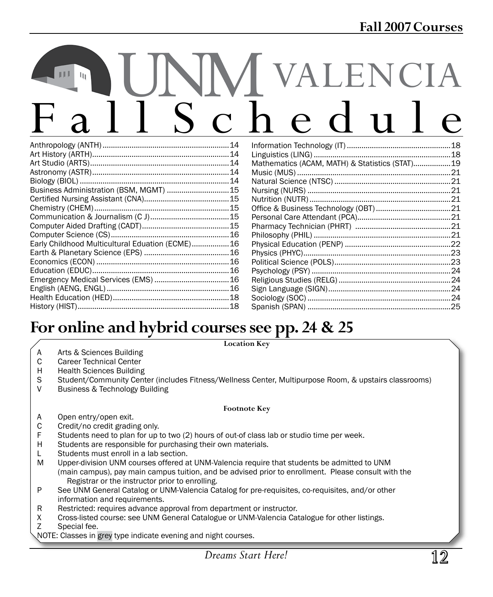# NM VALENCIA<br>S c h e d u l e

|                                         | 14  |
|-----------------------------------------|-----|
|                                         |     |
|                                         |     |
|                                         |     |
|                                         | 14  |
| Business Administration (BSM, MGMT)  15 |     |
|                                         |     |
|                                         |     |
|                                         | 15  |
|                                         |     |
|                                         |     |
|                                         |     |
|                                         |     |
|                                         | 16  |
|                                         | .16 |
|                                         |     |
|                                         |     |
|                                         | 18  |
|                                         | 18  |
|                                         |     |

|                                              | 18  |
|----------------------------------------------|-----|
|                                              | .18 |
| Mathematics (ACAM, MATH) & Statistics (STAT) | 19  |
|                                              |     |
|                                              | .21 |
|                                              | .21 |
|                                              | .21 |
|                                              | .21 |
|                                              |     |
|                                              |     |
|                                              |     |
|                                              |     |
|                                              |     |
|                                              |     |
|                                              |     |
|                                              | .24 |
|                                              | .24 |
|                                              | 24  |
|                                              | .25 |
|                                              |     |

# **For online and hybrid coursessee pp. 24 & 25**

#### **Location Key**

- A Arts & Sciences Building<br>C Career Technical Center
- **Career Technical Center**
- H Health Sciences Building
- S Student/Community Center (includes Fitness/Wellness Center, Multipurpose Room, & upstairs classrooms)
- V Business & Technology Building

#### **Footnote Key**

- A Open entry/open exit.
- C Credit/no credit grading only.<br>F Students need to plan for up to
- F Students need to plan for up to two (2) hours of out-of class lab or studio time per week.<br>H Students are responsible for purchasing their own materials.
- Students are responsible for purchasing their own materials.
- L Students must enroll in a lab section.
- M Upper-division UNM courses offered at UNM-Valencia require that students be admitted to UNM (main campus), pay main campus tuition, and be advised prior to enrollment. Please consult with the Registrar or the instructor prior to enrolling.<br>P See UNM General Catalog or UNM-Valencia Ca
- See UNM General Catalog or UNM-Valencia Catalog for pre-requisites, co-requisites, and/or other information and requirements.
- R Restricted: requires advance approval from department or instructor.
- X Cross-listed course: see UNM General Catalogue or UNM-Valencia Catalogue for other listings.<br>Z Special fee.
- Special fee.
- NOTE: Classes in grey type indicate evening and night courses.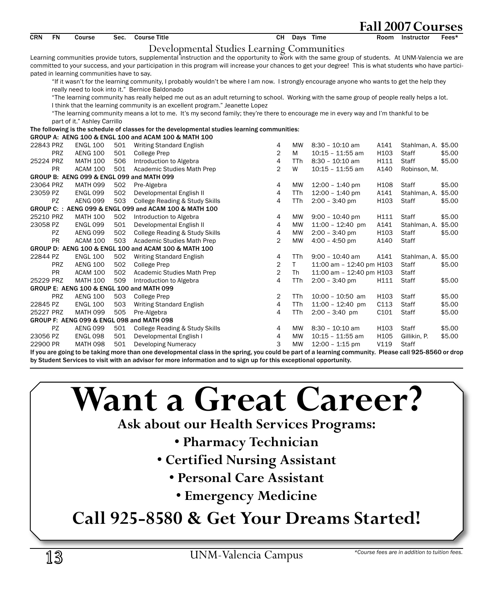| Developmental Studies Learning Communities<br>Learning communities provide tutors, supplemental instruction and the opportunity to work with the same group of students. At UNM-Valencia we are<br>committed to your success, and your participation in this program will increase your chances to get your degree! This is what students who have partici-<br>pated in learning communities have to say.<br>"If it wasn't for the learning community, I probably wouldn't be where I am now. I strongly encourage anyone who wants to get the help they<br>really need to look into it." Bernice Baldonado<br>"The learning community has really helped me out as an adult returning to school. Working with the same group of people really helps a lot.<br>I think that the learning community is an excellent program." Jeanette Lopez<br>"The learning community means a lot to me. It's my second family; they're there to encourage me in every way and I'm thankful to be<br>part of it." Ashley Carrillo<br>The following is the schedule of classes for the developmental studies learning communities:<br>GROUP A: AENG 100 & ENGL 100 and ACAM 100 & MATH 100<br>Writing Standard English<br>22843 PRZ<br><b>ENGL 100</b><br>501<br>4<br><b>MW</b><br>$8:30 - 10:10$ am<br>A141<br>Stahlman, A. \$5.00<br>2<br><b>PRZ</b><br>H103<br>Staff<br><b>AENG 100</b><br>501<br><b>College Prep</b><br>М<br>$10:15 - 11:55$ am<br>\$5.00<br>$\overline{4}$<br>25224 PRZ<br><b>MATH 100</b><br>506<br>Introduction to Algebra<br><b>TTh</b><br>8:30 - 10:10 am<br>H111<br>Staff<br>\$5.00<br>$\overline{2}$<br>PR<br>501<br>W<br>A140<br>ACAM 100<br>Academic Studies Math Prep<br>$10:15 - 11:55$ am<br>Robinson, M.<br>GROUP B: AENG 099 & ENGL 099 and MATH 099<br>23064 PRZ<br><b>MATH 099</b><br>502<br>Pre-Algebra<br>4<br>$12:00 - 1:40$ pm<br>H108<br><b>Staff</b><br>\$5.00<br><b>MW</b><br>4<br>\$5.00<br>23059 PZ<br><b>ENGL 099</b><br>502<br>Developmental English II<br><b>TTh</b><br>$12:00 - 1:40$ pm<br>A141<br>Stahlman, A.<br>503<br>College Reading & Study Skills<br>4<br>TTh<br>$2:00 - 3:40$ pm<br>H103<br>Staff<br>PZ<br><b>AENG 099</b><br>\$5.00<br>GROUP C: : AENG 099 & ENGL 099 and ACAM 100 & MATH 100<br>502<br>25210 PRZ<br><b>MATH 100</b><br>Introduction to Algebra<br>4<br>$9:00 - 10:40$ pm<br>H111<br>Staff<br>\$5.00<br>MW<br>501<br>4<br>$11:00 - 12:40$ pm<br>A141<br>23058 PZ<br><b>ENGL 099</b><br>Developmental English II<br><b>MW</b><br>Stahlman, A. \$5.00<br>PZ<br>502<br>College Reading & Study Skills<br>4<br><b>MW</b><br>$2:00 - 3:40$ pm<br>H103<br>\$5.00<br><b>AENG 099</b><br>Staff<br><b>PR</b><br>$\overline{2}$<br>ACAM 100<br>503<br>Academic Studies Math Prep<br><b>MW</b><br>$4:00 - 4:50$ pm<br>A140<br>Staff<br>GROUP D: AENG 100 & ENGL 100 and ACAM 100 & MATH 100<br>22844 PZ<br><b>ENGL 100</b><br>502<br>Writing Standard English<br>4<br>TTh<br>$9:00 - 10:40$ am<br>A141<br>Stahlman, A. \$5.00<br>$\overline{2}$<br>T.<br>PRZ<br><b>AENG 100</b><br>502<br>11:00 am - 12:40 pm H103<br>Staff<br>\$5.00<br><b>College Prep</b><br>$\overline{2}$<br><b>PR</b><br>502<br><b>ACAM 100</b><br>Academic Studies Math Prep<br><b>Th</b><br>11:00 am - 12:40 pm H103<br>Staff<br>4<br>509<br>25229 PRZ<br><b>MATH 100</b><br>Introduction to Algebra<br>TTh<br>$2:00 - 3:40$ pm<br>H111<br>Staff<br>\$5.00<br>GROUP E: AENG 100 & ENGL 100 and MATH 099<br><b>PRZ</b><br><b>AENG 100</b><br>503<br>2<br><b>TTh</b><br>$10:00 - 10:50$ am<br>H <sub>103</sub><br>Staff<br>\$5.00<br><b>College Prep</b><br>4<br>TTh<br>C113<br>\$5.00<br>22845 PZ<br><b>ENGL 100</b><br>503<br>Writing Standard English<br>$11:00 - 12:40$ pm<br>Staff<br>25227 PRZ<br>505<br>4<br>TTh<br>$2:00 - 3:40$ pm<br>C101<br>Staff<br>\$5.00<br><b>MATH 099</b><br>Pre-Algebra | <b>CRN</b> | <b>FN</b> | Course | Sec. | <b>Course Title</b> | CH | Days Time | Room | Instructor | Fees* |
|-------------------------------------------------------------------------------------------------------------------------------------------------------------------------------------------------------------------------------------------------------------------------------------------------------------------------------------------------------------------------------------------------------------------------------------------------------------------------------------------------------------------------------------------------------------------------------------------------------------------------------------------------------------------------------------------------------------------------------------------------------------------------------------------------------------------------------------------------------------------------------------------------------------------------------------------------------------------------------------------------------------------------------------------------------------------------------------------------------------------------------------------------------------------------------------------------------------------------------------------------------------------------------------------------------------------------------------------------------------------------------------------------------------------------------------------------------------------------------------------------------------------------------------------------------------------------------------------------------------------------------------------------------------------------------------------------------------------------------------------------------------------------------------------------------------------------------------------------------------------------------------------------------------------------------------------------------------------------------------------------------------------------------------------------------------------------------------------------------------------------------------------------------------------------------------------------------------------------------------------------------------------------------------------------------------------------------------------------------------------------------------------------------------------------------------------------------------------------------------------------------------------------------------------------------------------------------------------------------------------------------------------------------------------------------------------------------------------------------------------------------------------------------------------------------------------------------------------------------------------------------------------------------------------------------------------------------------------------------------------------------------------------------------------------------------------------------------------------------------------------------------------------------------------------------------------------------------------------------------------------------------------------------------------------------------------------------------------------------------------------------------------------------------------------------------------------------------------------------------------------------------------------------------------------------------------------------------------------------------------------------------------------------------------------------------------------------------------------------------------------------------------------------------------------------------------------------|------------|-----------|--------|------|---------------------|----|-----------|------|------------|-------|
|                                                                                                                                                                                                                                                                                                                                                                                                                                                                                                                                                                                                                                                                                                                                                                                                                                                                                                                                                                                                                                                                                                                                                                                                                                                                                                                                                                                                                                                                                                                                                                                                                                                                                                                                                                                                                                                                                                                                                                                                                                                                                                                                                                                                                                                                                                                                                                                                                                                                                                                                                                                                                                                                                                                                                                                                                                                                                                                                                                                                                                                                                                                                                                                                                                                                                                                                                                                                                                                                                                                                                                                                                                                                                                                                                                                                                               |            |           |        |      |                     |    |           |      |            |       |
|                                                                                                                                                                                                                                                                                                                                                                                                                                                                                                                                                                                                                                                                                                                                                                                                                                                                                                                                                                                                                                                                                                                                                                                                                                                                                                                                                                                                                                                                                                                                                                                                                                                                                                                                                                                                                                                                                                                                                                                                                                                                                                                                                                                                                                                                                                                                                                                                                                                                                                                                                                                                                                                                                                                                                                                                                                                                                                                                                                                                                                                                                                                                                                                                                                                                                                                                                                                                                                                                                                                                                                                                                                                                                                                                                                                                                               |            |           |        |      |                     |    |           |      |            |       |
|                                                                                                                                                                                                                                                                                                                                                                                                                                                                                                                                                                                                                                                                                                                                                                                                                                                                                                                                                                                                                                                                                                                                                                                                                                                                                                                                                                                                                                                                                                                                                                                                                                                                                                                                                                                                                                                                                                                                                                                                                                                                                                                                                                                                                                                                                                                                                                                                                                                                                                                                                                                                                                                                                                                                                                                                                                                                                                                                                                                                                                                                                                                                                                                                                                                                                                                                                                                                                                                                                                                                                                                                                                                                                                                                                                                                                               |            |           |        |      |                     |    |           |      |            |       |
|                                                                                                                                                                                                                                                                                                                                                                                                                                                                                                                                                                                                                                                                                                                                                                                                                                                                                                                                                                                                                                                                                                                                                                                                                                                                                                                                                                                                                                                                                                                                                                                                                                                                                                                                                                                                                                                                                                                                                                                                                                                                                                                                                                                                                                                                                                                                                                                                                                                                                                                                                                                                                                                                                                                                                                                                                                                                                                                                                                                                                                                                                                                                                                                                                                                                                                                                                                                                                                                                                                                                                                                                                                                                                                                                                                                                                               |            |           |        |      |                     |    |           |      |            |       |
|                                                                                                                                                                                                                                                                                                                                                                                                                                                                                                                                                                                                                                                                                                                                                                                                                                                                                                                                                                                                                                                                                                                                                                                                                                                                                                                                                                                                                                                                                                                                                                                                                                                                                                                                                                                                                                                                                                                                                                                                                                                                                                                                                                                                                                                                                                                                                                                                                                                                                                                                                                                                                                                                                                                                                                                                                                                                                                                                                                                                                                                                                                                                                                                                                                                                                                                                                                                                                                                                                                                                                                                                                                                                                                                                                                                                                               |            |           |        |      |                     |    |           |      |            |       |
|                                                                                                                                                                                                                                                                                                                                                                                                                                                                                                                                                                                                                                                                                                                                                                                                                                                                                                                                                                                                                                                                                                                                                                                                                                                                                                                                                                                                                                                                                                                                                                                                                                                                                                                                                                                                                                                                                                                                                                                                                                                                                                                                                                                                                                                                                                                                                                                                                                                                                                                                                                                                                                                                                                                                                                                                                                                                                                                                                                                                                                                                                                                                                                                                                                                                                                                                                                                                                                                                                                                                                                                                                                                                                                                                                                                                                               |            |           |        |      |                     |    |           |      |            |       |
|                                                                                                                                                                                                                                                                                                                                                                                                                                                                                                                                                                                                                                                                                                                                                                                                                                                                                                                                                                                                                                                                                                                                                                                                                                                                                                                                                                                                                                                                                                                                                                                                                                                                                                                                                                                                                                                                                                                                                                                                                                                                                                                                                                                                                                                                                                                                                                                                                                                                                                                                                                                                                                                                                                                                                                                                                                                                                                                                                                                                                                                                                                                                                                                                                                                                                                                                                                                                                                                                                                                                                                                                                                                                                                                                                                                                                               |            |           |        |      |                     |    |           |      |            |       |
|                                                                                                                                                                                                                                                                                                                                                                                                                                                                                                                                                                                                                                                                                                                                                                                                                                                                                                                                                                                                                                                                                                                                                                                                                                                                                                                                                                                                                                                                                                                                                                                                                                                                                                                                                                                                                                                                                                                                                                                                                                                                                                                                                                                                                                                                                                                                                                                                                                                                                                                                                                                                                                                                                                                                                                                                                                                                                                                                                                                                                                                                                                                                                                                                                                                                                                                                                                                                                                                                                                                                                                                                                                                                                                                                                                                                                               |            |           |        |      |                     |    |           |      |            |       |
|                                                                                                                                                                                                                                                                                                                                                                                                                                                                                                                                                                                                                                                                                                                                                                                                                                                                                                                                                                                                                                                                                                                                                                                                                                                                                                                                                                                                                                                                                                                                                                                                                                                                                                                                                                                                                                                                                                                                                                                                                                                                                                                                                                                                                                                                                                                                                                                                                                                                                                                                                                                                                                                                                                                                                                                                                                                                                                                                                                                                                                                                                                                                                                                                                                                                                                                                                                                                                                                                                                                                                                                                                                                                                                                                                                                                                               |            |           |        |      |                     |    |           |      |            |       |
|                                                                                                                                                                                                                                                                                                                                                                                                                                                                                                                                                                                                                                                                                                                                                                                                                                                                                                                                                                                                                                                                                                                                                                                                                                                                                                                                                                                                                                                                                                                                                                                                                                                                                                                                                                                                                                                                                                                                                                                                                                                                                                                                                                                                                                                                                                                                                                                                                                                                                                                                                                                                                                                                                                                                                                                                                                                                                                                                                                                                                                                                                                                                                                                                                                                                                                                                                                                                                                                                                                                                                                                                                                                                                                                                                                                                                               |            |           |        |      |                     |    |           |      |            |       |
|                                                                                                                                                                                                                                                                                                                                                                                                                                                                                                                                                                                                                                                                                                                                                                                                                                                                                                                                                                                                                                                                                                                                                                                                                                                                                                                                                                                                                                                                                                                                                                                                                                                                                                                                                                                                                                                                                                                                                                                                                                                                                                                                                                                                                                                                                                                                                                                                                                                                                                                                                                                                                                                                                                                                                                                                                                                                                                                                                                                                                                                                                                                                                                                                                                                                                                                                                                                                                                                                                                                                                                                                                                                                                                                                                                                                                               |            |           |        |      |                     |    |           |      |            |       |
|                                                                                                                                                                                                                                                                                                                                                                                                                                                                                                                                                                                                                                                                                                                                                                                                                                                                                                                                                                                                                                                                                                                                                                                                                                                                                                                                                                                                                                                                                                                                                                                                                                                                                                                                                                                                                                                                                                                                                                                                                                                                                                                                                                                                                                                                                                                                                                                                                                                                                                                                                                                                                                                                                                                                                                                                                                                                                                                                                                                                                                                                                                                                                                                                                                                                                                                                                                                                                                                                                                                                                                                                                                                                                                                                                                                                                               |            |           |        |      |                     |    |           |      |            |       |
|                                                                                                                                                                                                                                                                                                                                                                                                                                                                                                                                                                                                                                                                                                                                                                                                                                                                                                                                                                                                                                                                                                                                                                                                                                                                                                                                                                                                                                                                                                                                                                                                                                                                                                                                                                                                                                                                                                                                                                                                                                                                                                                                                                                                                                                                                                                                                                                                                                                                                                                                                                                                                                                                                                                                                                                                                                                                                                                                                                                                                                                                                                                                                                                                                                                                                                                                                                                                                                                                                                                                                                                                                                                                                                                                                                                                                               |            |           |        |      |                     |    |           |      |            |       |
|                                                                                                                                                                                                                                                                                                                                                                                                                                                                                                                                                                                                                                                                                                                                                                                                                                                                                                                                                                                                                                                                                                                                                                                                                                                                                                                                                                                                                                                                                                                                                                                                                                                                                                                                                                                                                                                                                                                                                                                                                                                                                                                                                                                                                                                                                                                                                                                                                                                                                                                                                                                                                                                                                                                                                                                                                                                                                                                                                                                                                                                                                                                                                                                                                                                                                                                                                                                                                                                                                                                                                                                                                                                                                                                                                                                                                               |            |           |        |      |                     |    |           |      |            |       |
|                                                                                                                                                                                                                                                                                                                                                                                                                                                                                                                                                                                                                                                                                                                                                                                                                                                                                                                                                                                                                                                                                                                                                                                                                                                                                                                                                                                                                                                                                                                                                                                                                                                                                                                                                                                                                                                                                                                                                                                                                                                                                                                                                                                                                                                                                                                                                                                                                                                                                                                                                                                                                                                                                                                                                                                                                                                                                                                                                                                                                                                                                                                                                                                                                                                                                                                                                                                                                                                                                                                                                                                                                                                                                                                                                                                                                               |            |           |        |      |                     |    |           |      |            |       |
|                                                                                                                                                                                                                                                                                                                                                                                                                                                                                                                                                                                                                                                                                                                                                                                                                                                                                                                                                                                                                                                                                                                                                                                                                                                                                                                                                                                                                                                                                                                                                                                                                                                                                                                                                                                                                                                                                                                                                                                                                                                                                                                                                                                                                                                                                                                                                                                                                                                                                                                                                                                                                                                                                                                                                                                                                                                                                                                                                                                                                                                                                                                                                                                                                                                                                                                                                                                                                                                                                                                                                                                                                                                                                                                                                                                                                               |            |           |        |      |                     |    |           |      |            |       |
|                                                                                                                                                                                                                                                                                                                                                                                                                                                                                                                                                                                                                                                                                                                                                                                                                                                                                                                                                                                                                                                                                                                                                                                                                                                                                                                                                                                                                                                                                                                                                                                                                                                                                                                                                                                                                                                                                                                                                                                                                                                                                                                                                                                                                                                                                                                                                                                                                                                                                                                                                                                                                                                                                                                                                                                                                                                                                                                                                                                                                                                                                                                                                                                                                                                                                                                                                                                                                                                                                                                                                                                                                                                                                                                                                                                                                               |            |           |        |      |                     |    |           |      |            |       |
|                                                                                                                                                                                                                                                                                                                                                                                                                                                                                                                                                                                                                                                                                                                                                                                                                                                                                                                                                                                                                                                                                                                                                                                                                                                                                                                                                                                                                                                                                                                                                                                                                                                                                                                                                                                                                                                                                                                                                                                                                                                                                                                                                                                                                                                                                                                                                                                                                                                                                                                                                                                                                                                                                                                                                                                                                                                                                                                                                                                                                                                                                                                                                                                                                                                                                                                                                                                                                                                                                                                                                                                                                                                                                                                                                                                                                               |            |           |        |      |                     |    |           |      |            |       |
|                                                                                                                                                                                                                                                                                                                                                                                                                                                                                                                                                                                                                                                                                                                                                                                                                                                                                                                                                                                                                                                                                                                                                                                                                                                                                                                                                                                                                                                                                                                                                                                                                                                                                                                                                                                                                                                                                                                                                                                                                                                                                                                                                                                                                                                                                                                                                                                                                                                                                                                                                                                                                                                                                                                                                                                                                                                                                                                                                                                                                                                                                                                                                                                                                                                                                                                                                                                                                                                                                                                                                                                                                                                                                                                                                                                                                               |            |           |        |      |                     |    |           |      |            |       |
|                                                                                                                                                                                                                                                                                                                                                                                                                                                                                                                                                                                                                                                                                                                                                                                                                                                                                                                                                                                                                                                                                                                                                                                                                                                                                                                                                                                                                                                                                                                                                                                                                                                                                                                                                                                                                                                                                                                                                                                                                                                                                                                                                                                                                                                                                                                                                                                                                                                                                                                                                                                                                                                                                                                                                                                                                                                                                                                                                                                                                                                                                                                                                                                                                                                                                                                                                                                                                                                                                                                                                                                                                                                                                                                                                                                                                               |            |           |        |      |                     |    |           |      |            |       |
|                                                                                                                                                                                                                                                                                                                                                                                                                                                                                                                                                                                                                                                                                                                                                                                                                                                                                                                                                                                                                                                                                                                                                                                                                                                                                                                                                                                                                                                                                                                                                                                                                                                                                                                                                                                                                                                                                                                                                                                                                                                                                                                                                                                                                                                                                                                                                                                                                                                                                                                                                                                                                                                                                                                                                                                                                                                                                                                                                                                                                                                                                                                                                                                                                                                                                                                                                                                                                                                                                                                                                                                                                                                                                                                                                                                                                               |            |           |        |      |                     |    |           |      |            |       |
|                                                                                                                                                                                                                                                                                                                                                                                                                                                                                                                                                                                                                                                                                                                                                                                                                                                                                                                                                                                                                                                                                                                                                                                                                                                                                                                                                                                                                                                                                                                                                                                                                                                                                                                                                                                                                                                                                                                                                                                                                                                                                                                                                                                                                                                                                                                                                                                                                                                                                                                                                                                                                                                                                                                                                                                                                                                                                                                                                                                                                                                                                                                                                                                                                                                                                                                                                                                                                                                                                                                                                                                                                                                                                                                                                                                                                               |            |           |        |      |                     |    |           |      |            |       |
|                                                                                                                                                                                                                                                                                                                                                                                                                                                                                                                                                                                                                                                                                                                                                                                                                                                                                                                                                                                                                                                                                                                                                                                                                                                                                                                                                                                                                                                                                                                                                                                                                                                                                                                                                                                                                                                                                                                                                                                                                                                                                                                                                                                                                                                                                                                                                                                                                                                                                                                                                                                                                                                                                                                                                                                                                                                                                                                                                                                                                                                                                                                                                                                                                                                                                                                                                                                                                                                                                                                                                                                                                                                                                                                                                                                                                               |            |           |        |      |                     |    |           |      |            |       |
|                                                                                                                                                                                                                                                                                                                                                                                                                                                                                                                                                                                                                                                                                                                                                                                                                                                                                                                                                                                                                                                                                                                                                                                                                                                                                                                                                                                                                                                                                                                                                                                                                                                                                                                                                                                                                                                                                                                                                                                                                                                                                                                                                                                                                                                                                                                                                                                                                                                                                                                                                                                                                                                                                                                                                                                                                                                                                                                                                                                                                                                                                                                                                                                                                                                                                                                                                                                                                                                                                                                                                                                                                                                                                                                                                                                                                               |            |           |        |      |                     |    |           |      |            |       |
|                                                                                                                                                                                                                                                                                                                                                                                                                                                                                                                                                                                                                                                                                                                                                                                                                                                                                                                                                                                                                                                                                                                                                                                                                                                                                                                                                                                                                                                                                                                                                                                                                                                                                                                                                                                                                                                                                                                                                                                                                                                                                                                                                                                                                                                                                                                                                                                                                                                                                                                                                                                                                                                                                                                                                                                                                                                                                                                                                                                                                                                                                                                                                                                                                                                                                                                                                                                                                                                                                                                                                                                                                                                                                                                                                                                                                               |            |           |        |      |                     |    |           |      |            |       |
|                                                                                                                                                                                                                                                                                                                                                                                                                                                                                                                                                                                                                                                                                                                                                                                                                                                                                                                                                                                                                                                                                                                                                                                                                                                                                                                                                                                                                                                                                                                                                                                                                                                                                                                                                                                                                                                                                                                                                                                                                                                                                                                                                                                                                                                                                                                                                                                                                                                                                                                                                                                                                                                                                                                                                                                                                                                                                                                                                                                                                                                                                                                                                                                                                                                                                                                                                                                                                                                                                                                                                                                                                                                                                                                                                                                                                               |            |           |        |      |                     |    |           |      |            |       |
|                                                                                                                                                                                                                                                                                                                                                                                                                                                                                                                                                                                                                                                                                                                                                                                                                                                                                                                                                                                                                                                                                                                                                                                                                                                                                                                                                                                                                                                                                                                                                                                                                                                                                                                                                                                                                                                                                                                                                                                                                                                                                                                                                                                                                                                                                                                                                                                                                                                                                                                                                                                                                                                                                                                                                                                                                                                                                                                                                                                                                                                                                                                                                                                                                                                                                                                                                                                                                                                                                                                                                                                                                                                                                                                                                                                                                               |            |           |        |      |                     |    |           |      |            |       |
|                                                                                                                                                                                                                                                                                                                                                                                                                                                                                                                                                                                                                                                                                                                                                                                                                                                                                                                                                                                                                                                                                                                                                                                                                                                                                                                                                                                                                                                                                                                                                                                                                                                                                                                                                                                                                                                                                                                                                                                                                                                                                                                                                                                                                                                                                                                                                                                                                                                                                                                                                                                                                                                                                                                                                                                                                                                                                                                                                                                                                                                                                                                                                                                                                                                                                                                                                                                                                                                                                                                                                                                                                                                                                                                                                                                                                               |            |           |        |      |                     |    |           |      |            |       |
|                                                                                                                                                                                                                                                                                                                                                                                                                                                                                                                                                                                                                                                                                                                                                                                                                                                                                                                                                                                                                                                                                                                                                                                                                                                                                                                                                                                                                                                                                                                                                                                                                                                                                                                                                                                                                                                                                                                                                                                                                                                                                                                                                                                                                                                                                                                                                                                                                                                                                                                                                                                                                                                                                                                                                                                                                                                                                                                                                                                                                                                                                                                                                                                                                                                                                                                                                                                                                                                                                                                                                                                                                                                                                                                                                                                                                               |            |           |        |      |                     |    |           |      |            |       |
|                                                                                                                                                                                                                                                                                                                                                                                                                                                                                                                                                                                                                                                                                                                                                                                                                                                                                                                                                                                                                                                                                                                                                                                                                                                                                                                                                                                                                                                                                                                                                                                                                                                                                                                                                                                                                                                                                                                                                                                                                                                                                                                                                                                                                                                                                                                                                                                                                                                                                                                                                                                                                                                                                                                                                                                                                                                                                                                                                                                                                                                                                                                                                                                                                                                                                                                                                                                                                                                                                                                                                                                                                                                                                                                                                                                                                               |            |           |        |      |                     |    |           |      |            |       |
|                                                                                                                                                                                                                                                                                                                                                                                                                                                                                                                                                                                                                                                                                                                                                                                                                                                                                                                                                                                                                                                                                                                                                                                                                                                                                                                                                                                                                                                                                                                                                                                                                                                                                                                                                                                                                                                                                                                                                                                                                                                                                                                                                                                                                                                                                                                                                                                                                                                                                                                                                                                                                                                                                                                                                                                                                                                                                                                                                                                                                                                                                                                                                                                                                                                                                                                                                                                                                                                                                                                                                                                                                                                                                                                                                                                                                               |            |           |        |      |                     |    |           |      |            |       |
|                                                                                                                                                                                                                                                                                                                                                                                                                                                                                                                                                                                                                                                                                                                                                                                                                                                                                                                                                                                                                                                                                                                                                                                                                                                                                                                                                                                                                                                                                                                                                                                                                                                                                                                                                                                                                                                                                                                                                                                                                                                                                                                                                                                                                                                                                                                                                                                                                                                                                                                                                                                                                                                                                                                                                                                                                                                                                                                                                                                                                                                                                                                                                                                                                                                                                                                                                                                                                                                                                                                                                                                                                                                                                                                                                                                                                               |            |           |        |      |                     |    |           |      |            |       |
|                                                                                                                                                                                                                                                                                                                                                                                                                                                                                                                                                                                                                                                                                                                                                                                                                                                                                                                                                                                                                                                                                                                                                                                                                                                                                                                                                                                                                                                                                                                                                                                                                                                                                                                                                                                                                                                                                                                                                                                                                                                                                                                                                                                                                                                                                                                                                                                                                                                                                                                                                                                                                                                                                                                                                                                                                                                                                                                                                                                                                                                                                                                                                                                                                                                                                                                                                                                                                                                                                                                                                                                                                                                                                                                                                                                                                               |            |           |        |      |                     |    |           |      |            |       |
|                                                                                                                                                                                                                                                                                                                                                                                                                                                                                                                                                                                                                                                                                                                                                                                                                                                                                                                                                                                                                                                                                                                                                                                                                                                                                                                                                                                                                                                                                                                                                                                                                                                                                                                                                                                                                                                                                                                                                                                                                                                                                                                                                                                                                                                                                                                                                                                                                                                                                                                                                                                                                                                                                                                                                                                                                                                                                                                                                                                                                                                                                                                                                                                                                                                                                                                                                                                                                                                                                                                                                                                                                                                                                                                                                                                                                               |            |           |        |      |                     |    |           |      |            |       |
| GROUP F: AENG 099 & ENGL 098 and MATH 098                                                                                                                                                                                                                                                                                                                                                                                                                                                                                                                                                                                                                                                                                                                                                                                                                                                                                                                                                                                                                                                                                                                                                                                                                                                                                                                                                                                                                                                                                                                                                                                                                                                                                                                                                                                                                                                                                                                                                                                                                                                                                                                                                                                                                                                                                                                                                                                                                                                                                                                                                                                                                                                                                                                                                                                                                                                                                                                                                                                                                                                                                                                                                                                                                                                                                                                                                                                                                                                                                                                                                                                                                                                                                                                                                                                     |            |           |        |      |                     |    |           |      |            |       |
| <b>PZ</b><br>\$5.00<br><b>AENG 099</b><br>4<br><b>MW</b><br>$8:30 - 10:10$ am<br>H <sub>103</sub><br>Staff<br>501<br>College Reading & Study Skills                                                                                                                                                                                                                                                                                                                                                                                                                                                                                                                                                                                                                                                                                                                                                                                                                                                                                                                                                                                                                                                                                                                                                                                                                                                                                                                                                                                                                                                                                                                                                                                                                                                                                                                                                                                                                                                                                                                                                                                                                                                                                                                                                                                                                                                                                                                                                                                                                                                                                                                                                                                                                                                                                                                                                                                                                                                                                                                                                                                                                                                                                                                                                                                                                                                                                                                                                                                                                                                                                                                                                                                                                                                                           |            |           |        |      |                     |    |           |      |            |       |
| 501<br>4<br>H105<br>\$5.00<br>23056 PZ<br><b>ENGL 098</b><br>Developmental English I<br><b>MW</b><br>$10:15 - 11:55$ am<br>Gillikin, P.                                                                                                                                                                                                                                                                                                                                                                                                                                                                                                                                                                                                                                                                                                                                                                                                                                                                                                                                                                                                                                                                                                                                                                                                                                                                                                                                                                                                                                                                                                                                                                                                                                                                                                                                                                                                                                                                                                                                                                                                                                                                                                                                                                                                                                                                                                                                                                                                                                                                                                                                                                                                                                                                                                                                                                                                                                                                                                                                                                                                                                                                                                                                                                                                                                                                                                                                                                                                                                                                                                                                                                                                                                                                                       |            |           |        |      |                     |    |           |      |            |       |
| 3<br><b>MATH 098</b><br>501<br><b>Developing Numeracy</b><br><b>MW</b><br>$12:00 - 1:15$ pm<br>V119<br>Staff<br>22900 PR<br>If you are going to be taking more than one developmental class in the spring, you could be part of a learning community. Please call 925-8560 or drop                                                                                                                                                                                                                                                                                                                                                                                                                                                                                                                                                                                                                                                                                                                                                                                                                                                                                                                                                                                                                                                                                                                                                                                                                                                                                                                                                                                                                                                                                                                                                                                                                                                                                                                                                                                                                                                                                                                                                                                                                                                                                                                                                                                                                                                                                                                                                                                                                                                                                                                                                                                                                                                                                                                                                                                                                                                                                                                                                                                                                                                                                                                                                                                                                                                                                                                                                                                                                                                                                                                                            |            |           |        |      |                     |    |           |      |            |       |

by Student Services to visit with an advisor for more information and to sign up for this exceptional opportunity.



*\*Course fees are in addition to tuition fees.*

**Fall 2007 Courses**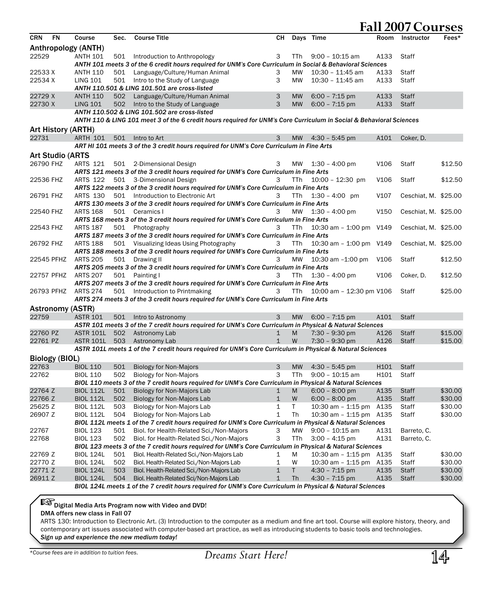| Anthropology (ANTH)<br>22529<br><b>ANTH 101</b><br>$9:00 - 10:15$ am<br>A133<br>Staff<br>501<br>Introduction to Anthropology<br>3<br>TTh<br>ANTH 101 meets 3 of the 6 credit hours required for UNM's Core Curriculum in Social & Behavioral Sciences<br>22533 X<br><b>ANTH 110</b><br>Language/Culture/Human Animal<br>MW<br>10:30 - 11:45 am<br>Staff<br>501<br>3<br>A133<br>3<br>22534 X<br><b>LING 101</b><br>501<br>Intro to the Study of Language<br>MW<br>$10:30 - 11:45$ am<br>A133<br>Staff<br>ANTH 110.501 & LING 101.501 are cross-listed<br>22729 X<br><b>ANTH 110</b><br>502<br>Language/Culture/Human Animal<br>3<br><b>MW</b><br>$6:00 - 7:15$ pm<br>A133<br><b>Staff</b><br>22730 X<br>3<br>$6:00 - 7:15$ pm<br>A133<br><b>LING 101</b><br>502<br>Intro to the Study of Language<br><b>MW</b><br>Staff<br>ANTH 110.502 & LING 101.502 are cross-listed<br>ANTH 110 & LING 101 meet 3 of the 6 credit hours required for UNM's Core Curriculum in Social & Behavioral Sciences<br>Art History (ARTH)<br>22731<br><b>ARTH 101</b><br>501<br>$4:30 - 5:45$ pm<br>A101<br>Coker, D.<br>Intro to Art<br>3<br><b>MW</b><br>ART HI 101 meets 3 of the 3 credit hours required for UNM's Core Curriculum in Fine Arts<br><b>Art Studio (ARTS</b><br>26790 FHZ<br>ARTS 121<br>V106<br>\$12.50<br>501 2-Dimensional Design<br><b>MW</b><br>$1:30 - 4:00$ pm<br>Staff<br>3<br>ARTS 121 meets 3 of the 3 credit hours required for UNM's Core Curriculum in Fine Arts<br>22536 FHZ<br><b>ARTS 122</b><br>501 3-Dimensional Design<br>3<br><b>TTh</b><br>$10:00 - 12:30$ pm<br>V <sub>106</sub><br>Staff<br>\$12.50<br>ARTS 122 meets 3 of the 3 credit hours required for UNM's Core Curriculum in Fine Arts<br>501 Introduction to Electronic Art<br>$1:30 - 4:00$ pm<br>V107<br>Ceschiat, M. \$25.00<br>26791 FHZ<br>ARTS 130<br>3<br><b>TTh</b><br>ARTS 130 meets 3 of the 3 credit hours required for UNM's Core Curriculum in Fine Arts<br>22540 FHZ<br><b>ARTS 168</b><br>MW<br>$1:30 - 4:00$ pm<br>V <sub>150</sub><br>Ceschiat, M. \$25.00<br>501 Ceramics I<br>3<br>ARTS 168 meets 3 of the 3 credit hours required for UNM's Core Curriculum in Fine Arts<br>10:30 am - 1:00 pm V149<br><b>ARTS 187</b><br>Ceschiat, M. \$25.00<br>22543 FHZ<br>501<br>Photography<br>3<br>TTh.<br>ARTS 187 meets 3 of the 3 credit hours required for UNM's Core Curriculum in Fine Arts<br>26792 FHZ<br><b>ARTS 188</b><br>501 Visualizing Ideas Using Photography<br>TTh<br>10:30 am - 1:00 pm V149<br>Ceschiat, M. \$25.00<br>3<br>ARTS 188 meets 3 of the 3 credit hours required for UNM's Core Curriculum in Fine Arts<br>22545 PFHZ<br><b>ARTS 205</b><br>501 Drawing II<br>MW<br>10:30 am -1:00 pm<br>V <sub>106</sub><br>Staff<br>\$12.50<br>3<br>ARTS 205 meets 3 of the 3 credit hours required for UNM's Core Curriculum in Fine Arts<br>22757 PFHZ<br><b>ARTS 207</b><br>$1:30 - 4:00$ pm<br>V <sub>106</sub><br>Coker, D.<br>\$12.50<br>501 Painting I<br>3<br>TTh.<br>ARTS 207 meets 3 of the 3 credit hours required for UNM's Core Curriculum in Fine Arts<br>\$25.00<br>26793 PFHZ<br><b>ARTS 274</b><br>501 Introduction to Printmaking<br>3<br>TTh<br>10:00 am - 12:30 pm V106<br>Staff<br>ARTS 274 meets 3 of the 3 credit hours required for UNM's Core Curriculum in Fine Arts<br><b>Astronomy (ASTR)</b><br>22759<br><b>ASTR 101</b><br>3<br><b>MW</b><br>$6:00 - 7:15$ pm<br>A101<br><b>Staff</b><br>501<br>Intro to Astronomy<br>ASTR 101 meets 3 of the 7 credit hours required for UNM's Core Curriculum in Physical & Natural Sciences<br>22760 PZ<br>$7:30 - 9:30$ pm<br>\$15.00<br><b>ASTR 101L</b><br>502 Astronomy Lab<br>M<br>A126<br><b>Staff</b><br>1<br>22761 PZ<br>$\mathbf{1}$<br>W<br>7:30 - 9:30 pm<br>A126<br>\$15.00<br>ASTR 101L 503 Astronomy Lab<br><b>Staff</b><br>ASTR 101L meets 1 of the 7 credit hours required for UNM's Core Curriculum in Physical & Natural Sciences<br><b>Biology (BIOL)</b><br>22763<br><b>BIOL 110</b><br>501<br><b>Biology for Non-Majors</b><br>3<br><b>MW</b><br>$4:30 - 5:45$ pm<br>H <sub>101</sub><br><b>Staff</b><br>22762<br>3<br>TTh<br><b>BIOL 110</b><br>502<br><b>Biology for Non-Majors</b><br>$9:00 - 10:15$ am<br>H101<br>Staff<br>BIOL 110 meets 3 of the 7 credit hours required for UNM's Core Curriculum in Physical & Natural Sciences<br>22764 Z<br><b>BIOL 112L</b><br>501<br>Biology for Non-Majors Lab<br>M<br>A135<br>\$30.00<br>$\mathbf 1$<br>$6:00 - 8:00$ pm<br>Staff<br>W<br>\$30.00<br>22766 Z<br><b>BIOL 112L</b><br>502<br>Biology for Non-Majors Lab<br>$\mathbf{1}$<br>$6:00 - 8:00$ pm<br>A135<br><b>Staff</b><br>25625 Z<br><b>BIOL 112L</b><br>503<br>Biology for Non-Majors Lab<br>1<br>Τ<br>10:30 am - 1:15 pm A135<br>\$30.00<br>Staff<br>$\mathbf{1}$<br>Th<br>\$30.00<br>26907 Z<br><b>BIOL 112L</b><br>504<br>Biology for Non-Majors Lab<br>10:30 am - 1:15 pm A135<br>Staff<br>BIOL 112L meets 1 of the 7 credit hours required for UNM's Core Curriculum in Physical & Natural Sciences<br>22767<br><b>BIOL 123</b><br>501<br>Biol. for Health-Related Sci./Non-Majors<br>МW<br>$9:00 - 10:15$ am<br>A131<br>Barreto, C.<br>З<br>3<br>22768<br><b>BIOL 123</b><br>502<br>Biol. for Health-Related Sci./Non-Majors<br>TTh<br>$3:00 - 4:15$ pm<br>A131<br>Barreto, C.<br>BIOL 123 meets 3 of the 7 credit hours required for UNM's Core Curriculum in Physical & Natural Sciences<br>22769 Z<br><b>BIOL 124L</b><br>Biol. Health-Related Sci./Non-Majors Lab<br>M<br>10:30 am - 1:15 pm A135<br>\$30.00<br>501<br>1<br>Staff<br>22770 Z<br><b>BIOL 124L</b><br>\$30.00<br>502<br>Biol. Health-Related Sci./Non-Majors Lab<br>1<br>W<br>$10:30$ am $-1:15$ pm<br>A135<br>Staff<br>22771 Z<br><b>BIOL 124L</b><br>503<br>Biol. Health-Related Sci./Non-Majors Lab<br>Τ<br>$4:30 - 7:15$ pm<br>A135<br>\$30.00<br>$\mathbf 1$<br>Staff<br>26911 Z<br>Th<br><b>BIOL 124L</b><br>504<br>Biol. Health-Related Sci/Non-Majors Lab<br>$\mathbf{1}$<br>$4:30 - 7:15$ pm<br>A135<br><b>Staff</b><br>\$30.00<br>BIOL 124L meets 1 of the 7 credit hours required for UNM's Core Curriculum in Physical & Natural Sciences | <b>CRN</b> | FN | Course | Sec. | <b>Course Title</b> | CН | Days Time | Room | Instructor | Fees* |
|-------------------------------------------------------------------------------------------------------------------------------------------------------------------------------------------------------------------------------------------------------------------------------------------------------------------------------------------------------------------------------------------------------------------------------------------------------------------------------------------------------------------------------------------------------------------------------------------------------------------------------------------------------------------------------------------------------------------------------------------------------------------------------------------------------------------------------------------------------------------------------------------------------------------------------------------------------------------------------------------------------------------------------------------------------------------------------------------------------------------------------------------------------------------------------------------------------------------------------------------------------------------------------------------------------------------------------------------------------------------------------------------------------------------------------------------------------------------------------------------------------------------------------------------------------------------------------------------------------------------------------------------------------------------------------------------------------------------------------------------------------------------------------------------------------------------------------------------------------------------------------------------------------------------------------------------------------------------------------------------------------------------------------------------------------------------------------------------------------------------------------------------------------------------------------------------------------------------------------------------------------------------------------------------------------------------------------------------------------------------------------------------------------------------------------------------------------------------------------------------------------------------------------------------------------------------------------------------------------------------------------------------------------------------------------------------------------------------------------------------------------------------------------------------------------------------------------------------------------------------------------------------------------------------------------------------------------------------------------------------------------------------------------------------------------------------------------------------------------------------------------------------------------------------------------------------------------------------------------------------------------------------------------------------------------------------------------------------------------------------------------------------------------------------------------------------------------------------------------------------------------------------------------------------------------------------------------------------------------------------------------------------------------------------------------------------------------------------------------------------------------------------------------------------------------------------------------------------------------------------------------------------------------------------------------------------------------------------------------------------------------------------------------------------------------------------------------------------------------------------------------------------------------------------------------------------------------------------------------------------------------------------------------------------------------------------------------------------------------------------------------------------------------------------------------------------------------------------------------------------------------------------------------------------------------------------------------------------------------------------------------------------------------------------------------------------------------------------------------------------------------------------------------------------------------------------------------------------------------------------------------------------------------------------------------------------------------------------------------------------------------------------------------------------------------------------------------------------------------------------------------------------------------------------------------------------------------------------------------------------------------------------------------------------------------------------------------------------------------------------------------------------------------------------------------------------------------------------------------------------------------------------------------------------------------------------------------------------------------------------------------------------------------------------------------------------------------------------------------------------------------------------------------------------------------------------------------------------------------------------------------------------------------------------------------------------------------------------------------------------------------------------------------------------------------------------------------------------------------------------------------------|------------|----|--------|------|---------------------|----|-----------|------|------------|-------|
|                                                                                                                                                                                                                                                                                                                                                                                                                                                                                                                                                                                                                                                                                                                                                                                                                                                                                                                                                                                                                                                                                                                                                                                                                                                                                                                                                                                                                                                                                                                                                                                                                                                                                                                                                                                                                                                                                                                                                                                                                                                                                                                                                                                                                                                                                                                                                                                                                                                                                                                                                                                                                                                                                                                                                                                                                                                                                                                                                                                                                                                                                                                                                                                                                                                                                                                                                                                                                                                                                                                                                                                                                                                                                                                                                                                                                                                                                                                                                                                                                                                                                                                                                                                                                                                                                                                                                                                                                                                                                                                                                                                                                                                                                                                                                                                                                                                                                                                                                                                                                                                                                                                                                                                                                                                                                                                                                                                                                                                                                                                                                                                                                                                                                                                                                                                                                                                                                                                                                                                                                                                                                                                                     |            |    |        |      |                     |    |           |      |            |       |
|                                                                                                                                                                                                                                                                                                                                                                                                                                                                                                                                                                                                                                                                                                                                                                                                                                                                                                                                                                                                                                                                                                                                                                                                                                                                                                                                                                                                                                                                                                                                                                                                                                                                                                                                                                                                                                                                                                                                                                                                                                                                                                                                                                                                                                                                                                                                                                                                                                                                                                                                                                                                                                                                                                                                                                                                                                                                                                                                                                                                                                                                                                                                                                                                                                                                                                                                                                                                                                                                                                                                                                                                                                                                                                                                                                                                                                                                                                                                                                                                                                                                                                                                                                                                                                                                                                                                                                                                                                                                                                                                                                                                                                                                                                                                                                                                                                                                                                                                                                                                                                                                                                                                                                                                                                                                                                                                                                                                                                                                                                                                                                                                                                                                                                                                                                                                                                                                                                                                                                                                                                                                                                                                     |            |    |        |      |                     |    |           |      |            |       |
|                                                                                                                                                                                                                                                                                                                                                                                                                                                                                                                                                                                                                                                                                                                                                                                                                                                                                                                                                                                                                                                                                                                                                                                                                                                                                                                                                                                                                                                                                                                                                                                                                                                                                                                                                                                                                                                                                                                                                                                                                                                                                                                                                                                                                                                                                                                                                                                                                                                                                                                                                                                                                                                                                                                                                                                                                                                                                                                                                                                                                                                                                                                                                                                                                                                                                                                                                                                                                                                                                                                                                                                                                                                                                                                                                                                                                                                                                                                                                                                                                                                                                                                                                                                                                                                                                                                                                                                                                                                                                                                                                                                                                                                                                                                                                                                                                                                                                                                                                                                                                                                                                                                                                                                                                                                                                                                                                                                                                                                                                                                                                                                                                                                                                                                                                                                                                                                                                                                                                                                                                                                                                                                                     |            |    |        |      |                     |    |           |      |            |       |
|                                                                                                                                                                                                                                                                                                                                                                                                                                                                                                                                                                                                                                                                                                                                                                                                                                                                                                                                                                                                                                                                                                                                                                                                                                                                                                                                                                                                                                                                                                                                                                                                                                                                                                                                                                                                                                                                                                                                                                                                                                                                                                                                                                                                                                                                                                                                                                                                                                                                                                                                                                                                                                                                                                                                                                                                                                                                                                                                                                                                                                                                                                                                                                                                                                                                                                                                                                                                                                                                                                                                                                                                                                                                                                                                                                                                                                                                                                                                                                                                                                                                                                                                                                                                                                                                                                                                                                                                                                                                                                                                                                                                                                                                                                                                                                                                                                                                                                                                                                                                                                                                                                                                                                                                                                                                                                                                                                                                                                                                                                                                                                                                                                                                                                                                                                                                                                                                                                                                                                                                                                                                                                                                     |            |    |        |      |                     |    |           |      |            |       |
|                                                                                                                                                                                                                                                                                                                                                                                                                                                                                                                                                                                                                                                                                                                                                                                                                                                                                                                                                                                                                                                                                                                                                                                                                                                                                                                                                                                                                                                                                                                                                                                                                                                                                                                                                                                                                                                                                                                                                                                                                                                                                                                                                                                                                                                                                                                                                                                                                                                                                                                                                                                                                                                                                                                                                                                                                                                                                                                                                                                                                                                                                                                                                                                                                                                                                                                                                                                                                                                                                                                                                                                                                                                                                                                                                                                                                                                                                                                                                                                                                                                                                                                                                                                                                                                                                                                                                                                                                                                                                                                                                                                                                                                                                                                                                                                                                                                                                                                                                                                                                                                                                                                                                                                                                                                                                                                                                                                                                                                                                                                                                                                                                                                                                                                                                                                                                                                                                                                                                                                                                                                                                                                                     |            |    |        |      |                     |    |           |      |            |       |
|                                                                                                                                                                                                                                                                                                                                                                                                                                                                                                                                                                                                                                                                                                                                                                                                                                                                                                                                                                                                                                                                                                                                                                                                                                                                                                                                                                                                                                                                                                                                                                                                                                                                                                                                                                                                                                                                                                                                                                                                                                                                                                                                                                                                                                                                                                                                                                                                                                                                                                                                                                                                                                                                                                                                                                                                                                                                                                                                                                                                                                                                                                                                                                                                                                                                                                                                                                                                                                                                                                                                                                                                                                                                                                                                                                                                                                                                                                                                                                                                                                                                                                                                                                                                                                                                                                                                                                                                                                                                                                                                                                                                                                                                                                                                                                                                                                                                                                                                                                                                                                                                                                                                                                                                                                                                                                                                                                                                                                                                                                                                                                                                                                                                                                                                                                                                                                                                                                                                                                                                                                                                                                                                     |            |    |        |      |                     |    |           |      |            |       |
|                                                                                                                                                                                                                                                                                                                                                                                                                                                                                                                                                                                                                                                                                                                                                                                                                                                                                                                                                                                                                                                                                                                                                                                                                                                                                                                                                                                                                                                                                                                                                                                                                                                                                                                                                                                                                                                                                                                                                                                                                                                                                                                                                                                                                                                                                                                                                                                                                                                                                                                                                                                                                                                                                                                                                                                                                                                                                                                                                                                                                                                                                                                                                                                                                                                                                                                                                                                                                                                                                                                                                                                                                                                                                                                                                                                                                                                                                                                                                                                                                                                                                                                                                                                                                                                                                                                                                                                                                                                                                                                                                                                                                                                                                                                                                                                                                                                                                                                                                                                                                                                                                                                                                                                                                                                                                                                                                                                                                                                                                                                                                                                                                                                                                                                                                                                                                                                                                                                                                                                                                                                                                                                                     |            |    |        |      |                     |    |           |      |            |       |
|                                                                                                                                                                                                                                                                                                                                                                                                                                                                                                                                                                                                                                                                                                                                                                                                                                                                                                                                                                                                                                                                                                                                                                                                                                                                                                                                                                                                                                                                                                                                                                                                                                                                                                                                                                                                                                                                                                                                                                                                                                                                                                                                                                                                                                                                                                                                                                                                                                                                                                                                                                                                                                                                                                                                                                                                                                                                                                                                                                                                                                                                                                                                                                                                                                                                                                                                                                                                                                                                                                                                                                                                                                                                                                                                                                                                                                                                                                                                                                                                                                                                                                                                                                                                                                                                                                                                                                                                                                                                                                                                                                                                                                                                                                                                                                                                                                                                                                                                                                                                                                                                                                                                                                                                                                                                                                                                                                                                                                                                                                                                                                                                                                                                                                                                                                                                                                                                                                                                                                                                                                                                                                                                     |            |    |        |      |                     |    |           |      |            |       |
|                                                                                                                                                                                                                                                                                                                                                                                                                                                                                                                                                                                                                                                                                                                                                                                                                                                                                                                                                                                                                                                                                                                                                                                                                                                                                                                                                                                                                                                                                                                                                                                                                                                                                                                                                                                                                                                                                                                                                                                                                                                                                                                                                                                                                                                                                                                                                                                                                                                                                                                                                                                                                                                                                                                                                                                                                                                                                                                                                                                                                                                                                                                                                                                                                                                                                                                                                                                                                                                                                                                                                                                                                                                                                                                                                                                                                                                                                                                                                                                                                                                                                                                                                                                                                                                                                                                                                                                                                                                                                                                                                                                                                                                                                                                                                                                                                                                                                                                                                                                                                                                                                                                                                                                                                                                                                                                                                                                                                                                                                                                                                                                                                                                                                                                                                                                                                                                                                                                                                                                                                                                                                                                                     |            |    |        |      |                     |    |           |      |            |       |
|                                                                                                                                                                                                                                                                                                                                                                                                                                                                                                                                                                                                                                                                                                                                                                                                                                                                                                                                                                                                                                                                                                                                                                                                                                                                                                                                                                                                                                                                                                                                                                                                                                                                                                                                                                                                                                                                                                                                                                                                                                                                                                                                                                                                                                                                                                                                                                                                                                                                                                                                                                                                                                                                                                                                                                                                                                                                                                                                                                                                                                                                                                                                                                                                                                                                                                                                                                                                                                                                                                                                                                                                                                                                                                                                                                                                                                                                                                                                                                                                                                                                                                                                                                                                                                                                                                                                                                                                                                                                                                                                                                                                                                                                                                                                                                                                                                                                                                                                                                                                                                                                                                                                                                                                                                                                                                                                                                                                                                                                                                                                                                                                                                                                                                                                                                                                                                                                                                                                                                                                                                                                                                                                     |            |    |        |      |                     |    |           |      |            |       |
|                                                                                                                                                                                                                                                                                                                                                                                                                                                                                                                                                                                                                                                                                                                                                                                                                                                                                                                                                                                                                                                                                                                                                                                                                                                                                                                                                                                                                                                                                                                                                                                                                                                                                                                                                                                                                                                                                                                                                                                                                                                                                                                                                                                                                                                                                                                                                                                                                                                                                                                                                                                                                                                                                                                                                                                                                                                                                                                                                                                                                                                                                                                                                                                                                                                                                                                                                                                                                                                                                                                                                                                                                                                                                                                                                                                                                                                                                                                                                                                                                                                                                                                                                                                                                                                                                                                                                                                                                                                                                                                                                                                                                                                                                                                                                                                                                                                                                                                                                                                                                                                                                                                                                                                                                                                                                                                                                                                                                                                                                                                                                                                                                                                                                                                                                                                                                                                                                                                                                                                                                                                                                                                                     |            |    |        |      |                     |    |           |      |            |       |
|                                                                                                                                                                                                                                                                                                                                                                                                                                                                                                                                                                                                                                                                                                                                                                                                                                                                                                                                                                                                                                                                                                                                                                                                                                                                                                                                                                                                                                                                                                                                                                                                                                                                                                                                                                                                                                                                                                                                                                                                                                                                                                                                                                                                                                                                                                                                                                                                                                                                                                                                                                                                                                                                                                                                                                                                                                                                                                                                                                                                                                                                                                                                                                                                                                                                                                                                                                                                                                                                                                                                                                                                                                                                                                                                                                                                                                                                                                                                                                                                                                                                                                                                                                                                                                                                                                                                                                                                                                                                                                                                                                                                                                                                                                                                                                                                                                                                                                                                                                                                                                                                                                                                                                                                                                                                                                                                                                                                                                                                                                                                                                                                                                                                                                                                                                                                                                                                                                                                                                                                                                                                                                                                     |            |    |        |      |                     |    |           |      |            |       |
|                                                                                                                                                                                                                                                                                                                                                                                                                                                                                                                                                                                                                                                                                                                                                                                                                                                                                                                                                                                                                                                                                                                                                                                                                                                                                                                                                                                                                                                                                                                                                                                                                                                                                                                                                                                                                                                                                                                                                                                                                                                                                                                                                                                                                                                                                                                                                                                                                                                                                                                                                                                                                                                                                                                                                                                                                                                                                                                                                                                                                                                                                                                                                                                                                                                                                                                                                                                                                                                                                                                                                                                                                                                                                                                                                                                                                                                                                                                                                                                                                                                                                                                                                                                                                                                                                                                                                                                                                                                                                                                                                                                                                                                                                                                                                                                                                                                                                                                                                                                                                                                                                                                                                                                                                                                                                                                                                                                                                                                                                                                                                                                                                                                                                                                                                                                                                                                                                                                                                                                                                                                                                                                                     |            |    |        |      |                     |    |           |      |            |       |
|                                                                                                                                                                                                                                                                                                                                                                                                                                                                                                                                                                                                                                                                                                                                                                                                                                                                                                                                                                                                                                                                                                                                                                                                                                                                                                                                                                                                                                                                                                                                                                                                                                                                                                                                                                                                                                                                                                                                                                                                                                                                                                                                                                                                                                                                                                                                                                                                                                                                                                                                                                                                                                                                                                                                                                                                                                                                                                                                                                                                                                                                                                                                                                                                                                                                                                                                                                                                                                                                                                                                                                                                                                                                                                                                                                                                                                                                                                                                                                                                                                                                                                                                                                                                                                                                                                                                                                                                                                                                                                                                                                                                                                                                                                                                                                                                                                                                                                                                                                                                                                                                                                                                                                                                                                                                                                                                                                                                                                                                                                                                                                                                                                                                                                                                                                                                                                                                                                                                                                                                                                                                                                                                     |            |    |        |      |                     |    |           |      |            |       |
|                                                                                                                                                                                                                                                                                                                                                                                                                                                                                                                                                                                                                                                                                                                                                                                                                                                                                                                                                                                                                                                                                                                                                                                                                                                                                                                                                                                                                                                                                                                                                                                                                                                                                                                                                                                                                                                                                                                                                                                                                                                                                                                                                                                                                                                                                                                                                                                                                                                                                                                                                                                                                                                                                                                                                                                                                                                                                                                                                                                                                                                                                                                                                                                                                                                                                                                                                                                                                                                                                                                                                                                                                                                                                                                                                                                                                                                                                                                                                                                                                                                                                                                                                                                                                                                                                                                                                                                                                                                                                                                                                                                                                                                                                                                                                                                                                                                                                                                                                                                                                                                                                                                                                                                                                                                                                                                                                                                                                                                                                                                                                                                                                                                                                                                                                                                                                                                                                                                                                                                                                                                                                                                                     |            |    |        |      |                     |    |           |      |            |       |
|                                                                                                                                                                                                                                                                                                                                                                                                                                                                                                                                                                                                                                                                                                                                                                                                                                                                                                                                                                                                                                                                                                                                                                                                                                                                                                                                                                                                                                                                                                                                                                                                                                                                                                                                                                                                                                                                                                                                                                                                                                                                                                                                                                                                                                                                                                                                                                                                                                                                                                                                                                                                                                                                                                                                                                                                                                                                                                                                                                                                                                                                                                                                                                                                                                                                                                                                                                                                                                                                                                                                                                                                                                                                                                                                                                                                                                                                                                                                                                                                                                                                                                                                                                                                                                                                                                                                                                                                                                                                                                                                                                                                                                                                                                                                                                                                                                                                                                                                                                                                                                                                                                                                                                                                                                                                                                                                                                                                                                                                                                                                                                                                                                                                                                                                                                                                                                                                                                                                                                                                                                                                                                                                     |            |    |        |      |                     |    |           |      |            |       |
|                                                                                                                                                                                                                                                                                                                                                                                                                                                                                                                                                                                                                                                                                                                                                                                                                                                                                                                                                                                                                                                                                                                                                                                                                                                                                                                                                                                                                                                                                                                                                                                                                                                                                                                                                                                                                                                                                                                                                                                                                                                                                                                                                                                                                                                                                                                                                                                                                                                                                                                                                                                                                                                                                                                                                                                                                                                                                                                                                                                                                                                                                                                                                                                                                                                                                                                                                                                                                                                                                                                                                                                                                                                                                                                                                                                                                                                                                                                                                                                                                                                                                                                                                                                                                                                                                                                                                                                                                                                                                                                                                                                                                                                                                                                                                                                                                                                                                                                                                                                                                                                                                                                                                                                                                                                                                                                                                                                                                                                                                                                                                                                                                                                                                                                                                                                                                                                                                                                                                                                                                                                                                                                                     |            |    |        |      |                     |    |           |      |            |       |
|                                                                                                                                                                                                                                                                                                                                                                                                                                                                                                                                                                                                                                                                                                                                                                                                                                                                                                                                                                                                                                                                                                                                                                                                                                                                                                                                                                                                                                                                                                                                                                                                                                                                                                                                                                                                                                                                                                                                                                                                                                                                                                                                                                                                                                                                                                                                                                                                                                                                                                                                                                                                                                                                                                                                                                                                                                                                                                                                                                                                                                                                                                                                                                                                                                                                                                                                                                                                                                                                                                                                                                                                                                                                                                                                                                                                                                                                                                                                                                                                                                                                                                                                                                                                                                                                                                                                                                                                                                                                                                                                                                                                                                                                                                                                                                                                                                                                                                                                                                                                                                                                                                                                                                                                                                                                                                                                                                                                                                                                                                                                                                                                                                                                                                                                                                                                                                                                                                                                                                                                                                                                                                                                     |            |    |        |      |                     |    |           |      |            |       |
|                                                                                                                                                                                                                                                                                                                                                                                                                                                                                                                                                                                                                                                                                                                                                                                                                                                                                                                                                                                                                                                                                                                                                                                                                                                                                                                                                                                                                                                                                                                                                                                                                                                                                                                                                                                                                                                                                                                                                                                                                                                                                                                                                                                                                                                                                                                                                                                                                                                                                                                                                                                                                                                                                                                                                                                                                                                                                                                                                                                                                                                                                                                                                                                                                                                                                                                                                                                                                                                                                                                                                                                                                                                                                                                                                                                                                                                                                                                                                                                                                                                                                                                                                                                                                                                                                                                                                                                                                                                                                                                                                                                                                                                                                                                                                                                                                                                                                                                                                                                                                                                                                                                                                                                                                                                                                                                                                                                                                                                                                                                                                                                                                                                                                                                                                                                                                                                                                                                                                                                                                                                                                                                                     |            |    |        |      |                     |    |           |      |            |       |
|                                                                                                                                                                                                                                                                                                                                                                                                                                                                                                                                                                                                                                                                                                                                                                                                                                                                                                                                                                                                                                                                                                                                                                                                                                                                                                                                                                                                                                                                                                                                                                                                                                                                                                                                                                                                                                                                                                                                                                                                                                                                                                                                                                                                                                                                                                                                                                                                                                                                                                                                                                                                                                                                                                                                                                                                                                                                                                                                                                                                                                                                                                                                                                                                                                                                                                                                                                                                                                                                                                                                                                                                                                                                                                                                                                                                                                                                                                                                                                                                                                                                                                                                                                                                                                                                                                                                                                                                                                                                                                                                                                                                                                                                                                                                                                                                                                                                                                                                                                                                                                                                                                                                                                                                                                                                                                                                                                                                                                                                                                                                                                                                                                                                                                                                                                                                                                                                                                                                                                                                                                                                                                                                     |            |    |        |      |                     |    |           |      |            |       |
|                                                                                                                                                                                                                                                                                                                                                                                                                                                                                                                                                                                                                                                                                                                                                                                                                                                                                                                                                                                                                                                                                                                                                                                                                                                                                                                                                                                                                                                                                                                                                                                                                                                                                                                                                                                                                                                                                                                                                                                                                                                                                                                                                                                                                                                                                                                                                                                                                                                                                                                                                                                                                                                                                                                                                                                                                                                                                                                                                                                                                                                                                                                                                                                                                                                                                                                                                                                                                                                                                                                                                                                                                                                                                                                                                                                                                                                                                                                                                                                                                                                                                                                                                                                                                                                                                                                                                                                                                                                                                                                                                                                                                                                                                                                                                                                                                                                                                                                                                                                                                                                                                                                                                                                                                                                                                                                                                                                                                                                                                                                                                                                                                                                                                                                                                                                                                                                                                                                                                                                                                                                                                                                                     |            |    |        |      |                     |    |           |      |            |       |
|                                                                                                                                                                                                                                                                                                                                                                                                                                                                                                                                                                                                                                                                                                                                                                                                                                                                                                                                                                                                                                                                                                                                                                                                                                                                                                                                                                                                                                                                                                                                                                                                                                                                                                                                                                                                                                                                                                                                                                                                                                                                                                                                                                                                                                                                                                                                                                                                                                                                                                                                                                                                                                                                                                                                                                                                                                                                                                                                                                                                                                                                                                                                                                                                                                                                                                                                                                                                                                                                                                                                                                                                                                                                                                                                                                                                                                                                                                                                                                                                                                                                                                                                                                                                                                                                                                                                                                                                                                                                                                                                                                                                                                                                                                                                                                                                                                                                                                                                                                                                                                                                                                                                                                                                                                                                                                                                                                                                                                                                                                                                                                                                                                                                                                                                                                                                                                                                                                                                                                                                                                                                                                                                     |            |    |        |      |                     |    |           |      |            |       |
|                                                                                                                                                                                                                                                                                                                                                                                                                                                                                                                                                                                                                                                                                                                                                                                                                                                                                                                                                                                                                                                                                                                                                                                                                                                                                                                                                                                                                                                                                                                                                                                                                                                                                                                                                                                                                                                                                                                                                                                                                                                                                                                                                                                                                                                                                                                                                                                                                                                                                                                                                                                                                                                                                                                                                                                                                                                                                                                                                                                                                                                                                                                                                                                                                                                                                                                                                                                                                                                                                                                                                                                                                                                                                                                                                                                                                                                                                                                                                                                                                                                                                                                                                                                                                                                                                                                                                                                                                                                                                                                                                                                                                                                                                                                                                                                                                                                                                                                                                                                                                                                                                                                                                                                                                                                                                                                                                                                                                                                                                                                                                                                                                                                                                                                                                                                                                                                                                                                                                                                                                                                                                                                                     |            |    |        |      |                     |    |           |      |            |       |
|                                                                                                                                                                                                                                                                                                                                                                                                                                                                                                                                                                                                                                                                                                                                                                                                                                                                                                                                                                                                                                                                                                                                                                                                                                                                                                                                                                                                                                                                                                                                                                                                                                                                                                                                                                                                                                                                                                                                                                                                                                                                                                                                                                                                                                                                                                                                                                                                                                                                                                                                                                                                                                                                                                                                                                                                                                                                                                                                                                                                                                                                                                                                                                                                                                                                                                                                                                                                                                                                                                                                                                                                                                                                                                                                                                                                                                                                                                                                                                                                                                                                                                                                                                                                                                                                                                                                                                                                                                                                                                                                                                                                                                                                                                                                                                                                                                                                                                                                                                                                                                                                                                                                                                                                                                                                                                                                                                                                                                                                                                                                                                                                                                                                                                                                                                                                                                                                                                                                                                                                                                                                                                                                     |            |    |        |      |                     |    |           |      |            |       |
|                                                                                                                                                                                                                                                                                                                                                                                                                                                                                                                                                                                                                                                                                                                                                                                                                                                                                                                                                                                                                                                                                                                                                                                                                                                                                                                                                                                                                                                                                                                                                                                                                                                                                                                                                                                                                                                                                                                                                                                                                                                                                                                                                                                                                                                                                                                                                                                                                                                                                                                                                                                                                                                                                                                                                                                                                                                                                                                                                                                                                                                                                                                                                                                                                                                                                                                                                                                                                                                                                                                                                                                                                                                                                                                                                                                                                                                                                                                                                                                                                                                                                                                                                                                                                                                                                                                                                                                                                                                                                                                                                                                                                                                                                                                                                                                                                                                                                                                                                                                                                                                                                                                                                                                                                                                                                                                                                                                                                                                                                                                                                                                                                                                                                                                                                                                                                                                                                                                                                                                                                                                                                                                                     |            |    |        |      |                     |    |           |      |            |       |
|                                                                                                                                                                                                                                                                                                                                                                                                                                                                                                                                                                                                                                                                                                                                                                                                                                                                                                                                                                                                                                                                                                                                                                                                                                                                                                                                                                                                                                                                                                                                                                                                                                                                                                                                                                                                                                                                                                                                                                                                                                                                                                                                                                                                                                                                                                                                                                                                                                                                                                                                                                                                                                                                                                                                                                                                                                                                                                                                                                                                                                                                                                                                                                                                                                                                                                                                                                                                                                                                                                                                                                                                                                                                                                                                                                                                                                                                                                                                                                                                                                                                                                                                                                                                                                                                                                                                                                                                                                                                                                                                                                                                                                                                                                                                                                                                                                                                                                                                                                                                                                                                                                                                                                                                                                                                                                                                                                                                                                                                                                                                                                                                                                                                                                                                                                                                                                                                                                                                                                                                                                                                                                                                     |            |    |        |      |                     |    |           |      |            |       |
|                                                                                                                                                                                                                                                                                                                                                                                                                                                                                                                                                                                                                                                                                                                                                                                                                                                                                                                                                                                                                                                                                                                                                                                                                                                                                                                                                                                                                                                                                                                                                                                                                                                                                                                                                                                                                                                                                                                                                                                                                                                                                                                                                                                                                                                                                                                                                                                                                                                                                                                                                                                                                                                                                                                                                                                                                                                                                                                                                                                                                                                                                                                                                                                                                                                                                                                                                                                                                                                                                                                                                                                                                                                                                                                                                                                                                                                                                                                                                                                                                                                                                                                                                                                                                                                                                                                                                                                                                                                                                                                                                                                                                                                                                                                                                                                                                                                                                                                                                                                                                                                                                                                                                                                                                                                                                                                                                                                                                                                                                                                                                                                                                                                                                                                                                                                                                                                                                                                                                                                                                                                                                                                                     |            |    |        |      |                     |    |           |      |            |       |
|                                                                                                                                                                                                                                                                                                                                                                                                                                                                                                                                                                                                                                                                                                                                                                                                                                                                                                                                                                                                                                                                                                                                                                                                                                                                                                                                                                                                                                                                                                                                                                                                                                                                                                                                                                                                                                                                                                                                                                                                                                                                                                                                                                                                                                                                                                                                                                                                                                                                                                                                                                                                                                                                                                                                                                                                                                                                                                                                                                                                                                                                                                                                                                                                                                                                                                                                                                                                                                                                                                                                                                                                                                                                                                                                                                                                                                                                                                                                                                                                                                                                                                                                                                                                                                                                                                                                                                                                                                                                                                                                                                                                                                                                                                                                                                                                                                                                                                                                                                                                                                                                                                                                                                                                                                                                                                                                                                                                                                                                                                                                                                                                                                                                                                                                                                                                                                                                                                                                                                                                                                                                                                                                     |            |    |        |      |                     |    |           |      |            |       |
|                                                                                                                                                                                                                                                                                                                                                                                                                                                                                                                                                                                                                                                                                                                                                                                                                                                                                                                                                                                                                                                                                                                                                                                                                                                                                                                                                                                                                                                                                                                                                                                                                                                                                                                                                                                                                                                                                                                                                                                                                                                                                                                                                                                                                                                                                                                                                                                                                                                                                                                                                                                                                                                                                                                                                                                                                                                                                                                                                                                                                                                                                                                                                                                                                                                                                                                                                                                                                                                                                                                                                                                                                                                                                                                                                                                                                                                                                                                                                                                                                                                                                                                                                                                                                                                                                                                                                                                                                                                                                                                                                                                                                                                                                                                                                                                                                                                                                                                                                                                                                                                                                                                                                                                                                                                                                                                                                                                                                                                                                                                                                                                                                                                                                                                                                                                                                                                                                                                                                                                                                                                                                                                                     |            |    |        |      |                     |    |           |      |            |       |
|                                                                                                                                                                                                                                                                                                                                                                                                                                                                                                                                                                                                                                                                                                                                                                                                                                                                                                                                                                                                                                                                                                                                                                                                                                                                                                                                                                                                                                                                                                                                                                                                                                                                                                                                                                                                                                                                                                                                                                                                                                                                                                                                                                                                                                                                                                                                                                                                                                                                                                                                                                                                                                                                                                                                                                                                                                                                                                                                                                                                                                                                                                                                                                                                                                                                                                                                                                                                                                                                                                                                                                                                                                                                                                                                                                                                                                                                                                                                                                                                                                                                                                                                                                                                                                                                                                                                                                                                                                                                                                                                                                                                                                                                                                                                                                                                                                                                                                                                                                                                                                                                                                                                                                                                                                                                                                                                                                                                                                                                                                                                                                                                                                                                                                                                                                                                                                                                                                                                                                                                                                                                                                                                     |            |    |        |      |                     |    |           |      |            |       |
|                                                                                                                                                                                                                                                                                                                                                                                                                                                                                                                                                                                                                                                                                                                                                                                                                                                                                                                                                                                                                                                                                                                                                                                                                                                                                                                                                                                                                                                                                                                                                                                                                                                                                                                                                                                                                                                                                                                                                                                                                                                                                                                                                                                                                                                                                                                                                                                                                                                                                                                                                                                                                                                                                                                                                                                                                                                                                                                                                                                                                                                                                                                                                                                                                                                                                                                                                                                                                                                                                                                                                                                                                                                                                                                                                                                                                                                                                                                                                                                                                                                                                                                                                                                                                                                                                                                                                                                                                                                                                                                                                                                                                                                                                                                                                                                                                                                                                                                                                                                                                                                                                                                                                                                                                                                                                                                                                                                                                                                                                                                                                                                                                                                                                                                                                                                                                                                                                                                                                                                                                                                                                                                                     |            |    |        |      |                     |    |           |      |            |       |
|                                                                                                                                                                                                                                                                                                                                                                                                                                                                                                                                                                                                                                                                                                                                                                                                                                                                                                                                                                                                                                                                                                                                                                                                                                                                                                                                                                                                                                                                                                                                                                                                                                                                                                                                                                                                                                                                                                                                                                                                                                                                                                                                                                                                                                                                                                                                                                                                                                                                                                                                                                                                                                                                                                                                                                                                                                                                                                                                                                                                                                                                                                                                                                                                                                                                                                                                                                                                                                                                                                                                                                                                                                                                                                                                                                                                                                                                                                                                                                                                                                                                                                                                                                                                                                                                                                                                                                                                                                                                                                                                                                                                                                                                                                                                                                                                                                                                                                                                                                                                                                                                                                                                                                                                                                                                                                                                                                                                                                                                                                                                                                                                                                                                                                                                                                                                                                                                                                                                                                                                                                                                                                                                     |            |    |        |      |                     |    |           |      |            |       |
|                                                                                                                                                                                                                                                                                                                                                                                                                                                                                                                                                                                                                                                                                                                                                                                                                                                                                                                                                                                                                                                                                                                                                                                                                                                                                                                                                                                                                                                                                                                                                                                                                                                                                                                                                                                                                                                                                                                                                                                                                                                                                                                                                                                                                                                                                                                                                                                                                                                                                                                                                                                                                                                                                                                                                                                                                                                                                                                                                                                                                                                                                                                                                                                                                                                                                                                                                                                                                                                                                                                                                                                                                                                                                                                                                                                                                                                                                                                                                                                                                                                                                                                                                                                                                                                                                                                                                                                                                                                                                                                                                                                                                                                                                                                                                                                                                                                                                                                                                                                                                                                                                                                                                                                                                                                                                                                                                                                                                                                                                                                                                                                                                                                                                                                                                                                                                                                                                                                                                                                                                                                                                                                                     |            |    |        |      |                     |    |           |      |            |       |
|                                                                                                                                                                                                                                                                                                                                                                                                                                                                                                                                                                                                                                                                                                                                                                                                                                                                                                                                                                                                                                                                                                                                                                                                                                                                                                                                                                                                                                                                                                                                                                                                                                                                                                                                                                                                                                                                                                                                                                                                                                                                                                                                                                                                                                                                                                                                                                                                                                                                                                                                                                                                                                                                                                                                                                                                                                                                                                                                                                                                                                                                                                                                                                                                                                                                                                                                                                                                                                                                                                                                                                                                                                                                                                                                                                                                                                                                                                                                                                                                                                                                                                                                                                                                                                                                                                                                                                                                                                                                                                                                                                                                                                                                                                                                                                                                                                                                                                                                                                                                                                                                                                                                                                                                                                                                                                                                                                                                                                                                                                                                                                                                                                                                                                                                                                                                                                                                                                                                                                                                                                                                                                                                     |            |    |        |      |                     |    |           |      |            |       |
|                                                                                                                                                                                                                                                                                                                                                                                                                                                                                                                                                                                                                                                                                                                                                                                                                                                                                                                                                                                                                                                                                                                                                                                                                                                                                                                                                                                                                                                                                                                                                                                                                                                                                                                                                                                                                                                                                                                                                                                                                                                                                                                                                                                                                                                                                                                                                                                                                                                                                                                                                                                                                                                                                                                                                                                                                                                                                                                                                                                                                                                                                                                                                                                                                                                                                                                                                                                                                                                                                                                                                                                                                                                                                                                                                                                                                                                                                                                                                                                                                                                                                                                                                                                                                                                                                                                                                                                                                                                                                                                                                                                                                                                                                                                                                                                                                                                                                                                                                                                                                                                                                                                                                                                                                                                                                                                                                                                                                                                                                                                                                                                                                                                                                                                                                                                                                                                                                                                                                                                                                                                                                                                                     |            |    |        |      |                     |    |           |      |            |       |
|                                                                                                                                                                                                                                                                                                                                                                                                                                                                                                                                                                                                                                                                                                                                                                                                                                                                                                                                                                                                                                                                                                                                                                                                                                                                                                                                                                                                                                                                                                                                                                                                                                                                                                                                                                                                                                                                                                                                                                                                                                                                                                                                                                                                                                                                                                                                                                                                                                                                                                                                                                                                                                                                                                                                                                                                                                                                                                                                                                                                                                                                                                                                                                                                                                                                                                                                                                                                                                                                                                                                                                                                                                                                                                                                                                                                                                                                                                                                                                                                                                                                                                                                                                                                                                                                                                                                                                                                                                                                                                                                                                                                                                                                                                                                                                                                                                                                                                                                                                                                                                                                                                                                                                                                                                                                                                                                                                                                                                                                                                                                                                                                                                                                                                                                                                                                                                                                                                                                                                                                                                                                                                                                     |            |    |        |      |                     |    |           |      |            |       |
|                                                                                                                                                                                                                                                                                                                                                                                                                                                                                                                                                                                                                                                                                                                                                                                                                                                                                                                                                                                                                                                                                                                                                                                                                                                                                                                                                                                                                                                                                                                                                                                                                                                                                                                                                                                                                                                                                                                                                                                                                                                                                                                                                                                                                                                                                                                                                                                                                                                                                                                                                                                                                                                                                                                                                                                                                                                                                                                                                                                                                                                                                                                                                                                                                                                                                                                                                                                                                                                                                                                                                                                                                                                                                                                                                                                                                                                                                                                                                                                                                                                                                                                                                                                                                                                                                                                                                                                                                                                                                                                                                                                                                                                                                                                                                                                                                                                                                                                                                                                                                                                                                                                                                                                                                                                                                                                                                                                                                                                                                                                                                                                                                                                                                                                                                                                                                                                                                                                                                                                                                                                                                                                                     |            |    |        |      |                     |    |           |      |            |       |
|                                                                                                                                                                                                                                                                                                                                                                                                                                                                                                                                                                                                                                                                                                                                                                                                                                                                                                                                                                                                                                                                                                                                                                                                                                                                                                                                                                                                                                                                                                                                                                                                                                                                                                                                                                                                                                                                                                                                                                                                                                                                                                                                                                                                                                                                                                                                                                                                                                                                                                                                                                                                                                                                                                                                                                                                                                                                                                                                                                                                                                                                                                                                                                                                                                                                                                                                                                                                                                                                                                                                                                                                                                                                                                                                                                                                                                                                                                                                                                                                                                                                                                                                                                                                                                                                                                                                                                                                                                                                                                                                                                                                                                                                                                                                                                                                                                                                                                                                                                                                                                                                                                                                                                                                                                                                                                                                                                                                                                                                                                                                                                                                                                                                                                                                                                                                                                                                                                                                                                                                                                                                                                                                     |            |    |        |      |                     |    |           |      |            |       |
|                                                                                                                                                                                                                                                                                                                                                                                                                                                                                                                                                                                                                                                                                                                                                                                                                                                                                                                                                                                                                                                                                                                                                                                                                                                                                                                                                                                                                                                                                                                                                                                                                                                                                                                                                                                                                                                                                                                                                                                                                                                                                                                                                                                                                                                                                                                                                                                                                                                                                                                                                                                                                                                                                                                                                                                                                                                                                                                                                                                                                                                                                                                                                                                                                                                                                                                                                                                                                                                                                                                                                                                                                                                                                                                                                                                                                                                                                                                                                                                                                                                                                                                                                                                                                                                                                                                                                                                                                                                                                                                                                                                                                                                                                                                                                                                                                                                                                                                                                                                                                                                                                                                                                                                                                                                                                                                                                                                                                                                                                                                                                                                                                                                                                                                                                                                                                                                                                                                                                                                                                                                                                                                                     |            |    |        |      |                     |    |           |      |            |       |
|                                                                                                                                                                                                                                                                                                                                                                                                                                                                                                                                                                                                                                                                                                                                                                                                                                                                                                                                                                                                                                                                                                                                                                                                                                                                                                                                                                                                                                                                                                                                                                                                                                                                                                                                                                                                                                                                                                                                                                                                                                                                                                                                                                                                                                                                                                                                                                                                                                                                                                                                                                                                                                                                                                                                                                                                                                                                                                                                                                                                                                                                                                                                                                                                                                                                                                                                                                                                                                                                                                                                                                                                                                                                                                                                                                                                                                                                                                                                                                                                                                                                                                                                                                                                                                                                                                                                                                                                                                                                                                                                                                                                                                                                                                                                                                                                                                                                                                                                                                                                                                                                                                                                                                                                                                                                                                                                                                                                                                                                                                                                                                                                                                                                                                                                                                                                                                                                                                                                                                                                                                                                                                                                     |            |    |        |      |                     |    |           |      |            |       |
|                                                                                                                                                                                                                                                                                                                                                                                                                                                                                                                                                                                                                                                                                                                                                                                                                                                                                                                                                                                                                                                                                                                                                                                                                                                                                                                                                                                                                                                                                                                                                                                                                                                                                                                                                                                                                                                                                                                                                                                                                                                                                                                                                                                                                                                                                                                                                                                                                                                                                                                                                                                                                                                                                                                                                                                                                                                                                                                                                                                                                                                                                                                                                                                                                                                                                                                                                                                                                                                                                                                                                                                                                                                                                                                                                                                                                                                                                                                                                                                                                                                                                                                                                                                                                                                                                                                                                                                                                                                                                                                                                                                                                                                                                                                                                                                                                                                                                                                                                                                                                                                                                                                                                                                                                                                                                                                                                                                                                                                                                                                                                                                                                                                                                                                                                                                                                                                                                                                                                                                                                                                                                                                                     |            |    |        |      |                     |    |           |      |            |       |
|                                                                                                                                                                                                                                                                                                                                                                                                                                                                                                                                                                                                                                                                                                                                                                                                                                                                                                                                                                                                                                                                                                                                                                                                                                                                                                                                                                                                                                                                                                                                                                                                                                                                                                                                                                                                                                                                                                                                                                                                                                                                                                                                                                                                                                                                                                                                                                                                                                                                                                                                                                                                                                                                                                                                                                                                                                                                                                                                                                                                                                                                                                                                                                                                                                                                                                                                                                                                                                                                                                                                                                                                                                                                                                                                                                                                                                                                                                                                                                                                                                                                                                                                                                                                                                                                                                                                                                                                                                                                                                                                                                                                                                                                                                                                                                                                                                                                                                                                                                                                                                                                                                                                                                                                                                                                                                                                                                                                                                                                                                                                                                                                                                                                                                                                                                                                                                                                                                                                                                                                                                                                                                                                     |            |    |        |      |                     |    |           |      |            |       |
|                                                                                                                                                                                                                                                                                                                                                                                                                                                                                                                                                                                                                                                                                                                                                                                                                                                                                                                                                                                                                                                                                                                                                                                                                                                                                                                                                                                                                                                                                                                                                                                                                                                                                                                                                                                                                                                                                                                                                                                                                                                                                                                                                                                                                                                                                                                                                                                                                                                                                                                                                                                                                                                                                                                                                                                                                                                                                                                                                                                                                                                                                                                                                                                                                                                                                                                                                                                                                                                                                                                                                                                                                                                                                                                                                                                                                                                                                                                                                                                                                                                                                                                                                                                                                                                                                                                                                                                                                                                                                                                                                                                                                                                                                                                                                                                                                                                                                                                                                                                                                                                                                                                                                                                                                                                                                                                                                                                                                                                                                                                                                                                                                                                                                                                                                                                                                                                                                                                                                                                                                                                                                                                                     |            |    |        |      |                     |    |           |      |            |       |
|                                                                                                                                                                                                                                                                                                                                                                                                                                                                                                                                                                                                                                                                                                                                                                                                                                                                                                                                                                                                                                                                                                                                                                                                                                                                                                                                                                                                                                                                                                                                                                                                                                                                                                                                                                                                                                                                                                                                                                                                                                                                                                                                                                                                                                                                                                                                                                                                                                                                                                                                                                                                                                                                                                                                                                                                                                                                                                                                                                                                                                                                                                                                                                                                                                                                                                                                                                                                                                                                                                                                                                                                                                                                                                                                                                                                                                                                                                                                                                                                                                                                                                                                                                                                                                                                                                                                                                                                                                                                                                                                                                                                                                                                                                                                                                                                                                                                                                                                                                                                                                                                                                                                                                                                                                                                                                                                                                                                                                                                                                                                                                                                                                                                                                                                                                                                                                                                                                                                                                                                                                                                                                                                     |            |    |        |      |                     |    |           |      |            |       |
|                                                                                                                                                                                                                                                                                                                                                                                                                                                                                                                                                                                                                                                                                                                                                                                                                                                                                                                                                                                                                                                                                                                                                                                                                                                                                                                                                                                                                                                                                                                                                                                                                                                                                                                                                                                                                                                                                                                                                                                                                                                                                                                                                                                                                                                                                                                                                                                                                                                                                                                                                                                                                                                                                                                                                                                                                                                                                                                                                                                                                                                                                                                                                                                                                                                                                                                                                                                                                                                                                                                                                                                                                                                                                                                                                                                                                                                                                                                                                                                                                                                                                                                                                                                                                                                                                                                                                                                                                                                                                                                                                                                                                                                                                                                                                                                                                                                                                                                                                                                                                                                                                                                                                                                                                                                                                                                                                                                                                                                                                                                                                                                                                                                                                                                                                                                                                                                                                                                                                                                                                                                                                                                                     |            |    |        |      |                     |    |           |      |            |       |
|                                                                                                                                                                                                                                                                                                                                                                                                                                                                                                                                                                                                                                                                                                                                                                                                                                                                                                                                                                                                                                                                                                                                                                                                                                                                                                                                                                                                                                                                                                                                                                                                                                                                                                                                                                                                                                                                                                                                                                                                                                                                                                                                                                                                                                                                                                                                                                                                                                                                                                                                                                                                                                                                                                                                                                                                                                                                                                                                                                                                                                                                                                                                                                                                                                                                                                                                                                                                                                                                                                                                                                                                                                                                                                                                                                                                                                                                                                                                                                                                                                                                                                                                                                                                                                                                                                                                                                                                                                                                                                                                                                                                                                                                                                                                                                                                                                                                                                                                                                                                                                                                                                                                                                                                                                                                                                                                                                                                                                                                                                                                                                                                                                                                                                                                                                                                                                                                                                                                                                                                                                                                                                                                     |            |    |        |      |                     |    |           |      |            |       |
|                                                                                                                                                                                                                                                                                                                                                                                                                                                                                                                                                                                                                                                                                                                                                                                                                                                                                                                                                                                                                                                                                                                                                                                                                                                                                                                                                                                                                                                                                                                                                                                                                                                                                                                                                                                                                                                                                                                                                                                                                                                                                                                                                                                                                                                                                                                                                                                                                                                                                                                                                                                                                                                                                                                                                                                                                                                                                                                                                                                                                                                                                                                                                                                                                                                                                                                                                                                                                                                                                                                                                                                                                                                                                                                                                                                                                                                                                                                                                                                                                                                                                                                                                                                                                                                                                                                                                                                                                                                                                                                                                                                                                                                                                                                                                                                                                                                                                                                                                                                                                                                                                                                                                                                                                                                                                                                                                                                                                                                                                                                                                                                                                                                                                                                                                                                                                                                                                                                                                                                                                                                                                                                                     |            |    |        |      |                     |    |           |      |            |       |
|                                                                                                                                                                                                                                                                                                                                                                                                                                                                                                                                                                                                                                                                                                                                                                                                                                                                                                                                                                                                                                                                                                                                                                                                                                                                                                                                                                                                                                                                                                                                                                                                                                                                                                                                                                                                                                                                                                                                                                                                                                                                                                                                                                                                                                                                                                                                                                                                                                                                                                                                                                                                                                                                                                                                                                                                                                                                                                                                                                                                                                                                                                                                                                                                                                                                                                                                                                                                                                                                                                                                                                                                                                                                                                                                                                                                                                                                                                                                                                                                                                                                                                                                                                                                                                                                                                                                                                                                                                                                                                                                                                                                                                                                                                                                                                                                                                                                                                                                                                                                                                                                                                                                                                                                                                                                                                                                                                                                                                                                                                                                                                                                                                                                                                                                                                                                                                                                                                                                                                                                                                                                                                                                     |            |    |        |      |                     |    |           |      |            |       |
|                                                                                                                                                                                                                                                                                                                                                                                                                                                                                                                                                                                                                                                                                                                                                                                                                                                                                                                                                                                                                                                                                                                                                                                                                                                                                                                                                                                                                                                                                                                                                                                                                                                                                                                                                                                                                                                                                                                                                                                                                                                                                                                                                                                                                                                                                                                                                                                                                                                                                                                                                                                                                                                                                                                                                                                                                                                                                                                                                                                                                                                                                                                                                                                                                                                                                                                                                                                                                                                                                                                                                                                                                                                                                                                                                                                                                                                                                                                                                                                                                                                                                                                                                                                                                                                                                                                                                                                                                                                                                                                                                                                                                                                                                                                                                                                                                                                                                                                                                                                                                                                                                                                                                                                                                                                                                                                                                                                                                                                                                                                                                                                                                                                                                                                                                                                                                                                                                                                                                                                                                                                                                                                                     |            |    |        |      |                     |    |           |      |            |       |
|                                                                                                                                                                                                                                                                                                                                                                                                                                                                                                                                                                                                                                                                                                                                                                                                                                                                                                                                                                                                                                                                                                                                                                                                                                                                                                                                                                                                                                                                                                                                                                                                                                                                                                                                                                                                                                                                                                                                                                                                                                                                                                                                                                                                                                                                                                                                                                                                                                                                                                                                                                                                                                                                                                                                                                                                                                                                                                                                                                                                                                                                                                                                                                                                                                                                                                                                                                                                                                                                                                                                                                                                                                                                                                                                                                                                                                                                                                                                                                                                                                                                                                                                                                                                                                                                                                                                                                                                                                                                                                                                                                                                                                                                                                                                                                                                                                                                                                                                                                                                                                                                                                                                                                                                                                                                                                                                                                                                                                                                                                                                                                                                                                                                                                                                                                                                                                                                                                                                                                                                                                                                                                                                     |            |    |        |      |                     |    |           |      |            |       |
|                                                                                                                                                                                                                                                                                                                                                                                                                                                                                                                                                                                                                                                                                                                                                                                                                                                                                                                                                                                                                                                                                                                                                                                                                                                                                                                                                                                                                                                                                                                                                                                                                                                                                                                                                                                                                                                                                                                                                                                                                                                                                                                                                                                                                                                                                                                                                                                                                                                                                                                                                                                                                                                                                                                                                                                                                                                                                                                                                                                                                                                                                                                                                                                                                                                                                                                                                                                                                                                                                                                                                                                                                                                                                                                                                                                                                                                                                                                                                                                                                                                                                                                                                                                                                                                                                                                                                                                                                                                                                                                                                                                                                                                                                                                                                                                                                                                                                                                                                                                                                                                                                                                                                                                                                                                                                                                                                                                                                                                                                                                                                                                                                                                                                                                                                                                                                                                                                                                                                                                                                                                                                                                                     |            |    |        |      |                     |    |           |      |            |       |
|                                                                                                                                                                                                                                                                                                                                                                                                                                                                                                                                                                                                                                                                                                                                                                                                                                                                                                                                                                                                                                                                                                                                                                                                                                                                                                                                                                                                                                                                                                                                                                                                                                                                                                                                                                                                                                                                                                                                                                                                                                                                                                                                                                                                                                                                                                                                                                                                                                                                                                                                                                                                                                                                                                                                                                                                                                                                                                                                                                                                                                                                                                                                                                                                                                                                                                                                                                                                                                                                                                                                                                                                                                                                                                                                                                                                                                                                                                                                                                                                                                                                                                                                                                                                                                                                                                                                                                                                                                                                                                                                                                                                                                                                                                                                                                                                                                                                                                                                                                                                                                                                                                                                                                                                                                                                                                                                                                                                                                                                                                                                                                                                                                                                                                                                                                                                                                                                                                                                                                                                                                                                                                                                     |            |    |        |      |                     |    |           |      |            |       |
|                                                                                                                                                                                                                                                                                                                                                                                                                                                                                                                                                                                                                                                                                                                                                                                                                                                                                                                                                                                                                                                                                                                                                                                                                                                                                                                                                                                                                                                                                                                                                                                                                                                                                                                                                                                                                                                                                                                                                                                                                                                                                                                                                                                                                                                                                                                                                                                                                                                                                                                                                                                                                                                                                                                                                                                                                                                                                                                                                                                                                                                                                                                                                                                                                                                                                                                                                                                                                                                                                                                                                                                                                                                                                                                                                                                                                                                                                                                                                                                                                                                                                                                                                                                                                                                                                                                                                                                                                                                                                                                                                                                                                                                                                                                                                                                                                                                                                                                                                                                                                                                                                                                                                                                                                                                                                                                                                                                                                                                                                                                                                                                                                                                                                                                                                                                                                                                                                                                                                                                                                                                                                                                                     |            |    |        |      |                     |    |           |      |            |       |
|                                                                                                                                                                                                                                                                                                                                                                                                                                                                                                                                                                                                                                                                                                                                                                                                                                                                                                                                                                                                                                                                                                                                                                                                                                                                                                                                                                                                                                                                                                                                                                                                                                                                                                                                                                                                                                                                                                                                                                                                                                                                                                                                                                                                                                                                                                                                                                                                                                                                                                                                                                                                                                                                                                                                                                                                                                                                                                                                                                                                                                                                                                                                                                                                                                                                                                                                                                                                                                                                                                                                                                                                                                                                                                                                                                                                                                                                                                                                                                                                                                                                                                                                                                                                                                                                                                                                                                                                                                                                                                                                                                                                                                                                                                                                                                                                                                                                                                                                                                                                                                                                                                                                                                                                                                                                                                                                                                                                                                                                                                                                                                                                                                                                                                                                                                                                                                                                                                                                                                                                                                                                                                                                     |            |    |        |      |                     |    |           |      |            |       |

 $\widehat{\mathbb{L}\mathcal{E}}$  Digital Media Arts Program now with Video and DVD! DMA offers new class in Fall 07

ARTS 130: Introduction to Electronic Art. (3) Introduction to the computer as a medium and fine art tool. Course will explore history, theory, and contemporary art issues associated with computer-based art practice, as well as introducing students to basic tools and technologies. *Sign up and experience the new medium today!*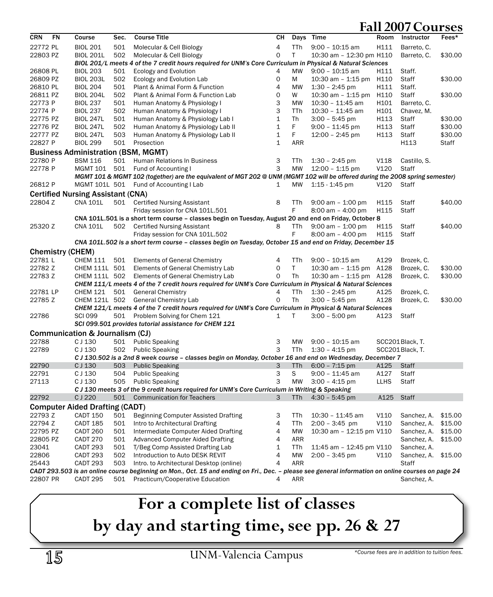| <b>CRN</b>                                                                                                | FN                      | Course                                     | Sec. | <b>Course Title</b>                                                                                                                                | CН | Days         | Time                     | Room | Instructor      | Fees*   |  |  |  |
|-----------------------------------------------------------------------------------------------------------|-------------------------|--------------------------------------------|------|----------------------------------------------------------------------------------------------------------------------------------------------------|----|--------------|--------------------------|------|-----------------|---------|--|--|--|
| 22772 PL                                                                                                  |                         | <b>BIOL 201</b>                            | 501  | Molecular & Cell Biology                                                                                                                           | 4  | TTh          | $9:00 - 10:15$ am        | H111 | Barreto, C.     |         |  |  |  |
| 22803 PZ                                                                                                  |                         | <b>BIOL 201L</b>                           | 502  | Molecular & Cell Biology                                                                                                                           | 0  | $\mathsf{T}$ | 10:30 am - 12:30 pm H110 |      | Barreto, C.     | \$30.00 |  |  |  |
|                                                                                                           |                         |                                            |      | BIOL 201/L meets 4 of the 7 credit hours required for UNM's Core Curriculum in Physical & Natural Sciences                                         |    |              |                          |      |                 |         |  |  |  |
| 26808 PL                                                                                                  |                         | <b>BIOL 203</b>                            | 501  | Ecology and Evolution                                                                                                                              | 4  | MW           | $9:00 - 10:15$ am        | H111 | Staff.          |         |  |  |  |
| 26809 PZ                                                                                                  |                         | <b>BIOL 203L</b>                           | 502  | Ecology and Evolution Lab                                                                                                                          | 0  | М            | 10:30 am - 1:15 pm       | H110 | Staff           | \$30.00 |  |  |  |
| 26810 PL                                                                                                  |                         | <b>BIOL 204</b>                            | 501  | Plant & Animal Form & Function                                                                                                                     | 4  | MW           | $1:30 - 2:45$ pm         | H111 | Staff.          |         |  |  |  |
| 26811 PZ                                                                                                  |                         | <b>BIOL 204L</b>                           | 502  | Plant & Animal Form & Function Lab                                                                                                                 | 0  | W            | $10:30$ am $-1:15$ pm    | H110 | Staff           | \$30.00 |  |  |  |
| 22773 P                                                                                                   |                         | <b>BIOL 237</b>                            | 501  | Human Anatomy & Physiology I                                                                                                                       | 3  | MW           | 10:30 - 11:45 am         | H101 | Barreto, C.     |         |  |  |  |
| 22774 P                                                                                                   |                         | <b>BIOL 237</b>                            | 502  | Human Anatomy & Physiology I                                                                                                                       | 3  | TTh          | 10:30 - 11:45 am         | H101 | Chavez, M.      |         |  |  |  |
| 22775 PZ                                                                                                  |                         | <b>BIOL 247L</b>                           | 501  | Human Anatomy & Physiology Lab I                                                                                                                   | 1  | Th           | $3:00 - 5:45$ pm         | H113 | Staff           | \$30.00 |  |  |  |
| 22776 PZ                                                                                                  |                         | <b>BIOL 247L</b>                           | 502  | Human Anatomy & Physiology Lab II                                                                                                                  | 1  | F            | $9:00 - 11:45$ pm        | H113 | Staff           | \$30.00 |  |  |  |
| 22777 PZ                                                                                                  |                         | <b>BIOL 247L</b>                           | 503  | Human Anatomy & Physiology Lab II                                                                                                                  | 1  | F            | 12:00 - 2:45 pm          | H113 | Staff           | \$30.00 |  |  |  |
| 22827 P                                                                                                   |                         | <b>BIOL 299</b>                            | 501  | Prosection                                                                                                                                         | 1  | <b>ARR</b>   |                          |      | H113            | Staff   |  |  |  |
|                                                                                                           |                         | <b>Business Administration (BSM, MGMT)</b> |      |                                                                                                                                                    |    |              |                          |      |                 |         |  |  |  |
| 22780 P                                                                                                   |                         | <b>BSM 116</b>                             | 501  | Human Relations In Business                                                                                                                        | 3  | TTh          | $1:30 - 2:45$ pm         | V118 | Castillo, S.    |         |  |  |  |
| 22778 P                                                                                                   |                         | MGMT 101 501                               |      | Fund of Accounting I                                                                                                                               | 3  | <b>MW</b>    | $12:00 - 1:15$ pm        | V120 | Staff           |         |  |  |  |
|                                                                                                           |                         |                                            |      | MGMT 101 & MGMT 102 (together) are the equivalent of MGT 202 @ UNM (MGMT 102 will be offered during the 2008 spring semester)                      |    |              |                          |      |                 |         |  |  |  |
| 26812 P                                                                                                   |                         | MGMT 101L 501                              |      | Fund of Accounting I Lab                                                                                                                           | 1  | MW           | $1:15 - 1:45$ pm         | V120 | Staff           |         |  |  |  |
|                                                                                                           |                         | <b>Certified Nursing Assistant (CNA)</b>   |      |                                                                                                                                                    |    |              |                          |      |                 |         |  |  |  |
| 22804 Z                                                                                                   |                         | <b>CNA 101L</b>                            | 501  | <b>Certified Nursing Assistant</b>                                                                                                                 | 8  | TTh          | $9:00$ am $-1:00$ pm     | H115 | Staff           | \$40.00 |  |  |  |
|                                                                                                           |                         |                                            |      | Friday session for CNA 101L.501                                                                                                                    |    | F            | $8:00$ am $-4:00$ pm     | H115 | Staff           |         |  |  |  |
|                                                                                                           |                         |                                            |      | CNA 101L.501 is a short term course - classes begin on Tuesday, August 20 and end on Friday, October 8                                             |    |              |                          |      |                 |         |  |  |  |
| 25320 Z                                                                                                   |                         | <b>CNA 101L</b>                            | 502  | <b>Certified Nursing Assistant</b>                                                                                                                 | 8  | TTh          | $9:00$ am $-1:00$ pm     | H115 | Staff           | \$40.00 |  |  |  |
|                                                                                                           |                         |                                            |      | Friday session for CNA 101L.502                                                                                                                    |    | F            | $8:00$ am $-4:00$ pm     | H115 | Staff           |         |  |  |  |
| CNA 101L.502 is a short term course - classes begin on Tuesday, October 15 and end on Friday, December 15 |                         |                                            |      |                                                                                                                                                    |    |              |                          |      |                 |         |  |  |  |
|                                                                                                           | <b>Chemistry (CHEM)</b> |                                            |      |                                                                                                                                                    |    |              |                          |      |                 |         |  |  |  |
| 22781L                                                                                                    |                         | <b>CHEM 111</b>                            | 501  | <b>Elements of General Chemistry</b>                                                                                                               | 4  | <b>TTh</b>   | $9:00 - 10:15$ am        | A129 | Brozek, C.      |         |  |  |  |
| 22782 Z                                                                                                   |                         | CHEM 111L 501                              |      | Elements of General Chemistry Lab                                                                                                                  | 0  | T            | $10:30$ am $-1:15$ pm    | A128 | Brozek, C.      | \$30.00 |  |  |  |
| 22783 Z                                                                                                   |                         | CHEM 111L 502                              |      | Elements of General Chemistry Lab                                                                                                                  | 0  | Th           | $10:30$ am $-1:15$ pm    | A128 | Brozek, C.      | \$30.00 |  |  |  |
|                                                                                                           |                         |                                            |      | CHEM 111/L meets 4 of the 7 credit hours required for UNM's Core Curriculum in Physical & Natural Sciences                                         |    |              |                          |      |                 |         |  |  |  |
| 22781 LP                                                                                                  |                         | <b>CHEM 121</b>                            | 501  | <b>General Chemistry</b>                                                                                                                           | 4  | TTh          | $1:30 - 2:45$ pm         | A125 | Brozek, C.      |         |  |  |  |
| 22785 Z                                                                                                   |                         | CHEM 121L 502                              |      | <b>General Chemistry Lab</b>                                                                                                                       | 0  | Th           | $3:00 - 5:45$ pm         | A128 | Brozek, C.      | \$30.00 |  |  |  |
|                                                                                                           |                         |                                            |      | CHEM 121/L meets 4 of the 7 credit hours required for UNM's Core Curriculum in Physical & Natural Sciences                                         |    |              |                          |      |                 |         |  |  |  |
| 22786                                                                                                     |                         | <b>SCI 099</b>                             |      | 501 Problem Solving for Chem 121                                                                                                                   | 1  | Т            | $3:00 - 5:00$ pm         | A123 | Staff           |         |  |  |  |
|                                                                                                           |                         |                                            |      | SCI 099.501 provides tutorial assistance for CHEM 121                                                                                              |    |              |                          |      |                 |         |  |  |  |
|                                                                                                           |                         | Communication & Journalism (CJ)            |      |                                                                                                                                                    |    |              |                          |      |                 |         |  |  |  |
| 22788                                                                                                     |                         | CJ 130                                     | 501  | <b>Public Speaking</b>                                                                                                                             | 3  | MW           | $9:00 - 10:15$ am        |      | SCC201Black, T. |         |  |  |  |
| 22789                                                                                                     |                         | C J 130                                    | 502  | <b>Public Speaking</b>                                                                                                                             | 3  | TTh          | $1:30 - 4:15$ pm         |      | SCC201Black, T. |         |  |  |  |
|                                                                                                           |                         |                                            |      | C J 130.502 is a 2nd 8 week course - classes begin on Monday, October 16 and end on Wednesday, December 7                                          |    |              |                          |      |                 |         |  |  |  |
| 22790                                                                                                     |                         | C J 130                                    | 503  | <b>Public Speaking</b>                                                                                                                             | 3  | TTh          | $6:00 - 7:15$ pm         | A125 | <b>Staff</b>    |         |  |  |  |
| 22791                                                                                                     |                         | C J 130                                    | 504  | <b>Public Speaking</b>                                                                                                                             | 3  | S            | $9:00 - 11:45$ am        | A127 | Staff           |         |  |  |  |
| 27113                                                                                                     |                         | C J 130                                    | 505  | <b>Public Speaking</b>                                                                                                                             | 3  | <b>MW</b>    | $3:00 - 4:15$ pm         | LLHS | Staff           |         |  |  |  |
|                                                                                                           |                         |                                            |      | CJ 130 meets 3 of the 9 credit hours required for UNM's Core Curriculum in Writing & Speaking                                                      |    |              |                          |      |                 |         |  |  |  |
| 22792                                                                                                     |                         | CJ 220                                     | 501  | <b>Communication for Teachers</b>                                                                                                                  | 3  | TTh          | $4:30 - 5:45$ pm         | A125 | <b>Staff</b>    |         |  |  |  |
|                                                                                                           |                         | <b>Computer Aided Drafting (CADT)</b>      |      |                                                                                                                                                    |    |              |                          |      |                 |         |  |  |  |
| 22793 Z                                                                                                   |                         | <b>CADT 150</b>                            | 501  | <b>Beginning Computer Assisted Drafting</b>                                                                                                        | 3  | TTh          | 10:30 - 11:45 am         | V110 | Sanchez, A.     | \$15.00 |  |  |  |
| 22794 Z                                                                                                   |                         | <b>CADT 185</b>                            | 501  | Intro to Architectural Drafting                                                                                                                    | 4  | TTh          | $2:00 - 3:45$ pm         | V110 | Sanchez, A.     | \$15.00 |  |  |  |
| 22795 PZ                                                                                                  |                         | CADT 260                                   | 501  | Intermediate Computer Aided Drafting                                                                                                               | 4  | МW           | 10:30 am - 12:15 pm V110 |      | Sanchez, A.     | \$15.00 |  |  |  |
| 22805 PZ                                                                                                  |                         | CADT 270                                   | 501  | <b>Advanced Computer Aided Drafting</b>                                                                                                            | 4  | <b>ARR</b>   |                          |      | Sanchez, A.     | \$15.00 |  |  |  |
| 23041                                                                                                     |                         | CADT 293                                   | 501  | T/Beg Comp Assisted Drafting Lab                                                                                                                   | 1  | TTh          | 11:45 am - 12:45 pm V110 |      | Sanchez, A.     |         |  |  |  |
| 22806                                                                                                     |                         | CADT 293                                   | 502  | Introduction to Auto DESK REVIT                                                                                                                    | 4  | MW           | $2:00 - 3:45$ pm         | V110 | Sanchez, A.     | \$15.00 |  |  |  |
| 25443                                                                                                     |                         | CADT 293                                   | 503  | Intro. to Architectural Desktop (online)                                                                                                           | 4  | <b>ARR</b>   |                          |      | Staff           |         |  |  |  |
|                                                                                                           |                         |                                            |      | CADT 293.503 is an online course beginning on Mon., Oct. 15 and ending on Fri., Dec. - please see general information on online courses on page 24 |    |              |                          |      |                 |         |  |  |  |
| 22807 PR                                                                                                  |                         | CADT 295                                   | 501  | Practicum/Cooperative Education                                                                                                                    | 4  | ARR          |                          |      | Sanchez, A.     |         |  |  |  |

# **For a complete list of classes by day and starting time, see pp. 26 & 27**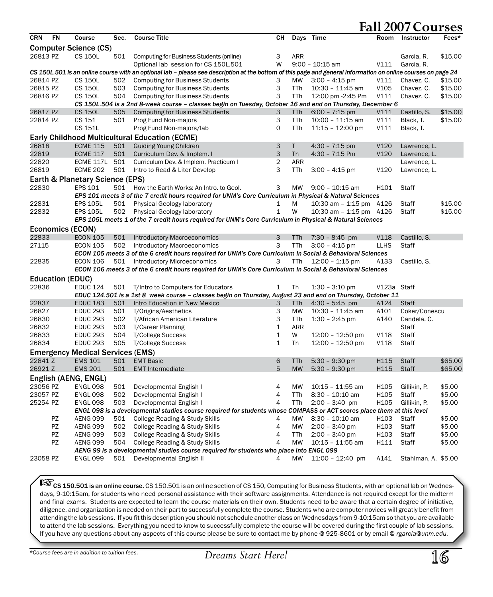| <b>CRN</b> | <b>FN</b>               | Course                                  | Sec. | <b>Course Title</b>                                                                                                                                           | CН           |            | Days Time               | Room        | Instructor          | Fees*   |
|------------|-------------------------|-----------------------------------------|------|---------------------------------------------------------------------------------------------------------------------------------------------------------------|--------------|------------|-------------------------|-------------|---------------------|---------|
|            |                         | <b>Computer Science (CS)</b>            |      |                                                                                                                                                               |              |            |                         |             |                     |         |
| 26813 PZ   |                         | <b>CS 150L</b>                          | 501  | Computing for Business Students (online)                                                                                                                      | 3            | <b>ARR</b> |                         |             | Garcia, R.          | \$15.00 |
|            |                         |                                         |      | Optional lab session for CS 150L.501                                                                                                                          | W            |            | $9:00 - 10:15$ am       | V111        | Garcia, R.          |         |
|            |                         |                                         |      | CS 150L.501 is an online course with an optional lab - please see description at the bottom of this page and general information on online courses on page 24 |              |            |                         |             |                     |         |
| 26814 PZ   |                         | <b>CS 150L</b>                          | 502  | <b>Computing for Business Students</b>                                                                                                                        | 3            | <b>MW</b>  | $3:00 - 4:15$ pm        | V111        | Chavez, C.          | \$15.00 |
| 26815 PZ   |                         | <b>CS 150L</b>                          | 503  | <b>Computing for Business Students</b>                                                                                                                        | 3            | TTh        | $10:30 - 11:45$ am      | V105        | Chavez, C.          | \$15.00 |
| 26816 PZ   |                         | <b>CS 150L</b>                          | 504  | <b>Computing for Business Students</b>                                                                                                                        | 3            | TTh        | 12:00 pm -2:45 Pm       | V111        | Chavez, C.          | \$15.00 |
|            |                         |                                         |      | CS 150L.504 is a 2nd 8-week course - classes begin on Tuesday, October 16 and end on Thursday, December 6                                                     |              |            |                         |             |                     |         |
| 26817 PZ   |                         | <b>CS 150L</b>                          | 505  | <b>Computing for Business Students</b>                                                                                                                        | 3            | TTh        | $6:00 - 7:15$ pm        | V111        | Castillo, S.        | \$15.00 |
| 22814 PZ   |                         | CS 151                                  | 501  | Prog Fund Non-majors                                                                                                                                          | 3            | TTh        | $10:00 - 11:15$ am      | V111        | Black, T.           | \$15.00 |
|            |                         | CS 151L                                 |      | Prog Fund Non-majors/lab                                                                                                                                      | $\mathsf{O}$ | TTh        | $11:15 - 12:00$ pm      | V111        | Black, T.           |         |
|            |                         |                                         |      |                                                                                                                                                               |              |            |                         |             |                     |         |
|            |                         |                                         |      | <b>Early Childhood Multicultural Education (ECME)</b>                                                                                                         |              |            |                         |             |                     |         |
| 26818      |                         | <b>ECME 115</b>                         | 501  | <b>Guiding Young Children</b>                                                                                                                                 | 3            | Τ          | $4:30 - 7:15$ pm        | V120        | Lawrence, L.        |         |
| 22819      |                         | <b>ECME 117</b>                         | 501  | Curriculum Dev. & Implem. I                                                                                                                                   | 3            | <b>Th</b>  | 4:30 - 7:15 Pm          | V120        | Lawrence, L.        |         |
| 22820      |                         | ECME 117L                               | 501  | Curriculum Dev. & Implem. Practicum I                                                                                                                         | 2            | ARR        |                         |             | Lawrence, L.        |         |
| 26819      |                         | <b>ECME 202</b>                         | 501  | Intro to Read & Liter Develop                                                                                                                                 | 3            | TTh        | $3:00 - 4:15$ pm        | V120        | Lawrence, L.        |         |
|            |                         | Earth & Planetary Science (EPS)         |      |                                                                                                                                                               |              |            |                         |             |                     |         |
| 22830      |                         | <b>EPS 101</b>                          | 501  | How the Earth Works: An Intro. to Geol.                                                                                                                       | 3            | <b>MW</b>  | $9:00 - 10:15$ am       | H101        | Staff               |         |
|            |                         |                                         |      | EPS 101 meets 3 of the 7 credit hours required for UNM's Core Curriculum in Physical & Natural Sciences                                                       |              |            |                         |             |                     |         |
| 22831      |                         | <b>EPS 105L</b>                         | 501  | Physical Geology laboratory                                                                                                                                   | 1            | М          | 10:30 am - 1:15 pm A126 |             | Staff               | \$15.00 |
| 22832      |                         | <b>EPS 105L</b>                         | 502  | Physical Geology laboratory                                                                                                                                   | $\mathbf 1$  | W          | 10:30 am - 1:15 pm A126 |             | Staff               | \$15.00 |
|            |                         |                                         |      | EPS 105L meets 1 of the 7 credit hours required for UNM's Core Curriculum in Physical & Natural Sciences                                                      |              |            |                         |             |                     |         |
|            |                         | <b>Economics (ECON)</b>                 |      |                                                                                                                                                               |              |            |                         |             |                     |         |
| 22833      |                         | <b>ECON 105</b>                         | 501  | <b>Introductory Macroeconomics</b>                                                                                                                            | 3            | TTh        | $7:30 - 8:45$ pm        | <b>V118</b> | Castillo, S.        |         |
| 27115      |                         | <b>ECON 105</b>                         | 502  | <b>Introductory Macroeconomics</b>                                                                                                                            | 3            | TTh        | $3:00 - 4:15$ pm        | <b>LLHS</b> | Staff               |         |
|            |                         |                                         |      | ECON 105 meets 3 of the 6 credit hours required for UNM's Core Curriculum in Social & Behavioral Sciences                                                     |              |            |                         |             |                     |         |
| 22835      |                         | <b>ECON 106</b>                         |      | 501 Introductory Microeconomics                                                                                                                               | 3            | TTh        | 12:00 - 1:15 pm         | A133        | Castillo, S.        |         |
|            |                         |                                         |      | ECON 106 meets 3 of the 6 credit hours required for UNM's Core Curriculum in Social & Behavioral Sciences                                                     |              |            |                         |             |                     |         |
|            | <b>Education (EDUC)</b> |                                         |      |                                                                                                                                                               |              |            |                         |             |                     |         |
| 22836      |                         | <b>EDUC 124</b>                         | 501  | T/Intro to Computers for Educators                                                                                                                            | 1            | Th         | $1:30 - 3:10$ pm        | V123a Staff |                     |         |
|            |                         |                                         |      | EDUC 124.501 is a 1st 8 week course - classes begin on Thursday, August 23 and end on Thursday, October 11                                                    |              |            |                         |             |                     |         |
| 22837      |                         | <b>EDUC 183</b>                         | 501  | Intro Education in New Mexico                                                                                                                                 | 3            | TTh        | $4:30 - 5:45$ pm        | A124        | <b>Staff</b>        |         |
| 26827      |                         | <b>EDUC 293</b>                         | 501  | T/Origins/Aesthetics                                                                                                                                          | 3            | <b>MW</b>  | 10:30 - 11:45 am        | A101        | Coker/Conescu       |         |
| 26830      |                         | <b>EDUC 293</b>                         | 502  | T/African American Literature                                                                                                                                 | 3            | TTh        | $1:30 - 2:45$ pm        | A140        | Candela, C.         |         |
| 26832      |                         | <b>EDUC 293</b>                         | 503  | <b>T/Career Planning</b>                                                                                                                                      | $\mathbf 1$  | ARR        |                         |             | Staff               |         |
| 26833      |                         | <b>EDUC 293</b>                         | 504  | <b>T/College Success</b>                                                                                                                                      | 1            | W          | 12:00 - 12:50 pm        | V118        | Staff               |         |
| 26834      |                         | <b>EDUC 293</b>                         | 505  | T/College Success                                                                                                                                             | $\mathbf 1$  | Th         | 12:00 - 12:50 pm        | V118        | <b>Staff</b>        |         |
|            |                         |                                         |      |                                                                                                                                                               |              |            |                         |             |                     |         |
|            |                         | <b>Emergency Medical Services (EMS)</b> |      |                                                                                                                                                               |              |            |                         |             |                     |         |
| 22841 Z    |                         | <b>EMS 101</b>                          | 501  | <b>EMT Basic</b>                                                                                                                                              | 6            | <b>TTh</b> | $5:30 - 9:30$ pm        | H115        | <b>Staff</b>        | \$65.00 |
| 26921 Z    |                         | <b>EMS 201</b>                          | 501  | <b>EMT</b> Intermediate                                                                                                                                       | 5            | <b>MW</b>  | $5:30 - 9:30$ pm        | H115        | <b>Staff</b>        | \$65.00 |
|            |                         | English (AENG, ENGL)                    |      |                                                                                                                                                               |              |            |                         |             |                     |         |
| 23056 PZ   |                         | <b>ENGL 098</b>                         | 501  | Developmental English I                                                                                                                                       | 4            | <b>MW</b>  | $10:15 - 11:55$ am      | H105        | Gillikin, P.        | \$5.00  |
| 23057 PZ   |                         | <b>ENGL 098</b>                         | 502  | Developmental English I                                                                                                                                       | 4            | TTh        | 8:30 - 10:10 am         | H105        | Staff               | \$5.00  |
| 25254 PZ   |                         | <b>ENGL 098</b>                         | 503  | Developmental English I                                                                                                                                       | 4            | TTh        | $2:00 - 3:40$ pm        | H105        | Gillikin, P.        | \$5.00  |
|            |                         |                                         |      | ENGL 098 is a developmental studies course required for students whose COMPASS or ACT scores place them at this level                                         |              |            |                         |             |                     |         |
|            | PZ                      | AENG 099                                | 501  | College Reading & Study Skills                                                                                                                                | 4            | <b>MW</b>  | 8:30 - 10:10 am         | H103        | Staff               | \$5.00  |
|            | <b>PZ</b>               | AENG 099                                | 502  | College Reading & Study Skills                                                                                                                                | 4            | <b>MW</b>  | $2:00 - 3:40$ pm        | H103        | Staff               | \$5.00  |
|            | PZ                      | AENG 099                                | 503  | College Reading & Study Skills                                                                                                                                | 4            | TTh        | $2:00 - 3:40$ pm        | H103        | Staff               | \$5.00  |
|            | <b>PZ</b>               | <b>AENG 099</b>                         | 504  | College Reading & Study Skills                                                                                                                                | 4            | <b>MW</b>  | $10:15 - 11:55$ am      | H111        | Staff               | \$5.00  |
|            |                         |                                         |      | AENG 99 is a developmental studies course required for students who place into ENGL 099                                                                       |              |            |                         |             |                     |         |
| 23058 PZ   |                         | <b>ENGL 099</b>                         | 501  | Developmental English II                                                                                                                                      | 4            | <b>MW</b>  | 11:00 - 12:40 pm        | A141        | Stahlman, A. \$5.00 |         |
|            |                         |                                         |      |                                                                                                                                                               |              |            |                         |             |                     |         |

CS 150.501 is an online course. CS 150.501 is an online section of CS 150, Computing for Business Students, with an optional lab on Wednesdays, 9-10:15am, for students who need personal assistance with their software assignments. Attendance is not required except for the midterm and final exams. Students are expected to learn the course materials on their own. Students need to be aware that a certain degree of initiative, diligence, and organization is needed on their part to successfully complete the course. Students who are computer novices will greatly benefit from attending the lab sessions. If you fit this description you should not schedule another class on Wednesdays from 9-10:15am so that you are available to attend the lab sessions. Everything you need to know to successfully complete the course will be covered during the first couple of lab sessions. If you have any questions about any aspects of this course please be sure to contact me by phone @ 925-8601 or by email @ *rgarcia@unm.edu*.

*\*Course fees are in addition to tuition fees.*

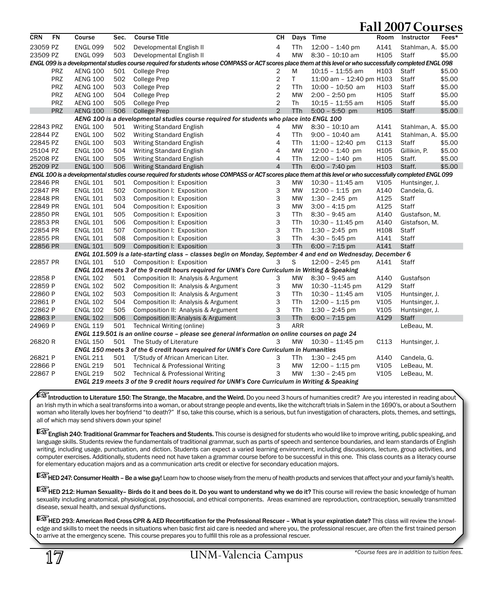| <b>FN</b><br><b>CRN</b> | Course          | Sec. | <b>Course Title</b>                                                                                                                                          | CН             | Days       | Time                     | Room             | Instructor          | Fees*  |
|-------------------------|-----------------|------|--------------------------------------------------------------------------------------------------------------------------------------------------------------|----------------|------------|--------------------------|------------------|---------------------|--------|
| 23059 PZ                | <b>ENGL 099</b> | 502  | Developmental English II                                                                                                                                     | 4              | TTh        | $12:00 - 1:40$ pm        | A141             | Stahlman, A. \$5.00 |        |
| 23509 PZ                | <b>ENGL 099</b> | 503  | Developmental English II                                                                                                                                     | $\overline{4}$ | <b>MW</b>  | $8:30 - 10:10$ am        | H105             | <b>Staff</b>        | \$5.00 |
|                         |                 |      | ENGL 099 is a developmental studies course required for students whose COMPASS or ACT scores place them at this level or who successfully completed ENGL 098 |                |            |                          |                  |                     |        |
| <b>PRZ</b>              | <b>AENG 100</b> | 501  | College Prep                                                                                                                                                 | 2              | M          | $10:15 - 11:55$ am       | H103             | <b>Staff</b>        | \$5.00 |
| <b>PRZ</b>              | <b>AENG 100</b> | 502  | <b>College Prep</b>                                                                                                                                          | $\overline{2}$ | T.         | 11:00 am - 12:40 pm H103 |                  | Staff               | \$5.00 |
| <b>PRZ</b>              | <b>AENG 100</b> | 503  | <b>College Prep</b>                                                                                                                                          | $\overline{2}$ | TTh        | $10:00 - 10:50$ am       | H <sub>103</sub> | Staff               | \$5.00 |
| <b>PRZ</b>              | <b>AENG 100</b> | 504  | <b>College Prep</b>                                                                                                                                          | $\overline{c}$ | MW         | $2:00 - 2:50$ pm         | H <sub>105</sub> | Staff               | \$5.00 |
| <b>PRZ</b>              | <b>AENG 100</b> | 505  | <b>College Prep</b>                                                                                                                                          | $\overline{2}$ | Th         | 10:15 - 11:55 am         | H105             | Staff               | \$5.00 |
| <b>PRZ</b>              | <b>AENG 100</b> | 506  | <b>College Prep</b>                                                                                                                                          | $\overline{2}$ | <b>TTh</b> | $5:00 - 5:50$ pm         | H105             | <b>Staff</b>        | \$5.00 |
|                         |                 |      | AENG 100 is a developmental studies course required for students who place into ENGL 100                                                                     |                |            |                          |                  |                     |        |
| 22843 PRZ               | <b>ENGL 100</b> | 501  | <b>Writing Standard English</b>                                                                                                                              | 4              | MW         | $8:30 - 10:10$ am        | A141             | Stahlman, A. \$5.00 |        |
| 22844 PZ                | <b>ENGL 100</b> | 502  | Writing Standard English                                                                                                                                     | 4              | <b>TTh</b> | $9:00 - 10:40$ am        | A141             | Stahlman, A. \$5.00 |        |
| 22845 PZ                | <b>ENGL 100</b> | 503  | Writing Standard English                                                                                                                                     | 4              | TTh        | $11:00 - 12:40$ pm       | C113             | Staff               | \$5.00 |
| 25104 PZ                | <b>ENGL 100</b> | 504  | Writing Standard English                                                                                                                                     | 4              | <b>MW</b>  | $12:00 - 1:40$ pm        | H105             | Gillikin, P.        | \$5.00 |
| 25208 PZ                | <b>ENGL 100</b> | 505  | <b>Writing Standard English</b>                                                                                                                              | $\overline{4}$ | TTh        | $12:00 - 1:40$ pm        | H105             | Staff.              | \$5.00 |
| 25209 PZ                | <b>ENGL 100</b> | 506  | <b>Writing Standard English</b>                                                                                                                              | $\overline{4}$ | <b>TTh</b> | $6:00 - 7:40$ pm         | H <sub>103</sub> | Staff.              | \$5.00 |
|                         |                 |      | ENGL 100 is a developmental studies course required for students whose COMPASS or ACT scores place them at this level or who successfully completed ENGL 099 |                |            |                          |                  |                     |        |
| 22846 PR                | <b>ENGL 101</b> | 501  | Composition I: Exposition                                                                                                                                    | 3              | MW         | $10:30 - 11:45$ am       | V <sub>105</sub> | Huntsinger, J.      |        |
| 22847 PR                | <b>ENGL 101</b> | 502  | Composition I: Exposition                                                                                                                                    | 3              | MW         | $12:00 - 1:15$ pm        | A140             | Candela, G.         |        |
| 22848 PR                | <b>ENGL 101</b> | 503  | Composition I: Exposition                                                                                                                                    | 3              | MW         | $1:30 - 2:45$ pm         | A125             | Staff               |        |
| 22849 PR                | <b>ENGL 101</b> | 504  | Composition I: Exposition                                                                                                                                    | 3              | <b>MW</b>  | $3:00 - 4:15$ pm         | A125             | Staff               |        |
| 22850 PR                | <b>ENGL 101</b> | 505  | Composition I: Exposition                                                                                                                                    | 3              | TTh        | $8:30 - 9:45$ am         | A140             | Gustafson, M.       |        |
| 22853 PR                | <b>ENGL 101</b> | 506  | Composition I: Exposition                                                                                                                                    | 3              | TTh        | $10:30 - 11:45$ pm       | A140             | Gistafson, M.       |        |
| 22854 PR                | <b>ENGL 101</b> | 507  | Composition I: Exposition                                                                                                                                    | 3              | TTh        | $1:30 - 2:45$ pm         | H108             | Staff               |        |
| 22855 PR                | <b>ENGL 101</b> | 508  | Composition I: Exposition                                                                                                                                    | 3              | TTh        | $4:30 - 5:45$ pm         | A141             | Staff               |        |
| 22856 PR                | <b>ENGL 101</b> | 509  | Composition I: Exposition                                                                                                                                    | 3              | <b>TTh</b> | $6:00 - 7:15$ pm         | A141             | <b>Staff</b>        |        |
|                         |                 |      | ENGL 101.509 is a late-starting class - classes begin on Monday, September 4 and end on Wednesday, December 6                                                |                |            |                          |                  |                     |        |
| 22857 PR                | <b>ENGL 101</b> | 510  | Composition I: Exposition                                                                                                                                    | 3              | S          | $12:00 - 2:45$ pm        | A141             | Staff               |        |
|                         |                 |      | ENGL 101 meets 3 of the 9 credit hours required for UNM's Core Curriculum in Writing & Speaking                                                              |                |            |                          |                  |                     |        |
| 22858 P                 | <b>ENGL 102</b> | 501  | Composition II: Analysis & Argument                                                                                                                          | 3              | MW         | $8:30 - 9:45$ am         | A140             | Gustafson           |        |
| 22859 P                 | <b>ENGL 102</b> | 502  | Composition II: Analysis & Argument                                                                                                                          | 3              | <b>MW</b>  | 10:30 -11:45 pm          | A129             | Staff               |        |
| 22860 P                 | <b>ENGL 102</b> | 503  | Composition II: Analysis & Argument                                                                                                                          | 3              | TTh        | 10:30 - 11:45 am         | V105             | Huntsinger, J.      |        |
| 22861 P                 | <b>ENGL 102</b> | 504  | Composition II: Analysis & Argument                                                                                                                          | 3              | TTh        | 12:00 - 1:15 pm          | V105             | Huntsinger, J.      |        |
| 22862 P                 | <b>ENGL 102</b> | 505  | Composition II: Analysis & Argument                                                                                                                          | 3              | <b>TTh</b> | $1:30 - 2:45$ pm         | V105             | Huntsinger, J.      |        |
| 22863 P                 | <b>ENGL 102</b> | 506  | Composition II: Analysis & Argument                                                                                                                          | 3              | <b>TTh</b> | $6:00 - 7:15$ pm         | A129             | <b>Staff</b>        |        |
| 24969 P                 | <b>ENGL 119</b> | 501  | Technical Writing (online)                                                                                                                                   | 3              | ARR        |                          |                  | LeBeau, M.          |        |
|                         |                 |      | ENGL 119.501 is an online course - please see general information on online courses on page 24                                                               |                |            |                          |                  |                     |        |
| 26820 R                 | <b>ENGL 150</b> | 501  | The Study of Literature                                                                                                                                      | 3              | <b>MW</b>  | $10:30 - 11:45$ pm       | C113             | Huntsinger, J.      |        |
|                         |                 |      | ENGL 150 meets 3 of the 6 credit hours required for UNM's Core Curriculum in Humanities                                                                      |                |            |                          |                  |                     |        |
| 26821 P                 | <b>ENGL 211</b> | 501  | T/Study of African American Liter.                                                                                                                           | 3              | TTh        | $1:30 - 2:45$ pm         | A140             | Candela, G.         |        |
| 22866 P                 | <b>ENGL 219</b> | 501  | Technical & Professional Writing                                                                                                                             | 3              | <b>MW</b>  | $12:00 - 1:15$ pm        | V105             | LeBeau, M.          |        |
| 22867 P                 | <b>ENGL 219</b> | 502  | Technical & Professional Writing                                                                                                                             | 3              | <b>MW</b>  | $1:30 - 2:45$ pm         | V105             | LeBeau, M.          |        |
|                         |                 |      | ENGL 219 meets 3 of the 9 credit hours required for UNM's Core Curriculum in Writing & Speaking                                                              |                |            |                          |                  |                     |        |

 $\mathbb{R}$  Introduction to Literature 150: The Strange, the Macabre, and the Weird. Do you need 3 hours of humanities credit? Are you interested in reading about  $\overline{a}$ an Irish myth in which a seal transforms into a woman, or about strange people and events, like the witchcraft trials in Salem in the 1690's, or about a Southern woman who literally loves her boyfriend "to death?" If so, take this course, which is a serious, but fun investigation of characters, plots, themes, and settings, all of which may send shivers down your spine!

English 240: Traditional Grammar for Teachers and Students. This course is designed for students who would like to improve writing, public speaking, and language skills. Students review the fundamentals of traditional grammar, such as parts of speech and sentence boundaries, and learn standards of English writing, including usage, punctuation, and diction. Students can expect a varied learning environment, including discussions, lecture, group activities, and computer exercises. Additionally, students need not have taken a grammar course before to be successful in this one. This class counts as a literacy course for elementary education majors and as a communication arts credit or elective for secondary education majors.

IG HED 247: Consumer Health – Be a wise guy! Learn how to choose wisely from the menu of health products and services that affect your and your family's health.

IG HED 212: Human Sexuality– Birds do it and bees do it. Do you want to understand why we do it? This course will review the basic knowledge of human sexuality including anatomical, physiological, psychosocial, and ethical components. Areas examined are reproduction, contraception, sexually transmitted disease, sexual health, and sexual dysfunctions.

**ES HED 293: American Red Cross CPR & AED Recertification for the Professional Rescuer – What is your expiration date?** This class will review the knowledge and skills to meet the needs in situations when basic first aid care is needed and where you, the professional rescuer, are often the first trained person to arrive at the emergency scene. This course prepares you to fulfill this role as a professional rescuer.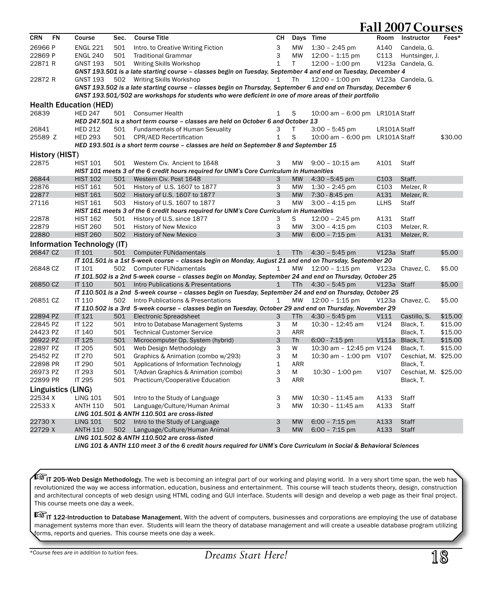| 26966 P<br><b>ENGL 221</b><br>3<br><b>MW</b><br>$1:30 - 2:45$ pm<br>A140<br>Candela, G.<br>501<br>Intro. to Creative Writing Fiction<br>3<br>22869 P<br><b>ENGL 240</b><br>501<br><b>Traditional Grammar</b><br>MW<br>$12:00 - 1:15$ pm<br>C113<br>Huntsinger, J.<br>$\mathbf{1}$<br>T<br>V123a Candela, G.<br>22871 R<br><b>GNST 193</b><br>501<br>Writing Skills Workshop<br>$12:00 - 1:00$ pm<br>GNST 193.501 is a late starting course – classes begin on Tuesday, September 4 and end on Tuesday, December 4<br>V123a Candela, G.<br>22872 R<br><b>GNST 193</b><br>502 Writing Skills Workshop<br><b>Th</b><br>$12:00 - 1:00$ pm<br>1<br>GNST 193.502 is a late starting course - classes begin on Thursday, September 6 and end on Thursday, December 6<br>GNST 193.501/502 are workshops for students who were deficient in one of more areas of their portfolio<br><b>Health Education (HED)</b><br>S<br>26839<br><b>HED 247</b><br>501 Consumer Health<br>$\mathbf{1}$<br>10:00 am - 6:00 pm LR101A Staff<br>HED 247.501 is a short term course - classes are held on October 6 and October 13<br>26841<br><b>HED 212</b><br>501 Fundamentals of Human Sexuality<br>3<br>T<br>$3:00 - 5:45$ pm<br>LR101A Staff<br><b>HED 293</b><br>$\mathbf{1}$<br>S<br>\$30.00<br>25589 Z<br>501 CPR/AED Recertification<br>10:00 am - 6:00 pm LR101A Staff<br>HED 193.501 is a short term course - classes are held on September 8 and September 15<br>History (HIST)<br>22875<br><b>HIST 101</b><br>Western Civ. Ancient to 1648<br>A101<br>Staff<br>501<br>3<br>MW<br>$9:00 - 10:15$ am<br>HIST 101 meets 3 of the 6 credit hours required for UNM's Core Curriculum in Humanities<br>26844<br><b>HIST 102</b><br>Western Civ. Post 1648<br>$4:30 - 5:45$ pm<br>C <sub>103</sub><br>Staff.<br>501<br>3<br><b>MW</b><br>C <sub>103</sub><br>22876<br><b>HIST 161</b><br>3<br><b>MW</b><br>Melzer, R<br>501<br>History of U.S. 1607 to 1877<br>$1:30 - 2:45$ pm<br>3<br>A131<br>22877<br><b>MW</b><br><b>HIST 161</b><br>502<br>History of U.S. 1607 to 1877<br>7:30 - 8:45 pm<br>Melzer, R.<br>27116<br>3<br><b>MW</b><br><b>LLHS</b><br><b>HIST 161</b><br>503<br>History of U.S. 1607 to 1877<br>$3:00 - 4:15$ pm<br>Staff<br>HIST 161 meets 3 of the 6 credit hours required for UNM's Core Curriculum in Humanities<br><b>HIST 162</b><br>A131<br>22878<br>501<br>History of U.S. since 1877<br>3<br>S<br>$12:00 - 2:45$ pm<br>Staff<br>22879<br><b>HIST 260</b><br>3<br><b>MW</b><br>C <sub>103</sub><br>Melzer, R.<br>501<br><b>History of New Mexico</b><br>$3:00 - 4:15$ pm<br>3<br>22880<br><b>HIST 260</b><br>502<br><b>MW</b><br>A131<br><b>History of New Mexico</b><br>$6:00 - 7:15$ pm<br>Melzer, R.<br>Information Technology (IT)<br>26847 CZ<br><b>IT 101</b><br>\$5.00<br>501<br><b>Computer FUNdamentals</b><br>$\mathbf{1}$<br><b>TTh</b><br>$4:30 - 5:45$ pm<br>V123a Staff<br>IT 101.501 is a 1st 5-week course - classes begin on Monday, August 21 and end on Thursday, September 20<br><b>Computer FUNdamentals</b><br>V123a Chavez, C.<br>\$5.00<br>26848 CZ<br><b>IT 101</b><br>502<br><b>MW</b><br>$12:00 - 1:15$ pm<br>1<br>IT 101.502 is a 2nd 5-week course - classes begin on Monday, September 24 and end on Thursday, October 25<br>26850 CZ<br>IT 110<br>Intro Publications & Presentations<br>$4:30 - 5:45$ pm<br>V123a Staff<br>\$5.00<br>501<br>$\mathbf{1}$<br><b>TTh</b><br>IT 110.501 is a 2nd 5-week course - classes begin on Tuesday, September 24 and end on Thursday, October 25<br><b>IT 110</b><br><b>MW</b><br>V123a Chavez, C.<br>\$5.00<br>26851 CZ<br>502<br>Intro Publications & Presentations<br>$\mathbf{1}$<br>$12:00 - 1:15$ pm<br>IT 110.502 is a 3rd 5-week course - classes begin on Tuesday, October 29 and end on Thursday, November 29<br>22894 PZ<br>IT 121<br>\$15.00<br>501<br><b>Electronic Spreadsheet</b><br>3<br><b>TTh</b><br>$4:30 - 5:45$ pm<br>V111<br>Castillo, S.<br>22845 PZ<br><b>IT 122</b><br>501<br>Intro to Database Management Systems<br>3<br>M<br>$10:30 - 12:45$ am<br>V124<br>\$15.00<br>Black, T.<br>3<br>24423 PZ<br><b>IT 140</b><br>501<br><b>Technical Customer Service</b><br>ARR<br>Black, T.<br>\$15.00<br>3<br>26922 PZ<br>IT 125<br>V111a<br>\$15.00<br>501<br>Microcomputer Op. System (hybrid)<br>Th<br>$6:00 - 7:15$ pm<br>Black, T.<br>3<br>22897 PZ<br><b>IT 205</b><br>501<br>W<br>10:30 am - 12:45 pm V124<br>\$15.00<br>Web Design Methodology<br>Black, T.<br>3<br>25452 PZ<br><b>IT 270</b><br>501<br>Graphics & Animation (combo w/293)<br>M<br>10:30 am - 1:00 pm V107<br>Ceschiat, M. \$25.00<br>$\mathbf{1}$<br>22898 PR<br>IT 290<br>501<br>Applications of Information Technology<br>ARR<br>Black, T.<br>3<br>IT 293<br>$10:30 - 1:00$ pm<br>Ceschiat, M. \$25.00<br>26973 PZ<br>501<br>T/Advan Graphics & Animation (combo)<br>М<br>V107<br>3<br>IT 295<br>22899 PR<br>501<br>Practicum/Cooperative Education<br><b>ARR</b><br>Black, T.<br>Linguistics (LING)<br>22534 X<br>3<br><b>LING 101</b><br>501<br>Intro to the Study of Language<br><b>MW</b><br>$10:30 - 11:45$ am<br>A133<br>Staff<br>3<br>A133<br>22533 X<br><b>ANTH 110</b><br>Language/Culture/Human Animal<br><b>MW</b><br>10:30 - 11:45 am<br>Staff<br>501<br>LING 101.501 & ANTH 110.501 are cross-listed<br>22730 X<br>3<br><b>MW</b><br>$6:00 - 7:15$ pm<br>A133<br><b>LING 101</b><br>502<br>Intro to the Study of Language<br><b>Staff</b><br>3<br>22729 X | CRN | <b>FN</b> | Course          | Sec. | <b>Course Title</b>           | CН |           | Days Time        | Room | Instructor   | Fees* |
|-------------------------------------------------------------------------------------------------------------------------------------------------------------------------------------------------------------------------------------------------------------------------------------------------------------------------------------------------------------------------------------------------------------------------------------------------------------------------------------------------------------------------------------------------------------------------------------------------------------------------------------------------------------------------------------------------------------------------------------------------------------------------------------------------------------------------------------------------------------------------------------------------------------------------------------------------------------------------------------------------------------------------------------------------------------------------------------------------------------------------------------------------------------------------------------------------------------------------------------------------------------------------------------------------------------------------------------------------------------------------------------------------------------------------------------------------------------------------------------------------------------------------------------------------------------------------------------------------------------------------------------------------------------------------------------------------------------------------------------------------------------------------------------------------------------------------------------------------------------------------------------------------------------------------------------------------------------------------------------------------------------------------------------------------------------------------------------------------------------------------------------------------------------------------------------------------------------------------------------------------------------------------------------------------------------------------------------------------------------------------------------------------------------------------------------------------------------------------------------------------------------------------------------------------------------------------------------------------------------------------------------------------------------------------------------------------------------------------------------------------------------------------------------------------------------------------------------------------------------------------------------------------------------------------------------------------------------------------------------------------------------------------------------------------------------------------------------------------------------------------------------------------------------------------------------------------------------------------------------------------------------------------------------------------------------------------------------------------------------------------------------------------------------------------------------------------------------------------------------------------------------------------------------------------------------------------------------------------------------------------------------------------------------------------------------------------------------------------------------------------------------------------------------------------------------------------------------------------------------------------------------------------------------------------------------------------------------------------------------------------------------------------------------------------------------------------------------------------------------------------------------------------------------------------------------------------------------------------------------------------------------------------------------------------------------------------------------------------------------------------------------------------------------------------------------------------------------------------------------------------------------------------------------------------------------------------------------------------------------------------------------------------------------------------------------------------------------------------------------------------------------------------------------------------------------------------------------------------------------------------------------------------------------------------------------------------------------------------------------------------------------------------------------------------------------------------------------------------------------------------------------------------------------------------------------------------------------------------------------------------------------------------------------------------------------------------------------------------------------------------------------------------------------------------------------------------|-----|-----------|-----------------|------|-------------------------------|----|-----------|------------------|------|--------------|-------|
|                                                                                                                                                                                                                                                                                                                                                                                                                                                                                                                                                                                                                                                                                                                                                                                                                                                                                                                                                                                                                                                                                                                                                                                                                                                                                                                                                                                                                                                                                                                                                                                                                                                                                                                                                                                                                                                                                                                                                                                                                                                                                                                                                                                                                                                                                                                                                                                                                                                                                                                                                                                                                                                                                                                                                                                                                                                                                                                                                                                                                                                                                                                                                                                                                                                                                                                                                                                                                                                                                                                                                                                                                                                                                                                                                                                                                                                                                                                                                                                                                                                                                                                                                                                                                                                                                                                                                                                                                                                                                                                                                                                                                                                                                                                                                                                                                                                                                                                                                                                                                                                                                                                                                                                                                                                                                                                                                                                                                                                 |     |           |                 |      |                               |    |           |                  |      |              |       |
|                                                                                                                                                                                                                                                                                                                                                                                                                                                                                                                                                                                                                                                                                                                                                                                                                                                                                                                                                                                                                                                                                                                                                                                                                                                                                                                                                                                                                                                                                                                                                                                                                                                                                                                                                                                                                                                                                                                                                                                                                                                                                                                                                                                                                                                                                                                                                                                                                                                                                                                                                                                                                                                                                                                                                                                                                                                                                                                                                                                                                                                                                                                                                                                                                                                                                                                                                                                                                                                                                                                                                                                                                                                                                                                                                                                                                                                                                                                                                                                                                                                                                                                                                                                                                                                                                                                                                                                                                                                                                                                                                                                                                                                                                                                                                                                                                                                                                                                                                                                                                                                                                                                                                                                                                                                                                                                                                                                                                                                 |     |           |                 |      |                               |    |           |                  |      |              |       |
|                                                                                                                                                                                                                                                                                                                                                                                                                                                                                                                                                                                                                                                                                                                                                                                                                                                                                                                                                                                                                                                                                                                                                                                                                                                                                                                                                                                                                                                                                                                                                                                                                                                                                                                                                                                                                                                                                                                                                                                                                                                                                                                                                                                                                                                                                                                                                                                                                                                                                                                                                                                                                                                                                                                                                                                                                                                                                                                                                                                                                                                                                                                                                                                                                                                                                                                                                                                                                                                                                                                                                                                                                                                                                                                                                                                                                                                                                                                                                                                                                                                                                                                                                                                                                                                                                                                                                                                                                                                                                                                                                                                                                                                                                                                                                                                                                                                                                                                                                                                                                                                                                                                                                                                                                                                                                                                                                                                                                                                 |     |           |                 |      |                               |    |           |                  |      |              |       |
|                                                                                                                                                                                                                                                                                                                                                                                                                                                                                                                                                                                                                                                                                                                                                                                                                                                                                                                                                                                                                                                                                                                                                                                                                                                                                                                                                                                                                                                                                                                                                                                                                                                                                                                                                                                                                                                                                                                                                                                                                                                                                                                                                                                                                                                                                                                                                                                                                                                                                                                                                                                                                                                                                                                                                                                                                                                                                                                                                                                                                                                                                                                                                                                                                                                                                                                                                                                                                                                                                                                                                                                                                                                                                                                                                                                                                                                                                                                                                                                                                                                                                                                                                                                                                                                                                                                                                                                                                                                                                                                                                                                                                                                                                                                                                                                                                                                                                                                                                                                                                                                                                                                                                                                                                                                                                                                                                                                                                                                 |     |           |                 |      |                               |    |           |                  |      |              |       |
|                                                                                                                                                                                                                                                                                                                                                                                                                                                                                                                                                                                                                                                                                                                                                                                                                                                                                                                                                                                                                                                                                                                                                                                                                                                                                                                                                                                                                                                                                                                                                                                                                                                                                                                                                                                                                                                                                                                                                                                                                                                                                                                                                                                                                                                                                                                                                                                                                                                                                                                                                                                                                                                                                                                                                                                                                                                                                                                                                                                                                                                                                                                                                                                                                                                                                                                                                                                                                                                                                                                                                                                                                                                                                                                                                                                                                                                                                                                                                                                                                                                                                                                                                                                                                                                                                                                                                                                                                                                                                                                                                                                                                                                                                                                                                                                                                                                                                                                                                                                                                                                                                                                                                                                                                                                                                                                                                                                                                                                 |     |           |                 |      |                               |    |           |                  |      |              |       |
|                                                                                                                                                                                                                                                                                                                                                                                                                                                                                                                                                                                                                                                                                                                                                                                                                                                                                                                                                                                                                                                                                                                                                                                                                                                                                                                                                                                                                                                                                                                                                                                                                                                                                                                                                                                                                                                                                                                                                                                                                                                                                                                                                                                                                                                                                                                                                                                                                                                                                                                                                                                                                                                                                                                                                                                                                                                                                                                                                                                                                                                                                                                                                                                                                                                                                                                                                                                                                                                                                                                                                                                                                                                                                                                                                                                                                                                                                                                                                                                                                                                                                                                                                                                                                                                                                                                                                                                                                                                                                                                                                                                                                                                                                                                                                                                                                                                                                                                                                                                                                                                                                                                                                                                                                                                                                                                                                                                                                                                 |     |           |                 |      |                               |    |           |                  |      |              |       |
|                                                                                                                                                                                                                                                                                                                                                                                                                                                                                                                                                                                                                                                                                                                                                                                                                                                                                                                                                                                                                                                                                                                                                                                                                                                                                                                                                                                                                                                                                                                                                                                                                                                                                                                                                                                                                                                                                                                                                                                                                                                                                                                                                                                                                                                                                                                                                                                                                                                                                                                                                                                                                                                                                                                                                                                                                                                                                                                                                                                                                                                                                                                                                                                                                                                                                                                                                                                                                                                                                                                                                                                                                                                                                                                                                                                                                                                                                                                                                                                                                                                                                                                                                                                                                                                                                                                                                                                                                                                                                                                                                                                                                                                                                                                                                                                                                                                                                                                                                                                                                                                                                                                                                                                                                                                                                                                                                                                                                                                 |     |           |                 |      |                               |    |           |                  |      |              |       |
|                                                                                                                                                                                                                                                                                                                                                                                                                                                                                                                                                                                                                                                                                                                                                                                                                                                                                                                                                                                                                                                                                                                                                                                                                                                                                                                                                                                                                                                                                                                                                                                                                                                                                                                                                                                                                                                                                                                                                                                                                                                                                                                                                                                                                                                                                                                                                                                                                                                                                                                                                                                                                                                                                                                                                                                                                                                                                                                                                                                                                                                                                                                                                                                                                                                                                                                                                                                                                                                                                                                                                                                                                                                                                                                                                                                                                                                                                                                                                                                                                                                                                                                                                                                                                                                                                                                                                                                                                                                                                                                                                                                                                                                                                                                                                                                                                                                                                                                                                                                                                                                                                                                                                                                                                                                                                                                                                                                                                                                 |     |           |                 |      |                               |    |           |                  |      |              |       |
|                                                                                                                                                                                                                                                                                                                                                                                                                                                                                                                                                                                                                                                                                                                                                                                                                                                                                                                                                                                                                                                                                                                                                                                                                                                                                                                                                                                                                                                                                                                                                                                                                                                                                                                                                                                                                                                                                                                                                                                                                                                                                                                                                                                                                                                                                                                                                                                                                                                                                                                                                                                                                                                                                                                                                                                                                                                                                                                                                                                                                                                                                                                                                                                                                                                                                                                                                                                                                                                                                                                                                                                                                                                                                                                                                                                                                                                                                                                                                                                                                                                                                                                                                                                                                                                                                                                                                                                                                                                                                                                                                                                                                                                                                                                                                                                                                                                                                                                                                                                                                                                                                                                                                                                                                                                                                                                                                                                                                                                 |     |           |                 |      |                               |    |           |                  |      |              |       |
|                                                                                                                                                                                                                                                                                                                                                                                                                                                                                                                                                                                                                                                                                                                                                                                                                                                                                                                                                                                                                                                                                                                                                                                                                                                                                                                                                                                                                                                                                                                                                                                                                                                                                                                                                                                                                                                                                                                                                                                                                                                                                                                                                                                                                                                                                                                                                                                                                                                                                                                                                                                                                                                                                                                                                                                                                                                                                                                                                                                                                                                                                                                                                                                                                                                                                                                                                                                                                                                                                                                                                                                                                                                                                                                                                                                                                                                                                                                                                                                                                                                                                                                                                                                                                                                                                                                                                                                                                                                                                                                                                                                                                                                                                                                                                                                                                                                                                                                                                                                                                                                                                                                                                                                                                                                                                                                                                                                                                                                 |     |           |                 |      |                               |    |           |                  |      |              |       |
|                                                                                                                                                                                                                                                                                                                                                                                                                                                                                                                                                                                                                                                                                                                                                                                                                                                                                                                                                                                                                                                                                                                                                                                                                                                                                                                                                                                                                                                                                                                                                                                                                                                                                                                                                                                                                                                                                                                                                                                                                                                                                                                                                                                                                                                                                                                                                                                                                                                                                                                                                                                                                                                                                                                                                                                                                                                                                                                                                                                                                                                                                                                                                                                                                                                                                                                                                                                                                                                                                                                                                                                                                                                                                                                                                                                                                                                                                                                                                                                                                                                                                                                                                                                                                                                                                                                                                                                                                                                                                                                                                                                                                                                                                                                                                                                                                                                                                                                                                                                                                                                                                                                                                                                                                                                                                                                                                                                                                                                 |     |           |                 |      |                               |    |           |                  |      |              |       |
|                                                                                                                                                                                                                                                                                                                                                                                                                                                                                                                                                                                                                                                                                                                                                                                                                                                                                                                                                                                                                                                                                                                                                                                                                                                                                                                                                                                                                                                                                                                                                                                                                                                                                                                                                                                                                                                                                                                                                                                                                                                                                                                                                                                                                                                                                                                                                                                                                                                                                                                                                                                                                                                                                                                                                                                                                                                                                                                                                                                                                                                                                                                                                                                                                                                                                                                                                                                                                                                                                                                                                                                                                                                                                                                                                                                                                                                                                                                                                                                                                                                                                                                                                                                                                                                                                                                                                                                                                                                                                                                                                                                                                                                                                                                                                                                                                                                                                                                                                                                                                                                                                                                                                                                                                                                                                                                                                                                                                                                 |     |           |                 |      |                               |    |           |                  |      |              |       |
|                                                                                                                                                                                                                                                                                                                                                                                                                                                                                                                                                                                                                                                                                                                                                                                                                                                                                                                                                                                                                                                                                                                                                                                                                                                                                                                                                                                                                                                                                                                                                                                                                                                                                                                                                                                                                                                                                                                                                                                                                                                                                                                                                                                                                                                                                                                                                                                                                                                                                                                                                                                                                                                                                                                                                                                                                                                                                                                                                                                                                                                                                                                                                                                                                                                                                                                                                                                                                                                                                                                                                                                                                                                                                                                                                                                                                                                                                                                                                                                                                                                                                                                                                                                                                                                                                                                                                                                                                                                                                                                                                                                                                                                                                                                                                                                                                                                                                                                                                                                                                                                                                                                                                                                                                                                                                                                                                                                                                                                 |     |           |                 |      |                               |    |           |                  |      |              |       |
|                                                                                                                                                                                                                                                                                                                                                                                                                                                                                                                                                                                                                                                                                                                                                                                                                                                                                                                                                                                                                                                                                                                                                                                                                                                                                                                                                                                                                                                                                                                                                                                                                                                                                                                                                                                                                                                                                                                                                                                                                                                                                                                                                                                                                                                                                                                                                                                                                                                                                                                                                                                                                                                                                                                                                                                                                                                                                                                                                                                                                                                                                                                                                                                                                                                                                                                                                                                                                                                                                                                                                                                                                                                                                                                                                                                                                                                                                                                                                                                                                                                                                                                                                                                                                                                                                                                                                                                                                                                                                                                                                                                                                                                                                                                                                                                                                                                                                                                                                                                                                                                                                                                                                                                                                                                                                                                                                                                                                                                 |     |           |                 |      |                               |    |           |                  |      |              |       |
|                                                                                                                                                                                                                                                                                                                                                                                                                                                                                                                                                                                                                                                                                                                                                                                                                                                                                                                                                                                                                                                                                                                                                                                                                                                                                                                                                                                                                                                                                                                                                                                                                                                                                                                                                                                                                                                                                                                                                                                                                                                                                                                                                                                                                                                                                                                                                                                                                                                                                                                                                                                                                                                                                                                                                                                                                                                                                                                                                                                                                                                                                                                                                                                                                                                                                                                                                                                                                                                                                                                                                                                                                                                                                                                                                                                                                                                                                                                                                                                                                                                                                                                                                                                                                                                                                                                                                                                                                                                                                                                                                                                                                                                                                                                                                                                                                                                                                                                                                                                                                                                                                                                                                                                                                                                                                                                                                                                                                                                 |     |           |                 |      |                               |    |           |                  |      |              |       |
|                                                                                                                                                                                                                                                                                                                                                                                                                                                                                                                                                                                                                                                                                                                                                                                                                                                                                                                                                                                                                                                                                                                                                                                                                                                                                                                                                                                                                                                                                                                                                                                                                                                                                                                                                                                                                                                                                                                                                                                                                                                                                                                                                                                                                                                                                                                                                                                                                                                                                                                                                                                                                                                                                                                                                                                                                                                                                                                                                                                                                                                                                                                                                                                                                                                                                                                                                                                                                                                                                                                                                                                                                                                                                                                                                                                                                                                                                                                                                                                                                                                                                                                                                                                                                                                                                                                                                                                                                                                                                                                                                                                                                                                                                                                                                                                                                                                                                                                                                                                                                                                                                                                                                                                                                                                                                                                                                                                                                                                 |     |           |                 |      |                               |    |           |                  |      |              |       |
|                                                                                                                                                                                                                                                                                                                                                                                                                                                                                                                                                                                                                                                                                                                                                                                                                                                                                                                                                                                                                                                                                                                                                                                                                                                                                                                                                                                                                                                                                                                                                                                                                                                                                                                                                                                                                                                                                                                                                                                                                                                                                                                                                                                                                                                                                                                                                                                                                                                                                                                                                                                                                                                                                                                                                                                                                                                                                                                                                                                                                                                                                                                                                                                                                                                                                                                                                                                                                                                                                                                                                                                                                                                                                                                                                                                                                                                                                                                                                                                                                                                                                                                                                                                                                                                                                                                                                                                                                                                                                                                                                                                                                                                                                                                                                                                                                                                                                                                                                                                                                                                                                                                                                                                                                                                                                                                                                                                                                                                 |     |           |                 |      |                               |    |           |                  |      |              |       |
|                                                                                                                                                                                                                                                                                                                                                                                                                                                                                                                                                                                                                                                                                                                                                                                                                                                                                                                                                                                                                                                                                                                                                                                                                                                                                                                                                                                                                                                                                                                                                                                                                                                                                                                                                                                                                                                                                                                                                                                                                                                                                                                                                                                                                                                                                                                                                                                                                                                                                                                                                                                                                                                                                                                                                                                                                                                                                                                                                                                                                                                                                                                                                                                                                                                                                                                                                                                                                                                                                                                                                                                                                                                                                                                                                                                                                                                                                                                                                                                                                                                                                                                                                                                                                                                                                                                                                                                                                                                                                                                                                                                                                                                                                                                                                                                                                                                                                                                                                                                                                                                                                                                                                                                                                                                                                                                                                                                                                                                 |     |           |                 |      |                               |    |           |                  |      |              |       |
|                                                                                                                                                                                                                                                                                                                                                                                                                                                                                                                                                                                                                                                                                                                                                                                                                                                                                                                                                                                                                                                                                                                                                                                                                                                                                                                                                                                                                                                                                                                                                                                                                                                                                                                                                                                                                                                                                                                                                                                                                                                                                                                                                                                                                                                                                                                                                                                                                                                                                                                                                                                                                                                                                                                                                                                                                                                                                                                                                                                                                                                                                                                                                                                                                                                                                                                                                                                                                                                                                                                                                                                                                                                                                                                                                                                                                                                                                                                                                                                                                                                                                                                                                                                                                                                                                                                                                                                                                                                                                                                                                                                                                                                                                                                                                                                                                                                                                                                                                                                                                                                                                                                                                                                                                                                                                                                                                                                                                                                 |     |           |                 |      |                               |    |           |                  |      |              |       |
|                                                                                                                                                                                                                                                                                                                                                                                                                                                                                                                                                                                                                                                                                                                                                                                                                                                                                                                                                                                                                                                                                                                                                                                                                                                                                                                                                                                                                                                                                                                                                                                                                                                                                                                                                                                                                                                                                                                                                                                                                                                                                                                                                                                                                                                                                                                                                                                                                                                                                                                                                                                                                                                                                                                                                                                                                                                                                                                                                                                                                                                                                                                                                                                                                                                                                                                                                                                                                                                                                                                                                                                                                                                                                                                                                                                                                                                                                                                                                                                                                                                                                                                                                                                                                                                                                                                                                                                                                                                                                                                                                                                                                                                                                                                                                                                                                                                                                                                                                                                                                                                                                                                                                                                                                                                                                                                                                                                                                                                 |     |           |                 |      |                               |    |           |                  |      |              |       |
|                                                                                                                                                                                                                                                                                                                                                                                                                                                                                                                                                                                                                                                                                                                                                                                                                                                                                                                                                                                                                                                                                                                                                                                                                                                                                                                                                                                                                                                                                                                                                                                                                                                                                                                                                                                                                                                                                                                                                                                                                                                                                                                                                                                                                                                                                                                                                                                                                                                                                                                                                                                                                                                                                                                                                                                                                                                                                                                                                                                                                                                                                                                                                                                                                                                                                                                                                                                                                                                                                                                                                                                                                                                                                                                                                                                                                                                                                                                                                                                                                                                                                                                                                                                                                                                                                                                                                                                                                                                                                                                                                                                                                                                                                                                                                                                                                                                                                                                                                                                                                                                                                                                                                                                                                                                                                                                                                                                                                                                 |     |           |                 |      |                               |    |           |                  |      |              |       |
|                                                                                                                                                                                                                                                                                                                                                                                                                                                                                                                                                                                                                                                                                                                                                                                                                                                                                                                                                                                                                                                                                                                                                                                                                                                                                                                                                                                                                                                                                                                                                                                                                                                                                                                                                                                                                                                                                                                                                                                                                                                                                                                                                                                                                                                                                                                                                                                                                                                                                                                                                                                                                                                                                                                                                                                                                                                                                                                                                                                                                                                                                                                                                                                                                                                                                                                                                                                                                                                                                                                                                                                                                                                                                                                                                                                                                                                                                                                                                                                                                                                                                                                                                                                                                                                                                                                                                                                                                                                                                                                                                                                                                                                                                                                                                                                                                                                                                                                                                                                                                                                                                                                                                                                                                                                                                                                                                                                                                                                 |     |           |                 |      |                               |    |           |                  |      |              |       |
|                                                                                                                                                                                                                                                                                                                                                                                                                                                                                                                                                                                                                                                                                                                                                                                                                                                                                                                                                                                                                                                                                                                                                                                                                                                                                                                                                                                                                                                                                                                                                                                                                                                                                                                                                                                                                                                                                                                                                                                                                                                                                                                                                                                                                                                                                                                                                                                                                                                                                                                                                                                                                                                                                                                                                                                                                                                                                                                                                                                                                                                                                                                                                                                                                                                                                                                                                                                                                                                                                                                                                                                                                                                                                                                                                                                                                                                                                                                                                                                                                                                                                                                                                                                                                                                                                                                                                                                                                                                                                                                                                                                                                                                                                                                                                                                                                                                                                                                                                                                                                                                                                                                                                                                                                                                                                                                                                                                                                                                 |     |           |                 |      |                               |    |           |                  |      |              |       |
|                                                                                                                                                                                                                                                                                                                                                                                                                                                                                                                                                                                                                                                                                                                                                                                                                                                                                                                                                                                                                                                                                                                                                                                                                                                                                                                                                                                                                                                                                                                                                                                                                                                                                                                                                                                                                                                                                                                                                                                                                                                                                                                                                                                                                                                                                                                                                                                                                                                                                                                                                                                                                                                                                                                                                                                                                                                                                                                                                                                                                                                                                                                                                                                                                                                                                                                                                                                                                                                                                                                                                                                                                                                                                                                                                                                                                                                                                                                                                                                                                                                                                                                                                                                                                                                                                                                                                                                                                                                                                                                                                                                                                                                                                                                                                                                                                                                                                                                                                                                                                                                                                                                                                                                                                                                                                                                                                                                                                                                 |     |           |                 |      |                               |    |           |                  |      |              |       |
|                                                                                                                                                                                                                                                                                                                                                                                                                                                                                                                                                                                                                                                                                                                                                                                                                                                                                                                                                                                                                                                                                                                                                                                                                                                                                                                                                                                                                                                                                                                                                                                                                                                                                                                                                                                                                                                                                                                                                                                                                                                                                                                                                                                                                                                                                                                                                                                                                                                                                                                                                                                                                                                                                                                                                                                                                                                                                                                                                                                                                                                                                                                                                                                                                                                                                                                                                                                                                                                                                                                                                                                                                                                                                                                                                                                                                                                                                                                                                                                                                                                                                                                                                                                                                                                                                                                                                                                                                                                                                                                                                                                                                                                                                                                                                                                                                                                                                                                                                                                                                                                                                                                                                                                                                                                                                                                                                                                                                                                 |     |           |                 |      |                               |    |           |                  |      |              |       |
|                                                                                                                                                                                                                                                                                                                                                                                                                                                                                                                                                                                                                                                                                                                                                                                                                                                                                                                                                                                                                                                                                                                                                                                                                                                                                                                                                                                                                                                                                                                                                                                                                                                                                                                                                                                                                                                                                                                                                                                                                                                                                                                                                                                                                                                                                                                                                                                                                                                                                                                                                                                                                                                                                                                                                                                                                                                                                                                                                                                                                                                                                                                                                                                                                                                                                                                                                                                                                                                                                                                                                                                                                                                                                                                                                                                                                                                                                                                                                                                                                                                                                                                                                                                                                                                                                                                                                                                                                                                                                                                                                                                                                                                                                                                                                                                                                                                                                                                                                                                                                                                                                                                                                                                                                                                                                                                                                                                                                                                 |     |           |                 |      |                               |    |           |                  |      |              |       |
|                                                                                                                                                                                                                                                                                                                                                                                                                                                                                                                                                                                                                                                                                                                                                                                                                                                                                                                                                                                                                                                                                                                                                                                                                                                                                                                                                                                                                                                                                                                                                                                                                                                                                                                                                                                                                                                                                                                                                                                                                                                                                                                                                                                                                                                                                                                                                                                                                                                                                                                                                                                                                                                                                                                                                                                                                                                                                                                                                                                                                                                                                                                                                                                                                                                                                                                                                                                                                                                                                                                                                                                                                                                                                                                                                                                                                                                                                                                                                                                                                                                                                                                                                                                                                                                                                                                                                                                                                                                                                                                                                                                                                                                                                                                                                                                                                                                                                                                                                                                                                                                                                                                                                                                                                                                                                                                                                                                                                                                 |     |           |                 |      |                               |    |           |                  |      |              |       |
|                                                                                                                                                                                                                                                                                                                                                                                                                                                                                                                                                                                                                                                                                                                                                                                                                                                                                                                                                                                                                                                                                                                                                                                                                                                                                                                                                                                                                                                                                                                                                                                                                                                                                                                                                                                                                                                                                                                                                                                                                                                                                                                                                                                                                                                                                                                                                                                                                                                                                                                                                                                                                                                                                                                                                                                                                                                                                                                                                                                                                                                                                                                                                                                                                                                                                                                                                                                                                                                                                                                                                                                                                                                                                                                                                                                                                                                                                                                                                                                                                                                                                                                                                                                                                                                                                                                                                                                                                                                                                                                                                                                                                                                                                                                                                                                                                                                                                                                                                                                                                                                                                                                                                                                                                                                                                                                                                                                                                                                 |     |           |                 |      |                               |    |           |                  |      |              |       |
|                                                                                                                                                                                                                                                                                                                                                                                                                                                                                                                                                                                                                                                                                                                                                                                                                                                                                                                                                                                                                                                                                                                                                                                                                                                                                                                                                                                                                                                                                                                                                                                                                                                                                                                                                                                                                                                                                                                                                                                                                                                                                                                                                                                                                                                                                                                                                                                                                                                                                                                                                                                                                                                                                                                                                                                                                                                                                                                                                                                                                                                                                                                                                                                                                                                                                                                                                                                                                                                                                                                                                                                                                                                                                                                                                                                                                                                                                                                                                                                                                                                                                                                                                                                                                                                                                                                                                                                                                                                                                                                                                                                                                                                                                                                                                                                                                                                                                                                                                                                                                                                                                                                                                                                                                                                                                                                                                                                                                                                 |     |           |                 |      |                               |    |           |                  |      |              |       |
|                                                                                                                                                                                                                                                                                                                                                                                                                                                                                                                                                                                                                                                                                                                                                                                                                                                                                                                                                                                                                                                                                                                                                                                                                                                                                                                                                                                                                                                                                                                                                                                                                                                                                                                                                                                                                                                                                                                                                                                                                                                                                                                                                                                                                                                                                                                                                                                                                                                                                                                                                                                                                                                                                                                                                                                                                                                                                                                                                                                                                                                                                                                                                                                                                                                                                                                                                                                                                                                                                                                                                                                                                                                                                                                                                                                                                                                                                                                                                                                                                                                                                                                                                                                                                                                                                                                                                                                                                                                                                                                                                                                                                                                                                                                                                                                                                                                                                                                                                                                                                                                                                                                                                                                                                                                                                                                                                                                                                                                 |     |           |                 |      |                               |    |           |                  |      |              |       |
|                                                                                                                                                                                                                                                                                                                                                                                                                                                                                                                                                                                                                                                                                                                                                                                                                                                                                                                                                                                                                                                                                                                                                                                                                                                                                                                                                                                                                                                                                                                                                                                                                                                                                                                                                                                                                                                                                                                                                                                                                                                                                                                                                                                                                                                                                                                                                                                                                                                                                                                                                                                                                                                                                                                                                                                                                                                                                                                                                                                                                                                                                                                                                                                                                                                                                                                                                                                                                                                                                                                                                                                                                                                                                                                                                                                                                                                                                                                                                                                                                                                                                                                                                                                                                                                                                                                                                                                                                                                                                                                                                                                                                                                                                                                                                                                                                                                                                                                                                                                                                                                                                                                                                                                                                                                                                                                                                                                                                                                 |     |           |                 |      |                               |    |           |                  |      |              |       |
|                                                                                                                                                                                                                                                                                                                                                                                                                                                                                                                                                                                                                                                                                                                                                                                                                                                                                                                                                                                                                                                                                                                                                                                                                                                                                                                                                                                                                                                                                                                                                                                                                                                                                                                                                                                                                                                                                                                                                                                                                                                                                                                                                                                                                                                                                                                                                                                                                                                                                                                                                                                                                                                                                                                                                                                                                                                                                                                                                                                                                                                                                                                                                                                                                                                                                                                                                                                                                                                                                                                                                                                                                                                                                                                                                                                                                                                                                                                                                                                                                                                                                                                                                                                                                                                                                                                                                                                                                                                                                                                                                                                                                                                                                                                                                                                                                                                                                                                                                                                                                                                                                                                                                                                                                                                                                                                                                                                                                                                 |     |           |                 |      |                               |    |           |                  |      |              |       |
|                                                                                                                                                                                                                                                                                                                                                                                                                                                                                                                                                                                                                                                                                                                                                                                                                                                                                                                                                                                                                                                                                                                                                                                                                                                                                                                                                                                                                                                                                                                                                                                                                                                                                                                                                                                                                                                                                                                                                                                                                                                                                                                                                                                                                                                                                                                                                                                                                                                                                                                                                                                                                                                                                                                                                                                                                                                                                                                                                                                                                                                                                                                                                                                                                                                                                                                                                                                                                                                                                                                                                                                                                                                                                                                                                                                                                                                                                                                                                                                                                                                                                                                                                                                                                                                                                                                                                                                                                                                                                                                                                                                                                                                                                                                                                                                                                                                                                                                                                                                                                                                                                                                                                                                                                                                                                                                                                                                                                                                 |     |           |                 |      |                               |    |           |                  |      |              |       |
|                                                                                                                                                                                                                                                                                                                                                                                                                                                                                                                                                                                                                                                                                                                                                                                                                                                                                                                                                                                                                                                                                                                                                                                                                                                                                                                                                                                                                                                                                                                                                                                                                                                                                                                                                                                                                                                                                                                                                                                                                                                                                                                                                                                                                                                                                                                                                                                                                                                                                                                                                                                                                                                                                                                                                                                                                                                                                                                                                                                                                                                                                                                                                                                                                                                                                                                                                                                                                                                                                                                                                                                                                                                                                                                                                                                                                                                                                                                                                                                                                                                                                                                                                                                                                                                                                                                                                                                                                                                                                                                                                                                                                                                                                                                                                                                                                                                                                                                                                                                                                                                                                                                                                                                                                                                                                                                                                                                                                                                 |     |           |                 |      |                               |    |           |                  |      |              |       |
|                                                                                                                                                                                                                                                                                                                                                                                                                                                                                                                                                                                                                                                                                                                                                                                                                                                                                                                                                                                                                                                                                                                                                                                                                                                                                                                                                                                                                                                                                                                                                                                                                                                                                                                                                                                                                                                                                                                                                                                                                                                                                                                                                                                                                                                                                                                                                                                                                                                                                                                                                                                                                                                                                                                                                                                                                                                                                                                                                                                                                                                                                                                                                                                                                                                                                                                                                                                                                                                                                                                                                                                                                                                                                                                                                                                                                                                                                                                                                                                                                                                                                                                                                                                                                                                                                                                                                                                                                                                                                                                                                                                                                                                                                                                                                                                                                                                                                                                                                                                                                                                                                                                                                                                                                                                                                                                                                                                                                                                 |     |           |                 |      |                               |    |           |                  |      |              |       |
|                                                                                                                                                                                                                                                                                                                                                                                                                                                                                                                                                                                                                                                                                                                                                                                                                                                                                                                                                                                                                                                                                                                                                                                                                                                                                                                                                                                                                                                                                                                                                                                                                                                                                                                                                                                                                                                                                                                                                                                                                                                                                                                                                                                                                                                                                                                                                                                                                                                                                                                                                                                                                                                                                                                                                                                                                                                                                                                                                                                                                                                                                                                                                                                                                                                                                                                                                                                                                                                                                                                                                                                                                                                                                                                                                                                                                                                                                                                                                                                                                                                                                                                                                                                                                                                                                                                                                                                                                                                                                                                                                                                                                                                                                                                                                                                                                                                                                                                                                                                                                                                                                                                                                                                                                                                                                                                                                                                                                                                 |     |           |                 |      |                               |    |           |                  |      |              |       |
|                                                                                                                                                                                                                                                                                                                                                                                                                                                                                                                                                                                                                                                                                                                                                                                                                                                                                                                                                                                                                                                                                                                                                                                                                                                                                                                                                                                                                                                                                                                                                                                                                                                                                                                                                                                                                                                                                                                                                                                                                                                                                                                                                                                                                                                                                                                                                                                                                                                                                                                                                                                                                                                                                                                                                                                                                                                                                                                                                                                                                                                                                                                                                                                                                                                                                                                                                                                                                                                                                                                                                                                                                                                                                                                                                                                                                                                                                                                                                                                                                                                                                                                                                                                                                                                                                                                                                                                                                                                                                                                                                                                                                                                                                                                                                                                                                                                                                                                                                                                                                                                                                                                                                                                                                                                                                                                                                                                                                                                 |     |           |                 |      |                               |    |           |                  |      |              |       |
|                                                                                                                                                                                                                                                                                                                                                                                                                                                                                                                                                                                                                                                                                                                                                                                                                                                                                                                                                                                                                                                                                                                                                                                                                                                                                                                                                                                                                                                                                                                                                                                                                                                                                                                                                                                                                                                                                                                                                                                                                                                                                                                                                                                                                                                                                                                                                                                                                                                                                                                                                                                                                                                                                                                                                                                                                                                                                                                                                                                                                                                                                                                                                                                                                                                                                                                                                                                                                                                                                                                                                                                                                                                                                                                                                                                                                                                                                                                                                                                                                                                                                                                                                                                                                                                                                                                                                                                                                                                                                                                                                                                                                                                                                                                                                                                                                                                                                                                                                                                                                                                                                                                                                                                                                                                                                                                                                                                                                                                 |     |           |                 |      |                               |    |           |                  |      |              |       |
|                                                                                                                                                                                                                                                                                                                                                                                                                                                                                                                                                                                                                                                                                                                                                                                                                                                                                                                                                                                                                                                                                                                                                                                                                                                                                                                                                                                                                                                                                                                                                                                                                                                                                                                                                                                                                                                                                                                                                                                                                                                                                                                                                                                                                                                                                                                                                                                                                                                                                                                                                                                                                                                                                                                                                                                                                                                                                                                                                                                                                                                                                                                                                                                                                                                                                                                                                                                                                                                                                                                                                                                                                                                                                                                                                                                                                                                                                                                                                                                                                                                                                                                                                                                                                                                                                                                                                                                                                                                                                                                                                                                                                                                                                                                                                                                                                                                                                                                                                                                                                                                                                                                                                                                                                                                                                                                                                                                                                                                 |     |           |                 |      |                               |    |           |                  |      |              |       |
|                                                                                                                                                                                                                                                                                                                                                                                                                                                                                                                                                                                                                                                                                                                                                                                                                                                                                                                                                                                                                                                                                                                                                                                                                                                                                                                                                                                                                                                                                                                                                                                                                                                                                                                                                                                                                                                                                                                                                                                                                                                                                                                                                                                                                                                                                                                                                                                                                                                                                                                                                                                                                                                                                                                                                                                                                                                                                                                                                                                                                                                                                                                                                                                                                                                                                                                                                                                                                                                                                                                                                                                                                                                                                                                                                                                                                                                                                                                                                                                                                                                                                                                                                                                                                                                                                                                                                                                                                                                                                                                                                                                                                                                                                                                                                                                                                                                                                                                                                                                                                                                                                                                                                                                                                                                                                                                                                                                                                                                 |     |           |                 |      |                               |    |           |                  |      |              |       |
|                                                                                                                                                                                                                                                                                                                                                                                                                                                                                                                                                                                                                                                                                                                                                                                                                                                                                                                                                                                                                                                                                                                                                                                                                                                                                                                                                                                                                                                                                                                                                                                                                                                                                                                                                                                                                                                                                                                                                                                                                                                                                                                                                                                                                                                                                                                                                                                                                                                                                                                                                                                                                                                                                                                                                                                                                                                                                                                                                                                                                                                                                                                                                                                                                                                                                                                                                                                                                                                                                                                                                                                                                                                                                                                                                                                                                                                                                                                                                                                                                                                                                                                                                                                                                                                                                                                                                                                                                                                                                                                                                                                                                                                                                                                                                                                                                                                                                                                                                                                                                                                                                                                                                                                                                                                                                                                                                                                                                                                 |     |           |                 |      |                               |    |           |                  |      |              |       |
|                                                                                                                                                                                                                                                                                                                                                                                                                                                                                                                                                                                                                                                                                                                                                                                                                                                                                                                                                                                                                                                                                                                                                                                                                                                                                                                                                                                                                                                                                                                                                                                                                                                                                                                                                                                                                                                                                                                                                                                                                                                                                                                                                                                                                                                                                                                                                                                                                                                                                                                                                                                                                                                                                                                                                                                                                                                                                                                                                                                                                                                                                                                                                                                                                                                                                                                                                                                                                                                                                                                                                                                                                                                                                                                                                                                                                                                                                                                                                                                                                                                                                                                                                                                                                                                                                                                                                                                                                                                                                                                                                                                                                                                                                                                                                                                                                                                                                                                                                                                                                                                                                                                                                                                                                                                                                                                                                                                                                                                 |     |           |                 |      |                               |    |           |                  |      |              |       |
|                                                                                                                                                                                                                                                                                                                                                                                                                                                                                                                                                                                                                                                                                                                                                                                                                                                                                                                                                                                                                                                                                                                                                                                                                                                                                                                                                                                                                                                                                                                                                                                                                                                                                                                                                                                                                                                                                                                                                                                                                                                                                                                                                                                                                                                                                                                                                                                                                                                                                                                                                                                                                                                                                                                                                                                                                                                                                                                                                                                                                                                                                                                                                                                                                                                                                                                                                                                                                                                                                                                                                                                                                                                                                                                                                                                                                                                                                                                                                                                                                                                                                                                                                                                                                                                                                                                                                                                                                                                                                                                                                                                                                                                                                                                                                                                                                                                                                                                                                                                                                                                                                                                                                                                                                                                                                                                                                                                                                                                 |     |           |                 |      |                               |    |           |                  |      |              |       |
|                                                                                                                                                                                                                                                                                                                                                                                                                                                                                                                                                                                                                                                                                                                                                                                                                                                                                                                                                                                                                                                                                                                                                                                                                                                                                                                                                                                                                                                                                                                                                                                                                                                                                                                                                                                                                                                                                                                                                                                                                                                                                                                                                                                                                                                                                                                                                                                                                                                                                                                                                                                                                                                                                                                                                                                                                                                                                                                                                                                                                                                                                                                                                                                                                                                                                                                                                                                                                                                                                                                                                                                                                                                                                                                                                                                                                                                                                                                                                                                                                                                                                                                                                                                                                                                                                                                                                                                                                                                                                                                                                                                                                                                                                                                                                                                                                                                                                                                                                                                                                                                                                                                                                                                                                                                                                                                                                                                                                                                 |     |           |                 |      |                               |    |           |                  |      |              |       |
|                                                                                                                                                                                                                                                                                                                                                                                                                                                                                                                                                                                                                                                                                                                                                                                                                                                                                                                                                                                                                                                                                                                                                                                                                                                                                                                                                                                                                                                                                                                                                                                                                                                                                                                                                                                                                                                                                                                                                                                                                                                                                                                                                                                                                                                                                                                                                                                                                                                                                                                                                                                                                                                                                                                                                                                                                                                                                                                                                                                                                                                                                                                                                                                                                                                                                                                                                                                                                                                                                                                                                                                                                                                                                                                                                                                                                                                                                                                                                                                                                                                                                                                                                                                                                                                                                                                                                                                                                                                                                                                                                                                                                                                                                                                                                                                                                                                                                                                                                                                                                                                                                                                                                                                                                                                                                                                                                                                                                                                 |     |           |                 |      |                               |    |           |                  |      |              |       |
|                                                                                                                                                                                                                                                                                                                                                                                                                                                                                                                                                                                                                                                                                                                                                                                                                                                                                                                                                                                                                                                                                                                                                                                                                                                                                                                                                                                                                                                                                                                                                                                                                                                                                                                                                                                                                                                                                                                                                                                                                                                                                                                                                                                                                                                                                                                                                                                                                                                                                                                                                                                                                                                                                                                                                                                                                                                                                                                                                                                                                                                                                                                                                                                                                                                                                                                                                                                                                                                                                                                                                                                                                                                                                                                                                                                                                                                                                                                                                                                                                                                                                                                                                                                                                                                                                                                                                                                                                                                                                                                                                                                                                                                                                                                                                                                                                                                                                                                                                                                                                                                                                                                                                                                                                                                                                                                                                                                                                                                 |     |           |                 |      |                               |    |           |                  |      |              |       |
|                                                                                                                                                                                                                                                                                                                                                                                                                                                                                                                                                                                                                                                                                                                                                                                                                                                                                                                                                                                                                                                                                                                                                                                                                                                                                                                                                                                                                                                                                                                                                                                                                                                                                                                                                                                                                                                                                                                                                                                                                                                                                                                                                                                                                                                                                                                                                                                                                                                                                                                                                                                                                                                                                                                                                                                                                                                                                                                                                                                                                                                                                                                                                                                                                                                                                                                                                                                                                                                                                                                                                                                                                                                                                                                                                                                                                                                                                                                                                                                                                                                                                                                                                                                                                                                                                                                                                                                                                                                                                                                                                                                                                                                                                                                                                                                                                                                                                                                                                                                                                                                                                                                                                                                                                                                                                                                                                                                                                                                 |     |           |                 |      |                               |    |           |                  |      |              |       |
|                                                                                                                                                                                                                                                                                                                                                                                                                                                                                                                                                                                                                                                                                                                                                                                                                                                                                                                                                                                                                                                                                                                                                                                                                                                                                                                                                                                                                                                                                                                                                                                                                                                                                                                                                                                                                                                                                                                                                                                                                                                                                                                                                                                                                                                                                                                                                                                                                                                                                                                                                                                                                                                                                                                                                                                                                                                                                                                                                                                                                                                                                                                                                                                                                                                                                                                                                                                                                                                                                                                                                                                                                                                                                                                                                                                                                                                                                                                                                                                                                                                                                                                                                                                                                                                                                                                                                                                                                                                                                                                                                                                                                                                                                                                                                                                                                                                                                                                                                                                                                                                                                                                                                                                                                                                                                                                                                                                                                                                 |     |           |                 |      |                               |    |           |                  |      |              |       |
|                                                                                                                                                                                                                                                                                                                                                                                                                                                                                                                                                                                                                                                                                                                                                                                                                                                                                                                                                                                                                                                                                                                                                                                                                                                                                                                                                                                                                                                                                                                                                                                                                                                                                                                                                                                                                                                                                                                                                                                                                                                                                                                                                                                                                                                                                                                                                                                                                                                                                                                                                                                                                                                                                                                                                                                                                                                                                                                                                                                                                                                                                                                                                                                                                                                                                                                                                                                                                                                                                                                                                                                                                                                                                                                                                                                                                                                                                                                                                                                                                                                                                                                                                                                                                                                                                                                                                                                                                                                                                                                                                                                                                                                                                                                                                                                                                                                                                                                                                                                                                                                                                                                                                                                                                                                                                                                                                                                                                                                 |     |           | <b>ANTH 110</b> | 502  | Language/Culture/Human Animal |    | <b>MW</b> | $6:00 - 7:15$ pm | A133 | <b>Staff</b> |       |
| LING 101.502 & ANTH 110.502 are cross-listed                                                                                                                                                                                                                                                                                                                                                                                                                                                                                                                                                                                                                                                                                                                                                                                                                                                                                                                                                                                                                                                                                                                                                                                                                                                                                                                                                                                                                                                                                                                                                                                                                                                                                                                                                                                                                                                                                                                                                                                                                                                                                                                                                                                                                                                                                                                                                                                                                                                                                                                                                                                                                                                                                                                                                                                                                                                                                                                                                                                                                                                                                                                                                                                                                                                                                                                                                                                                                                                                                                                                                                                                                                                                                                                                                                                                                                                                                                                                                                                                                                                                                                                                                                                                                                                                                                                                                                                                                                                                                                                                                                                                                                                                                                                                                                                                                                                                                                                                                                                                                                                                                                                                                                                                                                                                                                                                                                                                    |     |           |                 |      |                               |    |           |                  |      |              |       |

 *LING 101 & ANTH 110 meet 3 of the 6 credit hours required for UNM's Core Curriculum in Social & Behavioral Sciences*

1<sup>63</sup> IT 205-Web Design Methodology. The web is becoming an integral part of our working and playing world. In a very short time span, the web has revolutionized the way we access information, education, business and entertainment. This course will teach students theory, design, construction and architectural concepts of web design using HTML coding and GUI interface. Students will design and develop a web page as their final project. This course meets one day a week.

IS IT 122-Introduction to Database Management. With the advent of computers, businesses and corporations are employing the use of database management systems more than ever. Students will learn the theory of database management and will create a useable database program utilizing forms, reports and queries. This course meets one day a week.

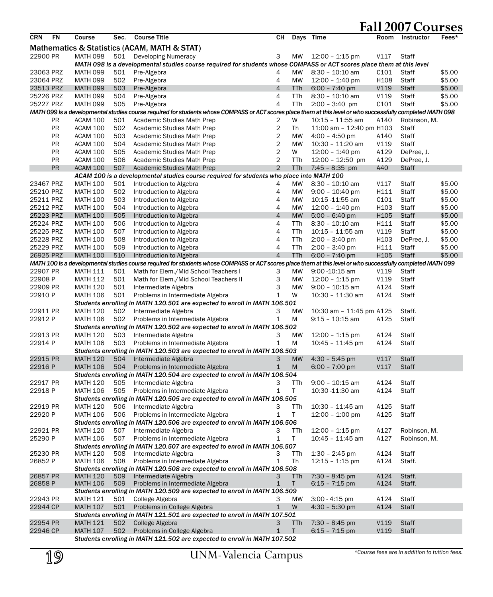|            |           |                 |      |                                                                                                                                                              |                         |            |                                       |                  |              | . c    |
|------------|-----------|-----------------|------|--------------------------------------------------------------------------------------------------------------------------------------------------------------|-------------------------|------------|---------------------------------------|------------------|--------------|--------|
| <b>CRN</b> | <b>FN</b> | Course          | Sec. | <b>Course Title</b>                                                                                                                                          | CН                      |            | Days Time                             | Room             | Instructor   | Fees*  |
|            |           |                 |      | Mathematics & Statistics (ACAM, MATH & STAT)                                                                                                                 |                         |            |                                       |                  |              |        |
| 22900 PR   |           | <b>MATH 098</b> | 501  | <b>Developing Numeracy</b>                                                                                                                                   | 3                       | MW         | 12:00 - 1:15 pm                       | V117             | Staff        |        |
|            |           |                 |      | MATH 098 is a developmental studies course required for students whose COMPASS or ACT scores place them at this level                                        |                         |            |                                       |                  |              |        |
| 23063 PRZ  |           | <b>MATH 099</b> | 501  | Pre-Algebra                                                                                                                                                  | 4                       | MW         | $8:30 - 10:10$ am                     | C <sub>101</sub> | Staff        | \$5.00 |
| 23064 PRZ  |           | <b>MATH 099</b> | 502  | Pre-Algebra                                                                                                                                                  | 4                       | MW         | $12:00 - 1:40$ pm                     | H <sub>108</sub> | Staff        | \$5.00 |
| 23513 PRZ  |           | <b>MATH 099</b> | 503  | Pre-Algebra                                                                                                                                                  | $\overline{4}$          | TTh        | $6:00 - 7:40$ pm                      | V119             | <b>Staff</b> | \$5.00 |
| 25226 PRZ  |           | <b>MATH 099</b> | 504  | Pre-Algebra                                                                                                                                                  | 4                       | TTh        | 8:30 - 10:10 am                       | V119             | Staff        | \$5.00 |
| 25227 PRZ  |           | <b>MATH 099</b> | 505  | Pre-Algebra                                                                                                                                                  | 4                       | TTh        | $2:00 - 3:40$ pm                      | C101             | Staff        | \$5.00 |
|            |           |                 |      | MATH 099 is a developmental studies course required for students whose COMPASS or ACT scores place them at this level or who successfully completed MATH 098 |                         |            |                                       |                  |              |        |
|            | <b>PR</b> | <b>ACAM 100</b> | 501  | Academic Studies Math Prep                                                                                                                                   | 2                       | W          | $10:15 - 11:55$ am                    | A140             | Robinson, M. |        |
|            | PR        | <b>ACAM 100</b> | 502  | Academic Studies Math Prep                                                                                                                                   | 2                       | Th         | 11:00 am - 12:40 pm H103              |                  | Staff        |        |
|            | <b>PR</b> | ACAM 100        | 503  | Academic Studies Math Prep                                                                                                                                   | $\overline{\mathbf{c}}$ | MW         | $4:00 - 4:50$ pm                      | A140             | Staff        |        |
|            | <b>PR</b> | <b>ACAM 100</b> | 504  | Academic Studies Math Prep                                                                                                                                   | $\overline{\mathbf{c}}$ | MW         | 10:30 - 11:20 am                      | V119             | Staff        |        |
|            | <b>PR</b> | ACAM 100        | 505  | Academic Studies Math Prep                                                                                                                                   | 2                       | W          | $12:00 - 1:40$ pm                     | A129             | DePree, J.   |        |
|            | <b>PR</b> | <b>ACAM 100</b> | 506  | Academic Studies Math Prep                                                                                                                                   | $\overline{c}$          | TTh        | $12:00 - 12:50$ pm                    | A129             | DePree, J.   |        |
|            | PR        | ACAM 100        | 507  | <b>Academic Studies Math Prep</b>                                                                                                                            | $\overline{2}$          | <b>TTh</b> | $7:45 - 8:35$ pm                      | A40              | <b>Staff</b> |        |
|            |           |                 |      | ACAM 100 is a developmental studies course required for students who place into MATH 100                                                                     |                         |            |                                       |                  |              |        |
| 23467 PRZ  |           | <b>MATH 100</b> | 501  | Introduction to Algebra                                                                                                                                      | 4                       | MW         | 8:30 - 10:10 am                       | V117             | Staff        | \$5.00 |
| 25210 PRZ  |           | <b>MATH 100</b> | 502  | Introduction to Algebra                                                                                                                                      | 4                       | MW         | $9:00 - 10:40$ pm                     | H111             | Staff        | \$5.00 |
| 25211 PRZ  |           | <b>MATH 100</b> | 503  | Introduction to Algebra                                                                                                                                      | 4                       | MW         | 10:15 -11:55 am                       | C101             | Staff        | \$5.00 |
| 25212 PRZ  |           | <b>MATH 100</b> | 504  |                                                                                                                                                              | 4                       | MW         |                                       | H103             | Staff        |        |
| 25223 PRZ  |           |                 |      | Introduction to Algebra                                                                                                                                      | $\overline{4}$          | <b>MW</b>  | $12:00 - 1:40$ pm                     |                  |              | \$5.00 |
|            |           | <b>MATH 100</b> | 505  | Introduction to Algebra                                                                                                                                      |                         |            | $5:00 - 6:40$ pm<br>$8:30 - 10:10$ am | H <sub>105</sub> | <b>Staff</b> | \$5.00 |
| 25224 PRZ  |           | <b>MATH 100</b> | 506  | Introduction to Algebra                                                                                                                                      | 4<br>4                  | TTh        |                                       | H111             | Staff        | \$5.00 |
| 25225 PRZ  |           | <b>MATH 100</b> | 507  | Introduction to Algebra                                                                                                                                      |                         | TTh        | $10:15 - 11:55$ am                    | V119             | Staff        | \$5.00 |
| 25228 PRZ  |           | <b>MATH 100</b> | 508  | Introduction to Algebra                                                                                                                                      | 4                       | TTh        | $2:00 - 3:40$ pm                      | H103             | DePree, J.   | \$5.00 |
| 25229 PRZ  |           | <b>MATH 100</b> | 509  | Introduction to Algebra                                                                                                                                      | 4                       | TTh        | $2:00 - 3:40$ pm                      | H111             | Staff        | \$5.00 |
| 26925 PRZ  |           | <b>MATH 100</b> | 510  | Introduction to Algebra                                                                                                                                      | $\overline{4}$          | <b>TTh</b> | $6:00 - 7:40$ pm                      | H105             | <b>Staff</b> | \$5.00 |
|            |           |                 |      | MATH 100 is a developmental studies course required for students whose COMPASS or ACT scores place them at this level or who successfully completed MATH 099 |                         |            |                                       |                  |              |        |
| 22907 PR   |           | <b>MATH 111</b> | 501  | Math for Elem./Mid School Teachers I                                                                                                                         | З                       | MW         | $9:00 - 10:15$ am                     | V119             | Staff        |        |
| 22908 P    |           | <b>MATH 112</b> | 501  | Math for Elem./Mid School Teachers II                                                                                                                        | 3                       | MW         | $12:00 - 1:15$ pm                     | V119             | Staff        |        |
| 22909 PR   |           | <b>MATH 120</b> | 501  | Intermediate Algebra                                                                                                                                         | 3                       | MW         | $9:00 - 10:15$ am                     | A124             | Staff        |        |
| 22910 P    |           | <b>MATH 106</b> | 501  | Problems in Intermediate Algebra                                                                                                                             | $\mathbf{1}$            | W          | 10:30 - 11:30 am                      | A124             | Staff        |        |
|            |           |                 |      | Students enrolling in MATH 120.501 are expected to enroll in MATH 106.501                                                                                    |                         |            |                                       |                  |              |        |
| 22911 PR   |           | <b>MATH 120</b> | 502  | Intermediate Algebra                                                                                                                                         | 3                       | MW         | 10:30 am - 11:45 pm A125              |                  | Staff.       |        |
| 22912 P    |           | <b>MATH 106</b> | 502  | Problems in Intermediate Algebra                                                                                                                             | 1                       | M          | 9:15 - 10:15 am                       | A125             | Staff        |        |
|            |           |                 |      | Students enrolling in MATH 120.502 are expected to enroll in MATH 106.502                                                                                    |                         |            |                                       |                  |              |        |
| 22913 PR   |           | <b>MATH 120</b> | 503  | Intermediate Algebra                                                                                                                                         | 3                       | MW         | $12:00 - 1:15$ pm                     | A124             | Staff        |        |
| 22914 P    |           | <b>MATH 106</b> | 503  | Problems in Intermediate Algebra                                                                                                                             | $\mathbf{1}$            | M          | $10:45 - 11:45$ pm                    | A124             | Staff        |        |
|            |           |                 |      | Students enrolling in MATH 120.503 are expected to enroll in MATH 106.503                                                                                    |                         |            |                                       |                  |              |        |
| 22915 PR   |           | <b>MATH 120</b> | 504  | Intermediate Algebra                                                                                                                                         | 3                       | <b>MW</b>  | $4:30 - 5:45$ pm                      | V117             | <b>Staff</b> |        |
| 22916 P    |           | <b>MATH 106</b> | 504  | Problems in Intermediate Algebra                                                                                                                             | $\mathbf{1}$            | M          | $6:00 - 7:00$ pm                      | V117             | <b>Staff</b> |        |
|            |           |                 |      | Students enrolling in MATH 120.504 are expected to enroll in MATH 106.504                                                                                    |                         |            |                                       |                  |              |        |
| 22917 PR   |           | <b>MATH 120</b> | 505  | Intermediate Algebra                                                                                                                                         | 3                       | TTh        | $9:00 - 10:15$ am                     | A124             | Staff        |        |
| 22918 P    |           | <b>MATH 106</b> | 505  | Problems in Intermediate Algebra                                                                                                                             | 1                       | T          | 10:30 -11:30 am                       | A124             | Staff        |        |
|            |           |                 |      | Students enrolling in MATH 120.505 are expected to enroll in MATH 106.505                                                                                    |                         |            |                                       |                  |              |        |
| 22919 PR   |           | <b>MATH 120</b> | 506  | Intermediate Algebra                                                                                                                                         | 3                       | TTh        | 10:30 - 11:45 am                      | A125             | Staff        |        |
| 22920 P    |           | <b>MATH 106</b> | 506  | Problems in Intermediate Algebra                                                                                                                             | 1                       | Τ          | $12:00 - 1:00$ pm                     | A125             | Staff        |        |
|            |           |                 |      | Students enrolling in MATH 120.506 are expected to enroll in MATH 106.506                                                                                    |                         |            |                                       |                  |              |        |
| 22921 PR   |           | <b>MATH 120</b> | 507  | Intermediate Algebra                                                                                                                                         | З                       | TTh        | $12:00 - 1:15$ pm                     | A127             | Robinson, M. |        |
| 25290 P    |           | <b>MATH 106</b> | 507  | Problems in Intermediate Algebra                                                                                                                             | 1                       | T          | $10:45 - 11:45$ am                    | A127             | Robinson, M. |        |
|            |           |                 |      | Students enrolling in MATH 120.507 are expected to enroll in MATH 106.507                                                                                    |                         |            |                                       |                  |              |        |
| 25230 PR   |           | MATH 120        | 508  | Intermediate Algebra                                                                                                                                         | 3                       | TTh        | $1:30 - 2:45$ pm                      | A124             | Staff        |        |
| 26852 P    |           | <b>MATH 106</b> | 508  | Problems in Intermediate Algebra                                                                                                                             | 1                       | Th         | $12:15 - 1:15$ pm                     | A124             | Staff.       |        |
|            |           |                 |      | Students enrolling in MATH 120.508 are expected to enroll in MATH 106.508                                                                                    |                         |            |                                       |                  |              |        |
| 26857 PR   |           | <b>MATH 120</b> | 509  | Intermediate Algebra                                                                                                                                         | 3                       | <b>TTh</b> | $7:30 - 8:45$ pm                      | A124             | Staff.       |        |
| 26858 P    |           | <b>MATH 106</b> | 509  | Problems in Intermediate Algebra                                                                                                                             | 1                       | T.         | $6:15 - 7:15$ pm                      | A124             | Staff.       |        |
|            |           |                 |      | Students enrolling in MATH 120.509 are expected to enroll in MATH 106.509                                                                                    |                         |            |                                       |                  |              |        |
| 22943 PR   |           | <b>MATH 121</b> | 501  | College Algebra                                                                                                                                              | 3                       | МW         | $3:00 - 4:15$ pm                      | A124             | Staff        |        |
| 22944 CP   |           | <b>MATH 107</b> | 501  | Problems in College Algebra                                                                                                                                  | $\mathbf{1}$            | W          | $4:30 - 5:30$ pm                      | A124             | <b>Staff</b> |        |
|            |           |                 |      | Students enrolling in MATH 121.501 are expected to enroll in MATH 107.501                                                                                    |                         |            |                                       |                  |              |        |
| 22954 PR   |           | <b>MATH 121</b> | 502  | College Algebra                                                                                                                                              | 3                       | TTh        | 7:30 - 8:45 pm                        | V119             | Staff        |        |
| 22946 CP   |           | <b>MATH 107</b> | 502  | Problems in College Algebra                                                                                                                                  | $\mathbf{1}$            | T.         | $6:15 - 7:15$ pm                      | V119             | Staff        |        |
|            |           |                 |      | Students enrolling in MATH 121.502 are expected to enroll in MATH 107.502                                                                                    |                         |            |                                       |                  |              |        |

*\*Course fees are in addition to tuition fees.*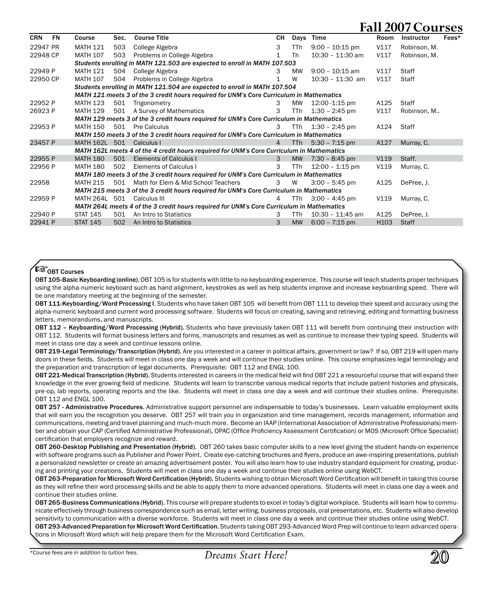|            |    |                          |      |                                                                                           |                |            |                    |      | $\cdots$          |       |
|------------|----|--------------------------|------|-------------------------------------------------------------------------------------------|----------------|------------|--------------------|------|-------------------|-------|
| <b>CRN</b> | FN | Course                   | Sec. | <b>Course Title</b>                                                                       | CН             | Days       | Time               | Room | <b>Instructor</b> | Fees* |
| 22947 PR   |    | <b>MATH 121</b>          | 503  | College Algebra                                                                           | 3              | <b>TTh</b> | $9:00 - 10:15$ pm  | V117 | Robinson, M.      |       |
| 22948 CP   |    | <b>MATH 107</b>          | 503  | Problems in College Algebra                                                               | $\mathbf{1}$   | Th         | 10:30 - 11:30 am   | V117 | Robinson, M.      |       |
|            |    |                          |      | Students enrolling in MATH 121.503 are expected to enroll in MATH 107.503                 |                |            |                    |      |                   |       |
| 22949 P    |    | <b>MATH 121</b>          | 504  | College Algebra                                                                           | 3.             | MW         | $9:00 - 10:15$ am  | V117 | <b>Staff</b>      |       |
| 22950 CP   |    | <b>MATH 107</b>          | 504  | Problems in College Algebra                                                               | 1              | W          | $10:30 - 11:30$ am | V117 | Staff             |       |
|            |    |                          |      | Students enrolling in MATH 121.504 are expected to enroll in MATH 107.504                 |                |            |                    |      |                   |       |
|            |    |                          |      | MATH 121 meets 3 of the 3 credit hours required for UNM's Core Curriculum in Mathematics  |                |            |                    |      |                   |       |
| 22952 P    |    | <b>MATH 123</b>          | 501  | Trigonometry                                                                              | 3              | MW         | 12:00 -1:15 pm     | A125 | Staff             |       |
| 26923 P    |    | <b>MATH 129</b>          | 501  | A Survey of Mathematics                                                                   | 3              | <b>TTh</b> | $1:30 - 2:45$ pm   | V117 | Robinson, M       |       |
|            |    |                          |      | MATH 129 meets 3 of the 3 credit hours required for UNM's Core Curriculum in Mathematics  |                |            |                    |      |                   |       |
| 22953 P    |    | MATH 150                 |      | 501 Pre Calculus                                                                          | 3              | TTh        | $1:30 - 2:45$ pm   | A124 | Staff             |       |
|            |    |                          |      | MATH 150 meets 3 of the 3 credit hours required for UNM's Core Curriculum in Mathematics  |                |            |                    |      |                   |       |
| 23457 P    |    | MATH 162L 501 Calculus I |      |                                                                                           | $\overline{4}$ | <b>TTh</b> | $5:30 - 7:15$ pm   | A127 | Murray, C.        |       |
|            |    |                          |      | MATH 162L meets 4 of the 4 credit hours required for UNM's Core Curriculum in Mathematics |                |            |                    |      |                   |       |
| 22955 P    |    | <b>MATH 180</b>          | 501  | Elements of Calculus I                                                                    | $\mathbf{3}$   | <b>MW</b>  | $7:30 - 8:45$ pm   | V119 | Staff.            |       |
| 22956 P    |    | <b>MATH 180</b>          | 502  | Elements of Calculus I                                                                    | 3              | <b>TTh</b> | $12:00 - 1:15$ pm  | V119 | Murray, C.        |       |
|            |    |                          |      | MATH 180 meets 3 of the 3 credit hours required for UNM's Core Curriculum in Mathematics  |                |            |                    |      |                   |       |
| 22958      |    | <b>MATH 215</b>          | 501  | Math for Elem & Mid School Teachers                                                       | $3^{\circ}$    | W          | $3:00 - 5:45$ pm   | A125 | DePree, J.        |       |
|            |    |                          |      | MATH 215 meets 3 of the 3 credit hours required for UNM's Core Curriculum in Mathematics  |                |            |                    |      |                   |       |
| 22959 P    |    | MATH 264L 501            |      | Calculus III                                                                              | 4              | TTh        | $3:00 - 4:45$ pm   | V119 | Murray, C.        |       |
|            |    |                          |      | MATH 264L meets 4 of the 3 credit hours required for UNM's Core Curriculum in Mathematics |                |            |                    |      |                   |       |
| 22940 P    |    | <b>STAT 145</b>          | 501  | An Intro to Statistics                                                                    | 3              | TTh        | $10:30 - 11:45$ am | A125 | DePree. J.        |       |
| 22941 P    |    | <b>STAT 145</b>          | 502  | An Intro to Statistics                                                                    | 3              | <b>MW</b>  | $6:00 - 7:15$ pm   | H103 | <b>Staff</b>      |       |
|            |    |                          |      |                                                                                           |                |            |                    |      |                   |       |

#### **ES OBT Courses**

OBT 105-Basic Keyboarding (online). OBT 105 is for students with little to no keyboarding experience. This course will teach students proper techniques using the alpha-numeric keyboard such as hand alignment, keystrokes as well as help students improve and increase keyboarding speed. There will be one mandatory meeting at the beginning of the semester.

OBT 111-Keyboarding/Word Processing I. Students who have taken OBT 105 will benefit from OBT 111 to develop their speed and accuracy using the alpha-numeric keyboard and current word processing software. Students will focus on creating, saving and retrieving, editing and formatting business letters, memorandums, and manuscripts.

OBT 112 - Keyboarding/Word Processing (Hybrid). Students who have previously taken OBT 111 will benefit from continuing their instruction with OBT 112. Students will format business letters and forms, manuscripts and resumes as well as continue to increase their typing speed. Students will meet in class one day a week and continue lessons online.

OBT 219-Legal Terminology/Transcription (Hybrid). Are you interested in a career in political affairs, government or law? If so, OBT 219 will open many doors in these fields. Students will meet in class one day a week and will continue their studies online. This course emphasizes legal terminology and the preparation and transcription of legal documents. Prerequisite: OBT 112 and ENGL 100.

OBT 221-Medical Transcription (Hybrid). Students interested in careers in the medical field will find OBT 221 a resourceful course that will expand their knowledge in the ever growing field of medicine. Students will learn to transcribe various medical reports that include patient histories and physicals, pre-op, lab reports, operating reports and the like. Students will meet in class one day a week and will continue their studies online. Prerequisite: OBT 112 and ENGL 100.

OBT 257 - Administrative Procedures. Administrative support personnel are indispensable to today's businesses. Learn valuable employment skills that will earn you the recognition you deserve. OBT 257 will train you in organization and time management, records management, information and communications, meeting and travel planning and much-much more. Become an IAAP (International Association of Administrative Professionals) member and obtain your CAP (Certified Administrative Professional), OPAC (Office Proficiency Assessment Certification) or MOS (Microsoft Office Specialist) certification that employers recognize and reward.

OBT 260-Desktop Publishing and Presentation (Hybrid). OBT 260 takes basic computer skills to a new level giving the student hands-on experience with software programs such as Publisher and Power Point. Create eye-catching brochures and flyers, produce an awe-inspiring presentations, publish a personalized newsletter or create an amazing advertisement poster. You will also learn how to use industry standard equipment for creating, producing and printing your creations. Students will meet in class one day a week and continue their studies online using WebCT.

OBT 263-Preparation for Microsoft Word Certification (Hybrid). Students wishing to obtain Microsoft Word Certification will benefit in taking this course as they will refine their word processing skills and be able to apply them to more advanced operations. Students will meet in class one day a week and continue their studies online.

OBT 265-Business Communications (Hybrid). This course will prepare students to excel in today's digital workplace. Students will learn how to communicate effectively through business correspondence such as email, letter writing, business proposals, oral presentations, etc. Students will also develop sensitivity to communication with a diverse workforce. Students will meet in class one day a week and continue their studies online using WebCT.

OBT 293-Advanced Preparation for Microsoft Word Certification. Students taking OBT 293-Advanced Word Prep will continue to learn advanced operations in Microsoft Word which will help prepare them for the Microsoft Word Certification Exam.

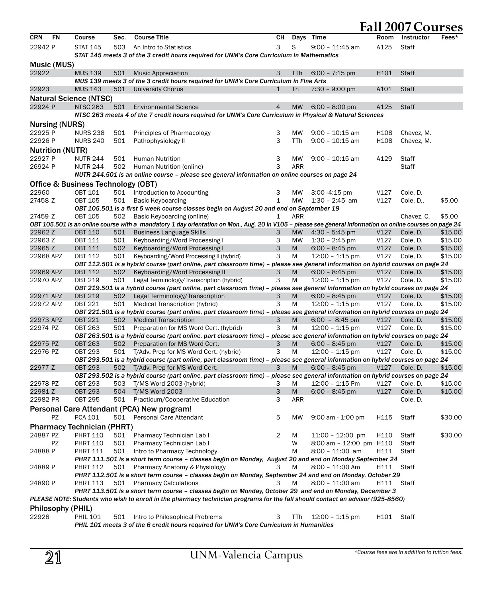|            |                         |                                    |      |                                                                                                                                                                                              |              |            |                            |                        | <b>Fall 2007 Courses</b> |         |
|------------|-------------------------|------------------------------------|------|----------------------------------------------------------------------------------------------------------------------------------------------------------------------------------------------|--------------|------------|----------------------------|------------------------|--------------------------|---------|
| <b>CRN</b> | <b>FN</b>               | Course                             | Sec. | <b>Course Title</b>                                                                                                                                                                          | CН           | Days       | Time                       | Room                   | Instructor               | Fees*   |
| 22942 P    |                         | <b>STAT 145</b>                    | 503  | An Intro to Statistics                                                                                                                                                                       | 3            | S          | 9:00 - 11:45 am            | A125                   | Staff                    |         |
|            |                         |                                    |      | STAT 145 meets 3 of the 3 credit hours required for UNM's Core Curriculum in Mathematics                                                                                                     |              |            |                            |                        |                          |         |
|            | Music (MUS)             |                                    |      |                                                                                                                                                                                              |              |            |                            |                        |                          |         |
| 22922      |                         | <b>MUS 139</b>                     | 501  | <b>Music Appreciation</b>                                                                                                                                                                    | 3            | <b>TTh</b> | $6:00 - 7:15$ pm           | H <sub>101</sub>       | <b>Staff</b>             |         |
|            |                         |                                    |      | MUS 139 meets 3 of the 3 credit hours required for UNM's Core Curriculum in Fine Arts                                                                                                        |              |            |                            |                        |                          |         |
| 22923      |                         | <b>MUS 143</b>                     | 501  | University Chorus                                                                                                                                                                            | $\mathbf{1}$ | Th         | $7:30 - 9:00$ pm           | A101                   | Staff                    |         |
|            |                         | <b>Natural Science (NTSC)</b>      |      |                                                                                                                                                                                              |              |            |                            |                        |                          |         |
| 22924 P    |                         | <b>NTSC 263</b>                    | 501  | <b>Environmental Science</b>                                                                                                                                                                 | 4            | <b>MW</b>  | $6:00 - 8:00$ pm           | A125                   | Staff                    |         |
|            |                         |                                    |      | NTSC 263 meets 4 of the 7 credit hours required for UNM's Core Curriculum in Physical & Natural Sciences                                                                                     |              |            |                            |                        |                          |         |
|            | <b>Nursing (NURS)</b>   |                                    |      |                                                                                                                                                                                              |              |            |                            |                        |                          |         |
| 22925 P    |                         | <b>NURS 238</b>                    | 501  | Principles of Pharmacology                                                                                                                                                                   | 3            | MW         | $9:00 - 10:15$ am          | H <sub>108</sub>       | Chavez, M.               |         |
| 22926 P    |                         | <b>NURS 240</b>                    | 501  | Pathophysiology II                                                                                                                                                                           | 3            | TTh        | $9:00 - 10:15$ am          | H108                   | Chavez, M.               |         |
|            | <b>Nutrition (NUTR)</b> |                                    |      |                                                                                                                                                                                              |              |            |                            |                        |                          |         |
| 22927 P    |                         | <b>NUTR 244</b>                    | 501  | <b>Human Nutrition</b>                                                                                                                                                                       | 3            | МW         | $9:00 - 10:15$ am          | A129                   | Staff                    |         |
| 26924 P    |                         | <b>NUTR 244</b>                    | 502  | Human Nutrition (online)                                                                                                                                                                     | 3            | ARR        |                            |                        | Staff                    |         |
|            |                         |                                    |      | NUTR 244.501 is an online course - please see general information on online courses on page 24                                                                                               |              |            |                            |                        |                          |         |
|            |                         | Office & Business Technology (OBT) |      |                                                                                                                                                                                              |              |            |                            |                        |                          |         |
| 22960      |                         | <b>OBT 101</b>                     |      | 501 Introduction to Accounting                                                                                                                                                               | 3            | МW         | 3:00 - 4:15 pm             | V127                   | Cole, D.                 |         |
| 27458 Z    |                         | <b>OBT 105</b>                     | 501  | <b>Basic Keyboarding</b>                                                                                                                                                                     | 1            | MW         | $1:30 - 2:45$ am           | V127                   | Cole, D                  | \$5.00  |
|            |                         |                                    |      | OBT 105.501 is a first 5 week course classes begin on August 20 and end on September 19                                                                                                      |              |            |                            |                        |                          |         |
| 27459 Z    |                         | <b>OBT 105</b>                     | 502  | Basic Keyboarding (online)                                                                                                                                                                   | 1            | ARR        |                            |                        | Chavez, C.               | \$5.00  |
| 22962 Z    |                         | <b>OBT 110</b>                     | 501  | OBT 105.501 is an online course with a mandatory 1 day orientation on Mon., Aug. 20 in V105 - please see general information on online courses on page 24<br><b>Business Language Skills</b> | 3            | <b>MW</b>  | $4:30 - 5:45$ pm           | V127                   | Cole, D.                 | \$15.00 |
| 22963 Z    |                         | <b>OBT 111</b>                     | 501  | Keyboarding/Word Processing I                                                                                                                                                                | 3            | MW         | $1:30 - 2:45$ pm           | V127                   | Cole, D.                 | \$15.00 |
| 22965 Z    |                         | <b>OBT 111</b>                     | 502  | Keyboarding/Word Processing I                                                                                                                                                                | 3            | M          | $6:00 - 8:45$ pm           | V127                   | Cole, D.                 | \$15.00 |
| 22968 APZ  |                         | OBT 112                            | 501  | Keyboarding/Word Processing II (hybrid)                                                                                                                                                      | 3            | М          | $12:00 - 1:15$ pm          | V127                   | Cole, D.                 | \$15.00 |
|            |                         |                                    |      | OBT 112.501 is a hybrid course (part online, part classroom time) - please see general information on hybrid courses on page 24                                                              |              |            |                            |                        |                          |         |
| 22969 APZ  |                         | <b>OBT 112</b>                     | 502  | Keyboarding/Word Processing II                                                                                                                                                               | 3            | M          | $6:00 - 8:45$ pm           | V127                   | Cole, D.                 | \$15.00 |
| 22970 APZ  |                         | <b>OBT 219</b>                     | 501  | Legal Terminology/Transcription (hybrid)                                                                                                                                                     | 3            | Μ          | 12:00 - 1:15 pm            | V127                   | Cole, D.                 | \$15.00 |
|            |                         |                                    |      | OBT 219.501 is a hybrid course (part online, part classroom time) - please see general information on hybrid courses on page 24                                                              |              |            |                            |                        |                          |         |
| 22971 APZ  |                         | <b>OBT 219</b>                     | 502  | Legal Terminology/Transcription                                                                                                                                                              | 3            | M          | $6:00 - 8:45$ pm           | V127                   | Cole, D.                 | \$15.00 |
| 22972 APZ  |                         | <b>OBT 221</b>                     | 501  | Medical Transcription (hybrid)                                                                                                                                                               | 3            | M          | $12:00 - 1:15$ pm          | V127                   | Cole, D.                 | \$15.00 |
| 22973 APZ  |                         | <b>OBT 221</b>                     | 502  | OBT 221.501 is a hybrid course (part online, part classroom time) – please see general information on hybrid courses on page 24<br><b>Medical Transcription</b>                              | 3            | M          | $6:00 - 8:45$ pm           | V127                   | Cole, D.                 | \$15.00 |
| 22974 PZ   |                         | OBT 263                            | 501  | Preparation for MS Word Cert. (hybrid)                                                                                                                                                       | 3            | M          | 12:00 - 1:15 pm            | V127                   | Cole, D.                 | \$15.00 |
|            |                         |                                    |      | OBT 263.501 is a hybrid course (part online, part classroom time) – please see general information on hybrid courses on page 24                                                              |              |            |                            |                        |                          |         |
| 22975 PZ   |                         | <b>OBT 263</b>                     | 502  | Preparation for MS Word Cert.                                                                                                                                                                | 3            | M          | $6:00 - 8:45$ pm           | V127                   | Cole, D.                 | \$15.00 |
| 22976 PZ   |                         | <b>OBT 293</b>                     | 501  | T/Adv. Prep for MS Word Cert. (hybrid)                                                                                                                                                       | 3            | M          | $12:00 - 1:15$ pm          | V127                   | Cole, D.                 | \$15.00 |
|            |                         |                                    |      | OBT 293.501 is a hybrid course (part online, part classroom time) - please see general information on hybrid courses on page 24                                                              |              |            |                            |                        |                          |         |
| 22977 Z    |                         | <b>OBT 293</b>                     |      | 502 T/Adv. Prep for MS Word Cert.                                                                                                                                                            | 3            | M          | $6:00 - 8:45$ pm           | V127                   | Cole, D.                 | \$15.00 |
|            |                         |                                    |      | OBT 293.502 is a hybrid course (part online, part classroom time) - please see general information on hybrid courses on page 24                                                              |              |            |                            |                        |                          |         |
| 22978 PZ   |                         | <b>OBT 293</b>                     | 503  | T/MS Word 2003 (hybrid)                                                                                                                                                                      | 3            | М          | 12:00 - 1:15 Pm            | V127                   | Cole, D.                 | \$15.00 |
| 22981 Z    |                         | <b>OBT 293</b>                     |      | 504 T/MS Word 2003                                                                                                                                                                           | 3            | M          | $6:00 - 8:45$ pm           |                        | V127 Cole, D.            | \$15.00 |
| 22982 PR   |                         | OBT 295                            |      | 501 Practicum/Cooperative Education                                                                                                                                                          | 3            | ARR        |                            |                        | Cole, D.                 |         |
|            |                         |                                    |      | Personal Care Attendant (PCA) New program!                                                                                                                                                   |              |            |                            |                        |                          |         |
|            | PZ                      | PCA 101                            |      | 501 Personal Care Attendant                                                                                                                                                                  | 5            | МW         | $9:00$ am - 1:00 pm        | H115                   | Staff                    | \$30.00 |
|            |                         | <b>Pharmacy Technician (PHRT)</b>  |      |                                                                                                                                                                                              |              |            |                            |                        |                          |         |
| 24887 PZ   |                         | <b>PHRT 110</b>                    | 501  | Pharmacy Technician Lab I                                                                                                                                                                    | 2            | M          | $11:00 - 12:00$ pm         | H110                   | Staff                    | \$30.00 |
|            | PZ                      | <b>PHRT 110</b>                    | 501  | Pharmacy Technician Lab I                                                                                                                                                                    |              | W          | $8:00$ am $-12:00$ pm H110 |                        | Staff                    |         |
| 24888 P    |                         | PHRT 111                           | 501  | Intro to Pharmacy Technology                                                                                                                                                                 |              | М          | 8:00 - 11:00 am            | H111                   | Staff                    |         |
|            |                         |                                    |      | PHRT 111.501 is a short term course - classes begin on Monday, August 20 and end on Monday September 24                                                                                      |              |            |                            |                        |                          |         |
| 24889 P    |                         | <b>PHRT 112</b>                    |      | 501 Pharmacy Anatomy & Physiology<br>PHRT 112.501 is a short term course - classes begin on Monday, September 24 and end on Monday, October 29                                               | 3            | М          | 8:00 - 11:00 Am            | H111                   | Staff                    |         |
| 24890 P    |                         | <b>PHRT 113</b>                    |      | 501 Pharmacy Calculations                                                                                                                                                                    | 3            | M          | 8:00 - 11:00 am            | H111                   | Staff                    |         |
|            |                         |                                    |      | PHRT 113.501 is a short term course - classes begin on Monday, October 29 and end on Monday, December 3                                                                                      |              |            |                            |                        |                          |         |
|            |                         |                                    |      | PLEASE NOTE: Students who wish to enroll in the pharmacy technician programs for the fall should contact an advisor (925-8560)                                                               |              |            |                            |                        |                          |         |
|            | Philosophy (PHIL)       |                                    |      |                                                                                                                                                                                              |              |            |                            |                        |                          |         |
| 22928      |                         | <b>PHIL 101</b>                    | 501  | Intro to Philosophical Problems                                                                                                                                                              | 3            | TTh        | $12:00 - 1:15$ pm          | H <sub>101</sub> Staff |                          |         |
|            |                         |                                    |      | PHIL 101 meets 3 of the 6 credit hours required for UNM's Core Curriculum in Humanities                                                                                                      |              |            |                            |                        |                          |         |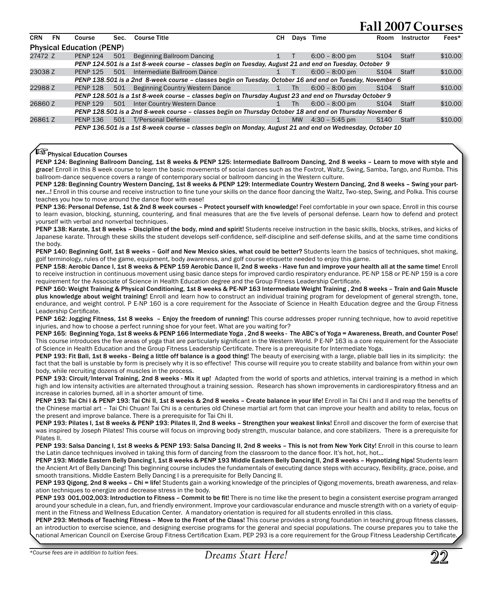| <b>CRN</b> | FN | Course                           | Sec. | <b>Course Title</b>                                                                                       | CН     | Davs      | Time                     | Room             | Instructor | Fees*   |
|------------|----|----------------------------------|------|-----------------------------------------------------------------------------------------------------------|--------|-----------|--------------------------|------------------|------------|---------|
|            |    | <b>Physical Education (PENP)</b> |      |                                                                                                           |        |           |                          |                  |            |         |
| 27472 Z    |    | <b>PENP 124</b>                  | 501  | Beginning Ballroom Dancing                                                                                |        |           | $6:00 - 8:00$ pm         | S <sub>104</sub> | Staff      | \$10.00 |
|            |    |                                  |      | PENP 124.501 is a 1st 8-week course - classes begin on Tuesday, August 21 and end on Tuesday, October 9   |        |           |                          |                  |            |         |
| 23038 Z    |    | <b>PFNP 125</b>                  | 501  | Intermediate Ballroom Dance                                                                               |        |           | $6:00 - 8:00$ pm         | S <sub>104</sub> | Staff      | \$10.00 |
|            |    |                                  |      | PENP 138.501 is a 2nd 8-week course - classes begin on Tuesday, October 16 and end on Tuesday, November 6 |        |           |                          |                  |            |         |
| 22988 Z    |    | <b>PENP 128</b>                  | 501  | Beginning Country Western Dance                                                                           | 1 Th   |           | $6:00 - 8:00 \text{ pm}$ | S <sub>104</sub> | Staff      | \$10.00 |
|            |    |                                  |      | PENP 128.501 is a 1st 8-week course - classes begin on Thursday August 23 and end on Thursday October 9   |        |           |                          |                  |            |         |
| 26860 Z    |    | <b>PENP 129</b>                  | 501  | Inter Country Western Dance                                                                               | $1$ Th |           | $6:00 - 8:00$ pm         | S <sub>104</sub> | Staff      | \$10.00 |
|            |    |                                  |      | PENP 128.501 is a 2nd 8-week course - classes begin on Thursday October 18 and end on Thursday November 6 |        |           |                          |                  |            |         |
| 26861 Z    |    | <b>PENP 136</b>                  | 501  | <b>T/Personal Defense</b>                                                                                 |        | <b>MW</b> | $4:30 - 5:45$ pm         | S <sub>140</sub> | Staff      | \$10.00 |
|            |    |                                  |      | PENP 136.501 is a 1st 8-week course - classes begin on Monday, August 21 and end on Wednesday, October 10 |        |           |                          |                  |            |         |

#### $\mathbb{R}$  Physical Education Courses

PENP 124: Beginning Ballroom Dancing, 1st 8 weeks & PENP 125: Intermediate Ballroom Dancing, 2nd 8 weeks – Learn to move with style and grace! Enroll in this 8 week course to learn the basic movements of social dances such as the Foxtrot, Waltz, Swing, Samba, Tango, and Rumba. This ballroom-dance sequence covers a range of contemporary social or ballroom dancing in the Western culture.

PENP 128: Beginning Country Western Dancing, 1st 8 weeks & PENP 129: Intermediate Country Western Dancing, 2nd 8 weeks - Swing your partner…! Enroll in this course and receive instruction to fine tune your skills on the dance floor dancing the Waltz, Two-step, Swing, and Polka. This course teaches you how to move around the dance floor with ease!

PENP 136: Personal Defense, 1st & 2nd 8 week courses - Protect yourself with knowledge! Feel comfortable in your own space. Enroll in this course to learn evasion, blocking, stunning, countering, and final measures that are the five levels of personal defense. Learn how to defend and protect yourself with verbal and nonverbal techniques.

PENP 138: Karate, 1st 8 weeks – Discipline of the body, mind and spirit! Students receive instruction in the basic skills, blocks, strikes, and kicks of Japanese karate. Through these skills the student develops self-confidence, self-discipline and self-defense skills, and at the same time conditions the body.

PENP 140: Beginning Golf, 1st 8 weeks - Golf and New Mexico skies, what could be better? Students learn the basics of techniques, shot making, golf terminology, rules of the game, equipment, body awareness, and golf course etiquette needed to enjoy this game.

PENP 158: Aerobic Dance I, 1st 8 weeks & PENP 159 Aerobic Dance II, 2nd 8 weeks - Have fun and improve your health all at the same time! Enroll to receive instruction in continuous movement using basic dance steps for improved cardio respiratory endurance. PE-NP 158 or PE-NP 159 is a core requirement for the Associate of Science in Health Education degree and the Group Fitness Leadership Certificate.

PENP 160: Weight Training & Physical Conditioning, 1st 8 weeks & PE-NP 163 Intermediate Weight Training , 2nd 8 weeks – Train and Gain Muscle plus knowledge about weight training! Enroll and learn how to construct an individual training program for development of general strength, tone, endurance, and weight control. P E-NP 160 is a core requirement for the Associate of Science in Health Education degree and the Group Fitness Leadership Certificate.

PENP 162: Jogging Fitness, 1st 8 weeks - Enjoy the freedom of running! This course addresses proper running technique, how to avoid repetitive injuries, and how to choose a perfect running shoe for your feet. What are you waiting for?

PENP 165: Beginning Yoga, 1st 8 weeks & PENP 166 Intermediate Yoga , 2nd 8 weeks - The ABC's of Yoga = Awareness, Breath, and Counter Pose! This course introduces the five areas of yoga that are particularly significant in the Western World. P E-NP 163 is a core requirement for the Associate of Science in Health Education and the Group Fitness Leadership Certificate. There is a prerequisite for Intermediate Yoga.

PENP 193: Fit Ball, 1st 8 weeks - Being a little off balance is a good thing! The beauty of exercising with a large, pliable ball lies in its simplicity: the fact that the ball is unstable by form is precisely why it is so effective! This course will require you to create stability and balance from within your own body, while recruiting dozens of muscles in the process.

PENP 193: Circuit/Interval Training, 2nd 8 weeks - Mix it up! Adapted from the world of sports and athletics, interval training is a method in which high and low intensity activities are alternated throughout a training session. Research has shown improvements in cardiorespiratory fitness and an increase in calories burned, all in a shorter amount of time.

PENP 193: Tai Chi I & PENP 193: Tai Chi II, 1st 8 weeks & 2nd 8 weeks - Create balance in your life! Enroll in Tai Chi I and II and reap the benefits of the Chinese martial art – Tai Chi Chuan! Tai Chi is a centuries old Chinese martial art form that can improve your health and ability to relax, focus on the present and improve balance. There is a prerequisite for Tai Chi II.

PENP 193: Pilates I, 1st 8 weeks & PENP 193: Pilates II, 2nd 8 weeks - Strengthen your weakest links! Enroll and discover the form of exercise that was inspired by Joseph Pilates! This course will focus on improving body strength, muscular balance, and core stabilizers. There is a prerequisite for Pilates II.

PENP 193: Salsa Dancing I, 1st 8 weeks & PENP 193: Salsa Dancing II, 2nd 8 weeks - This is not from New York City! Enroll in this course to learn the Latin dance techniques involved in taking this form of dancing from the classroom to the dance floor. It's hot, hot, hot…

PENP 193: Middle Eastern Belly Dancing I, 1st 8 weeks & PENP 193 Middle Eastern Belly Dancing II, 2nd 8 weeks - Hypnotizing hips! Students learn the Ancient Art of Belly Dancing! This beginning course includes the fundamentals of executing dance steps with accuracy, flexibility, grace, poise, and smooth transitions. Middle Eastern Belly Dancing I is a prerequisite for Belly Dancing II.

PENP 193 Qigong, 2nd 8 weeks - Chi = life! Students gain a working knowledge of the principles of Qigong movements, breath awareness, and relaxation techniques to energize and decrease stress in the body.

PENP 193 001,002,003: Introduction to Fitness - Commit to be fit! There is no time like the present to begin a consistent exercise program arranged around your schedule in a clean, fun, and friendly environment. Improve your cardiovascular endurance and muscle strength with on a variety of equipment in the Fitness and Wellness Education Center. A mandatory orientation is required for all students enrolled in this class.

PENP 293: Methods of Teaching Fitness – Move to the Front of the Class! This course provides a strong foundation in teaching group fitness classes, an introduction to exercise science, and designing exercise programs for the general and special populations. The course prepares you to take the national American Council on Exercise Group Fitness Certification Exam. PEP 293 is a core requirement for the Group Fitness Leadership Certificate.

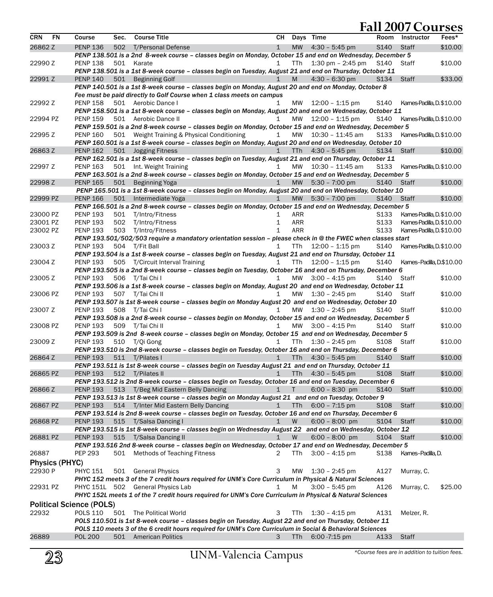|                |                                                                                                           |                                 |      |                                                                                                              |              |            |                              | ran 2007 coarscs  |                           |         |
|----------------|-----------------------------------------------------------------------------------------------------------|---------------------------------|------|--------------------------------------------------------------------------------------------------------------|--------------|------------|------------------------------|-------------------|---------------------------|---------|
| CRN            | <b>FN</b>                                                                                                 | Course                          | Sec. | <b>Course Title</b>                                                                                          | CН           |            | Days Time                    |                   | Room Instructor           | Fees*   |
| 26862 Z        |                                                                                                           | <b>PENP 136</b>                 |      | 502 T/Personal Defense                                                                                       | $\mathbf{1}$ |            | MW $4:30 - 5:45 \text{ pm}$  | S <sub>140</sub>  | <b>Staff</b>              | \$10.00 |
|                |                                                                                                           |                                 |      | PENP 138.501 is a 2nd 8-week course - classes begin on Monday, October 15 and end on Wednesday, December 5   |              |            |                              |                   |                           |         |
| 22990 Z        |                                                                                                           | <b>PENP 138</b>                 | 501  | Karate                                                                                                       | $\mathbf{1}$ | <b>TTh</b> | $1:30$ pm $-2:45$ pm         | S140              | Staff                     | \$10.00 |
|                |                                                                                                           |                                 |      | PENP 138.501 is a 1st 8-week course - classes begin on Tuesday, August 21 and end on Thursday, October 11    |              |            |                              |                   |                           |         |
|                |                                                                                                           |                                 |      |                                                                                                              |              |            |                              |                   |                           |         |
| 22991 Z        |                                                                                                           | <b>PENP 140</b>                 |      | 501 Beginning Golf                                                                                           | $\mathbf 1$  | M          | $4:30 - 6:30$ pm             | S <sub>134</sub>  | Staff                     | \$33.00 |
|                |                                                                                                           |                                 |      | PENP 140.501 is a 1st 8-week course – classes begin on Monday, August 20 and end on Monday, October 8        |              |            |                              |                   |                           |         |
|                |                                                                                                           |                                 |      | Fee must be paid directly to Golf Course when 1 class meets on campus                                        |              |            |                              |                   |                           |         |
| 22992 Z        |                                                                                                           | <b>PENP 158</b>                 |      | 501 Aerobic Dance I                                                                                          | 1            | MW         | $12:00 - 1:15$ pm            | S140              | Kames-Padilla, D.\$10.00  |         |
|                |                                                                                                           |                                 |      | PENP 158.501 is a 1st 8-week course – classes begin on Monday, August 20 and end on Wednesday, October 11    |              |            |                              |                   |                           |         |
| 22994 PZ       |                                                                                                           | <b>PENP 159</b>                 |      | 501 Aerobic Dance II                                                                                         | 1            | MW         | 12:00 - 1:15 pm              | S140              | Kames-Padilla, D. \$10.00 |         |
|                |                                                                                                           |                                 |      | PENP 159.501 is a 2nd 8-week course – classes begin on Monday, October 15 and end on Wednesday, December 5   |              |            |                              |                   |                           |         |
| 22995 Z        |                                                                                                           | <b>PENP 160</b>                 |      | 501 Weight Training & Physical Conditioning                                                                  | $\mathbf{1}$ | MW         | 10:30 - 11:45 am             | S133              | Kames-Padilla, D. \$10.00 |         |
|                |                                                                                                           |                                 |      | PENP 160.501 is a 1st 8-week course – classes begin on Monday, August 20 and end on Wednesday, October 10    |              |            |                              |                   |                           |         |
| 26863 Z        |                                                                                                           | <b>PENP 162</b>                 |      | 501 Jogging Fitness                                                                                          | $\mathbf{1}$ | <b>TTh</b> | $4:30 - 5:45$ pm             | S134              | <b>Staff</b>              | \$10.00 |
|                |                                                                                                           |                                 |      | PENP 162.501 is a 1st 8-week course - classes begin on Tuesday, August 21 and end on Thursday, October 11    |              |            |                              |                   |                           |         |
|                |                                                                                                           |                                 |      |                                                                                                              |              |            |                              |                   |                           |         |
| 22997 Z        |                                                                                                           | <b>PENP 163</b>                 |      | 501 Int. Weight Training                                                                                     | $\mathbf{1}$ | MW         | 10:30 - 11:45 am             | S133              | Kames-Padilla, D.\$10.00  |         |
|                |                                                                                                           |                                 |      | PENP 163.501 is a 2nd 8-week course - classes begin on Monday, October 15 and end on Wednesday, December 5   |              |            |                              |                   |                           |         |
| 22998 Z        |                                                                                                           | <b>PENP 165</b>                 | 501  | Beginning Yoga                                                                                               | $\mathbf{1}$ | <b>MW</b>  | $5:30 - 7:00 \text{ pm}$     | S <sub>140</sub>  | Staff                     | \$10.00 |
|                |                                                                                                           |                                 |      | PENP 165.501 is a 1st 8-week course - classes begin on Monday, August 20 and end on Wednesday, October 10    |              |            |                              |                   |                           |         |
| 22999 PZ       |                                                                                                           | <b>PENP 166</b>                 |      | 501 Intermediate Yoga                                                                                        | $\mathbf{1}$ |            | MW 5:30 - 7:00 pm            | S140              | Staff                     | \$10.00 |
|                |                                                                                                           |                                 |      | PENP 166.501 is a 2nd 8-week course - classes begin on Monday, October 15 and end on Wednesday, December 5   |              |            |                              |                   |                           |         |
| 23000 PZ       |                                                                                                           | <b>PENP 193</b>                 | 501  | T/Intro/Fitness                                                                                              | 1            | ARR        |                              | S <sub>1</sub> 33 | Kames-Padilla, D. \$10.00 |         |
| 23001 PZ       |                                                                                                           | <b>PENP 193</b>                 | 502  | T/Intro/Fitness                                                                                              | $\mathbf{1}$ | <b>ARR</b> |                              | S <sub>133</sub>  | Kames-Padilla, D. \$10.00 |         |
| 23002 PZ       |                                                                                                           | <b>PENP 193</b>                 | 503  | T/Intro/Fitness                                                                                              | 1            | ARR        |                              | S <sub>1</sub> 33 | Kames-Padilla, D. \$10.00 |         |
|                |                                                                                                           |                                 |      | PENP 193.501/502/503 require a mandatory orientation session - please check in @ the FWEC when classes start |              |            |                              |                   |                           |         |
| 23003 Z        |                                                                                                           | <b>PENP 193</b>                 |      | 504 T/Fit Ball                                                                                               | $\mathbf{1}$ | TTh.       | $12:00 - 1:15$ pm            | S <sub>140</sub>  | Kames-Padilla, D.\$10.00  |         |
|                |                                                                                                           |                                 |      |                                                                                                              |              |            |                              |                   |                           |         |
|                |                                                                                                           |                                 |      | PENP 193.504 is a 1st 8-week course - classes begin on Tuesday, August 21 and end on Thursday, October 11    |              |            |                              |                   |                           |         |
| 23004 Z        |                                                                                                           | <b>PENP 193</b>                 |      | 505 T/Circuit Interval Training                                                                              | $\mathbf{1}$ | TTh        | $12:00 - 1:15$ pm            | S140              | Kames-Padilla, D.\$10.00  |         |
|                |                                                                                                           |                                 |      | PENP 193.505 is a 2nd 8-week course - classes begin on Tuesday, October 16 and end on Thursday, December 6   |              |            |                              |                   |                           |         |
| 23005 Z        |                                                                                                           | <b>PENP 193</b>                 |      | 506 T/Tai Chi I                                                                                              | $\mathbf{1}$ |            | MW $3:00 - 4:15 \text{ pm}$  | S140              | Staff                     | \$10.00 |
|                |                                                                                                           |                                 |      | PENP 193.506 is a 1st 8-week course - classes begin on Monday, August 20 and end on Wednesday, October 11    |              |            |                              |                   |                           |         |
| 23006 PZ       |                                                                                                           | <b>PENP 193</b>                 |      | 507 T/Tai Chi II                                                                                             | 1            | MW         | $1:30 - 2:45$ pm             | S140              | Staff                     | \$10.00 |
|                |                                                                                                           |                                 |      | PENP 193.507 is 1st 8-week course - classes begin on Monday August 20 and end on Wednesday, October 10       |              |            |                              |                   |                           |         |
| 23007 Z        |                                                                                                           | <b>PENP 193</b>                 |      | 508 T/Tai Chi I                                                                                              | 1            | МW         | $1:30 - 2:45$ pm             | S140              | Staff                     | \$10.00 |
|                |                                                                                                           |                                 |      | PENP 193.508 is a 2nd 8-week course - classes begin on Monday, October 15 and end on Wednesday, December 5   |              |            |                              |                   |                           |         |
| 23008 PZ       |                                                                                                           | <b>PENP 193</b>                 |      | 509 T/Tai Chi II                                                                                             | $\mathbf{1}$ |            | MW 3:00 - 4:15 Pm            | S140 Staff        |                           | \$10.00 |
|                |                                                                                                           |                                 |      | PENP 193.509 is 2nd 8-week course - classes begin on Monday, October 15 and end on Wednesday, December 5     |              |            |                              |                   |                           |         |
| 23009 Z        |                                                                                                           | <b>PENP 193</b>                 |      |                                                                                                              | 1            |            |                              |                   |                           | \$10.00 |
|                |                                                                                                           |                                 |      | 510 T/Qi Gong                                                                                                |              | TTh        | $1:30 - 2:45$ pm             | S108              | Staff                     |         |
|                |                                                                                                           |                                 |      | PENP 193.510 is 2nd 8-week course - classes begin on Tuesday, October 16 and end on Thursday, December 6     |              |            |                              |                   |                           |         |
| 26864 Z        |                                                                                                           | <b>PENP 193</b>                 |      | 511 T/Pilates I                                                                                              | 1            |            | TTh $4:30 - 5:45$ pm         | S <sub>140</sub>  | Staff                     | \$10.00 |
|                |                                                                                                           |                                 |      | PENP 193.511 is 1st 8-week course - classes begin on Tuesday August 21 and end on Thursday, October 11       |              |            |                              |                   |                           |         |
| 26865 PZ       |                                                                                                           | <b>PENP 193</b>                 |      | 512 T/Pilates II                                                                                             | $\mathbf{1}$ | <b>TTh</b> | $4:30 - 5:45$ pm             | S <sub>108</sub>  | <b>Staff</b>              | \$10.00 |
|                |                                                                                                           |                                 |      | PENP 193.512 is 2nd 8-week course - classes begin on Tuesday, October 16 and end on Tuesday, December 6      |              |            |                              |                   |                           |         |
| 26866 Z        |                                                                                                           | <b>PENP 193</b>                 |      | 513 T/Beg Mid Eastern Belly Dancing                                                                          | $\mathbf{1}$ | T.         | $6:00 - 8:30$ pm             | S <sub>140</sub>  | <b>Staff</b>              | \$10.00 |
|                |                                                                                                           |                                 |      | PENP 193.513 is 1st 8-week course - classes begin on Monday August 21 and end on Tuesday, October 9          |              |            |                              |                   |                           |         |
| 26867 PZ       |                                                                                                           | <b>PENP 193</b>                 |      | 514 T/Inter Mid Eastern Belly Dancing                                                                        | 1            |            | TTh $6:00 - 7:15 \text{ pm}$ | S108              | Staff                     | \$10.00 |
|                |                                                                                                           |                                 |      | PENP 193.514 is 2nd 8-week course - classes begin on Tuesday, October 16 and end on Thursday, December 6     |              |            |                              |                   |                           |         |
| 26868 PZ       |                                                                                                           | <b>PENP 193</b>                 | 515  | T/Salsa Dancing I                                                                                            | $\mathbf 1$  | W          | $6:00 - 8:00$ pm             | S104 Staff        |                           | \$10.00 |
|                |                                                                                                           |                                 |      | PENP 193.515 is 1st 8-week course - classes begin on Wednesday August 22 and end on Wednesday, October 12    |              |            |                              |                   |                           |         |
|                |                                                                                                           |                                 |      |                                                                                                              |              |            |                              |                   |                           |         |
| 26881 PZ       |                                                                                                           | <b>PENP 193</b>                 | 515  | T/Salsa Dancing II                                                                                           | $\mathbf 1$  | W          | $6:00 - 8:00$ pm             | S104 Staff        |                           | \$10.00 |
|                |                                                                                                           |                                 |      | PENP 193.516 2nd 8-week course - classes begin on Wednesday, October 17 and end on Wednesday, December 5     |              |            |                              |                   |                           |         |
| 26887          |                                                                                                           | <b>PEP 293</b>                  | 501  | <b>Methods of Teaching Fitness</b>                                                                           | 2            | TTh        | $3:00 - 4:15$ pm             | S <sub>138</sub>  | Kames-Padilla, D.         |         |
| Physics (PHYC) |                                                                                                           |                                 |      |                                                                                                              |              |            |                              |                   |                           |         |
| 22930 P        |                                                                                                           | PHYC 151                        |      | 501 General Physics                                                                                          | 3            | MW         | $1:30 - 2:45$ pm             | A127              | Murray, C.                |         |
|                |                                                                                                           |                                 |      | PHYC 152 meets 3 of the 7 credit hours required for UNM's Core Curriculum in Physical & Natural Sciences     |              |            |                              |                   |                           |         |
| 22931 PZ       |                                                                                                           |                                 |      | PHYC 151L 502 General Physics Lab                                                                            | 1            | M          | $3:00 - 5:45$ pm             | A126              | Murray, C.                | \$25.00 |
|                |                                                                                                           |                                 |      |                                                                                                              |              |            |                              |                   |                           |         |
|                | PHYC 152L meets 1 of the 7 credit hours required for UNM's Core Curriculum in Physical & Natural Sciences |                                 |      |                                                                                                              |              |            |                              |                   |                           |         |
|                |                                                                                                           | <b>Political Science (POLS)</b> |      |                                                                                                              |              |            |                              |                   |                           |         |
| 22932          |                                                                                                           | POLS 110                        |      | 501 The Political World                                                                                      | 3            | TTh        | $1:30 - 4:15$ pm             | A131              | Melzer, R.                |         |
|                |                                                                                                           |                                 |      | POLS 110.501 is 1st 8-week course - classes begin on Tuesday, August 22 and end on Thursday, October 11      |              |            |                              |                   |                           |         |
|                |                                                                                                           |                                 |      | POLS 110 meets 3 of the 6 credit hours required for UNM's Core Curriculum in Social & Behavioral Sciences    |              |            |                              |                   |                           |         |
| 26889          |                                                                                                           | <b>POL 200</b>                  |      | 501 American Politics                                                                                        | 3            | <b>TTh</b> | $6:00 - 7:15$ pm             | A133              | Staff                     |         |
|                |                                                                                                           |                                 |      |                                                                                                              |              |            |                              |                   |                           |         |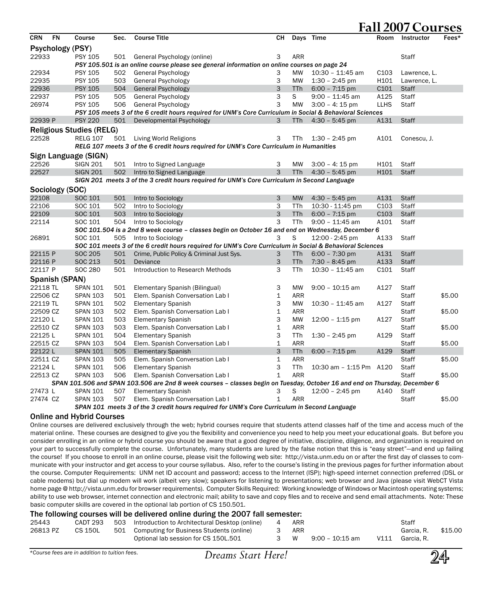|            |                  |                                 |      |                                                                                                                             |              |            | 1 ап               |                  |              | 5UJ    |
|------------|------------------|---------------------------------|------|-----------------------------------------------------------------------------------------------------------------------------|--------------|------------|--------------------|------------------|--------------|--------|
| <b>CRN</b> | <b>FN</b>        | Course                          | Sec. | <b>Course Title</b>                                                                                                         | CН           |            | Days Time          | <b>Room</b>      | Instructor   | Fees*  |
|            | Psychology (PSY) |                                 |      |                                                                                                                             |              |            |                    |                  |              |        |
| 22933      |                  | <b>PSY 105</b>                  | 501  | General Psychology (online)                                                                                                 | 3            | <b>ARR</b> |                    |                  | Staff        |        |
|            |                  |                                 |      | PSY 105.501 is an online course please see general information on online courses on page 24                                 |              |            |                    |                  |              |        |
| 22934      |                  | <b>PSY 105</b>                  | 502  | General Psychology                                                                                                          | 3            | MW         | $10:30 - 11:45$ am | C <sub>103</sub> | Lawrence, L. |        |
| 22935      |                  | <b>PSY 105</b>                  | 503  | General Psychology                                                                                                          | 3            | <b>MW</b>  | $1:30 - 2:45$ pm   | H101             | Lawrence, L. |        |
| 22936      |                  | <b>PSY 105</b>                  | 504  | <b>General Psychology</b>                                                                                                   | 3            | <b>TTh</b> | $6:00 - 7:15$ pm   | C101             | <b>Staff</b> |        |
| 22937      |                  | <b>PSY 105</b>                  | 505  | General Psychology                                                                                                          | 3            | S          | $9:00 - 11:45$ am  | A125             | Staff        |        |
| 26974      |                  | <b>PSY 105</b>                  | 506  | General Psychology                                                                                                          | 3            | <b>MW</b>  | $3:00 - 4:15$ pm   | <b>LLHS</b>      | Staff        |        |
|            |                  |                                 |      | PSY 105 meets 3 of the 6 credit hours required for UNM's Core Curriculum in Social & Behavioral Sciences                    |              |            |                    |                  |              |        |
| 22939 P    |                  | <b>PSY 220</b>                  | 501  | Developmental Psychology                                                                                                    | 3            | TTh.       | $4:30 - 5:45$ pm   | A131             | <b>Staff</b> |        |
|            |                  | <b>Religious Studies (RELG)</b> |      |                                                                                                                             |              |            |                    |                  |              |        |
| 22528      |                  | <b>RELG 107</b>                 | 501  | Living World Religions                                                                                                      | 3            | TTh.       | $1:30 - 2:45$ pm   | A101             | Conescu, J.  |        |
|            |                  |                                 |      | RELG 107 meets 3 of the 6 credit hours required for UNM's Core Curriculum in Humanities                                     |              |            |                    |                  |              |        |
|            |                  | Sign Language (SIGN)            |      |                                                                                                                             |              |            |                    |                  |              |        |
| 22526      |                  | <b>SIGN 201</b>                 | 501  | Intro to Signed Language                                                                                                    | 3            | MW         | $3:00 - 4:15$ pm   | H101             | Staff        |        |
| 22527      |                  | <b>SIGN 201</b>                 | 502  | Intro to Signed Language                                                                                                    | 3            | <b>TTh</b> | $4:30 - 5:45$ pm   | H101             | <b>Staff</b> |        |
|            |                  |                                 |      | SIGN 201 meets 3 of the 3 credit hours required for UNM's Core Curriculum in Second Language                                |              |            |                    |                  |              |        |
|            |                  |                                 |      |                                                                                                                             |              |            |                    |                  |              |        |
|            | Sociology (SOC)  |                                 |      |                                                                                                                             |              |            |                    |                  |              |        |
| 22108      |                  | SOC 101                         | 501  | Intro to Sociology                                                                                                          | 3            | <b>MW</b>  | $4:30 - 5:45$ pm   | A131             | <b>Staff</b> |        |
| 22106      |                  | SOC 101                         | 502  | Intro to Sociology                                                                                                          | 3            | TTh        | 10:30 - 11:45 pm   | C <sub>103</sub> | Staff        |        |
| 22109      |                  | SOC 101                         | 503  | Intro to Sociology                                                                                                          | 3            | <b>TTh</b> | $6:00 - 7:15$ pm   | C <sub>103</sub> | <b>Staff</b> |        |
| 22114      |                  | SOC 101                         | 504  | Intro to Sociology                                                                                                          | 3            | <b>TTh</b> | $9:00 - 11:45$ am  | A101             | Staff        |        |
|            |                  |                                 |      | SOC 101.504 is a 2nd 8 week course - classes begin on October 16 and end on Wednesday, December 6                           |              |            |                    |                  |              |        |
| 26891      |                  | SOC 101                         | 505  | Intro to Sociology                                                                                                          | 3            | S          | 12:00 - 2:45 pm    | A133             | Staff        |        |
|            |                  |                                 |      | SOC 101 meets 3 of the 6 credit hours required for UNM's Core Curriculum in Social & Behavioral Sciences                    |              |            |                    |                  |              |        |
| 22115 P    |                  | SOC 205                         | 501  | Crime, Public Policy & Criminal Just Sys.                                                                                   | 3            | <b>TTh</b> | $6:00 - 7:30$ pm   | A131             | <b>Staff</b> |        |
| 22116 P    |                  | SOC 213                         | 501  | Deviance                                                                                                                    | 3            | <b>TTh</b> | $7:30 - 8:45$ pm   | A133             | <b>Staff</b> |        |
| 22117 P    |                  | SOC 280                         | 501  | Introduction to Research Methods                                                                                            | 3            | TTh        | $10:30 - 11:45$ am | C101             | Staff        |        |
|            | Spanish (SPAN)   |                                 |      |                                                                                                                             |              |            |                    |                  |              |        |
| 22118 TL   |                  | <b>SPAN 101</b>                 | 501  | Elementary Spanish (Bilingual)                                                                                              | 3            | <b>MW</b>  | $9:00 - 10:15$ am  | A127             | Staff        |        |
| 22506 CZ   |                  | <b>SPAN 103</b>                 | 501  | Elem. Spanish Conversation Lab I                                                                                            | $\mathbf 1$  | ARR        |                    |                  | Staff        | \$5.00 |
| 22119 TL   |                  | <b>SPAN 101</b>                 | 502  | <b>Elementary Spanish</b>                                                                                                   | 3            | <b>MW</b>  | 10:30 - 11:45 am   | A127             | Staff        |        |
| 22509 CZ   |                  | <b>SPAN 103</b>                 | 502  | Elem. Spanish Conversation Lab I                                                                                            | 1            | ARR        |                    |                  | Staff        | \$5.00 |
| 22120L     |                  | <b>SPAN 101</b>                 | 503  | <b>Elementary Spanish</b>                                                                                                   | 3            | MW         | $12:00 - 1:15$ pm  | A127             | Staff        |        |
| 22510 CZ   |                  | <b>SPAN 103</b>                 | 503  | Elem. Spanish Conversation Lab I                                                                                            | 1            | <b>ARR</b> |                    |                  | Staff        | \$5.00 |
| 22125L     |                  | <b>SPAN 101</b>                 | 504  | <b>Elementary Spanish</b>                                                                                                   | 3            | TTh        | $1:30 - 2:45$ pm   | A129             | Staff        |        |
| 22515 CZ   |                  | <b>SPAN 103</b>                 | 504  | Elem. Spanish Conversation Lab I                                                                                            | $\mathbf{1}$ | ARR        |                    |                  | Staff        | \$5.00 |
| 22122L     |                  | <b>SPAN 101</b>                 | 505  | <b>Elementary Spanish</b>                                                                                                   | 3            | <b>TTh</b> | $6:00 - 7:15$ pm   | A129             | <b>Staff</b> |        |
| 22511 CZ   |                  | <b>SPAN 103</b>                 | 505  | Elem. Spanish Conversation Lab I                                                                                            | $\mathbf{1}$ | <b>ARR</b> |                    |                  | Staff        | \$5.00 |
| 22124L     |                  | <b>SPAN 101</b>                 | 506  | <b>Elementary Spanish</b>                                                                                                   | 3            | <b>TTh</b> | 10:30 am - 1:15 Pm | A120             | Staff        |        |
| 22513 CZ   |                  | <b>SPAN 103</b>                 | 506  | Elem. Spanish Conversation Lab I                                                                                            | $\mathbf{1}$ | <b>ARR</b> |                    |                  | Staff        | \$5.00 |
|            |                  |                                 |      | SPAN 101.506 and SPAN 103.506 are 2nd 8 week courses - classes begin on Tuesday, October 16 and end on Thursday, December 6 |              |            |                    |                  |              |        |
| 27473 L    |                  | <b>SPAN 101</b>                 | 507  | <b>Elementary Spanish</b>                                                                                                   | 3            | S          | $12:00 - 2:45$ pm  | A140             | Staff        |        |
| 27474 CZ   |                  | <b>SPAN 103</b>                 | 507  | Elem. Spanish Conversation Lab I                                                                                            | $\mathbf{1}$ | <b>ARR</b> |                    |                  | Staff        | \$5.00 |
|            |                  |                                 |      | SPAN 101 meets 3 of the 3 credit hours required for UNM's Core Curriculum in Second Language                                |              |            |                    |                  |              |        |
|            |                  |                                 |      |                                                                                                                             |              |            |                    |                  |              |        |

#### Online and Hybrid Courses

Online courses are delivered exclusively through the web; hybrid courses require that students attend classes half of the time and access much of the material online. These courses are designed to give you the flexibility and convenience you need to help you meet your educational goals. But before you consider enrolling in an online or hybrid course you should be aware that a good degree of initiative, discipline, diligence, and organization is required on your part to successfully complete the course. Unfortunately, many students are lured by the false notion that this is "easy street"-and end up failing the course! If you choose to enroll in an online course, please visit the following web site: http://vista.unm.edu on or after the first day of classes to communicate with your instructor and get access to your course syllabus. Also, refer to the course's listing in the previous pages for further information about the course. Computer Requirements: UNM net ID account and password; access to the Internet (ISP); high-speed internet connection preferred (DSL or cable modems) but dial up modem will work (albeit very slow); speakers for listening to presentations; web browser and Java (please visit WebCT Vista home page @ http://vista.unm.edu for browser requirements). Computer Skills Required: Working knowledge of Windows or Macintosh operating systems; ability to use web browser, internet connection and electronic mail; ability to save and copy files and to receive and send email attachments. Note: These basic computer skills are covered in the optional lab portion of CS 150.501.

#### The following courses will be delivered online during the 2007 fall semester:

| 25443    |         | CADT 293 503 Introduction to Architectural Desktop (online) 4 ARR |       |                 | Staff           |         |
|----------|---------|-------------------------------------------------------------------|-------|-----------------|-----------------|---------|
| 26813 PZ | CS 150L | 501 Computing for Business Students (online)                      | 3 ARR |                 | Garcia. R.      | \$15.00 |
|          |         | Optional lab session for CS 150L.501                              | 3 W   | 9:00 – 10:15 am | V111 Garcia, R. |         |



**Fall 2007 Courses**